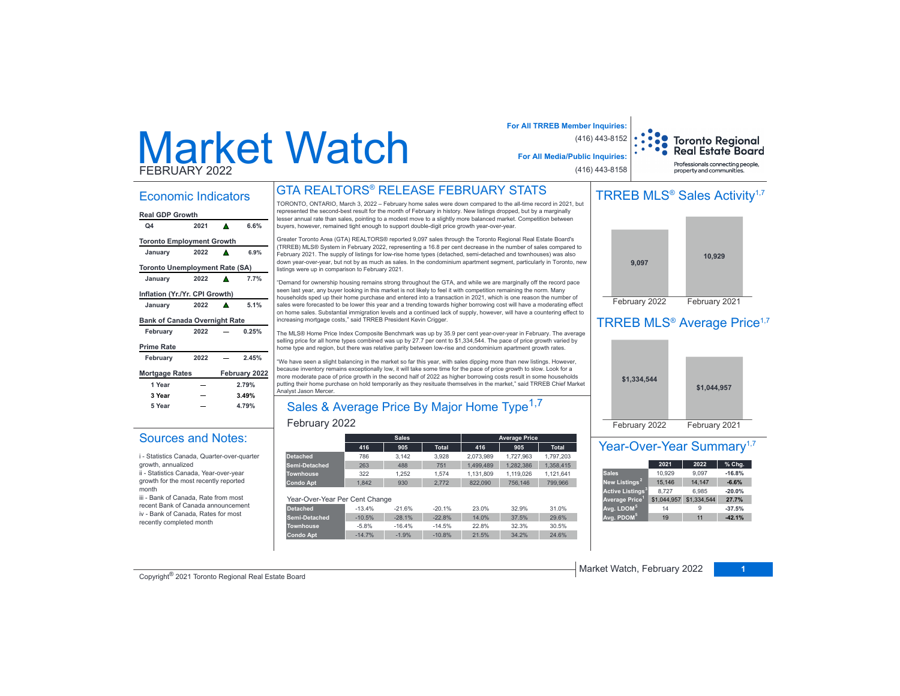# Market WatchFEBRUARY 2022

### **For All TRREB Member Inquiries:** (416) 443-8152

**Toronto Regional Real Estate Board** Professionals connecting people

property and communities.

(416) 443-8158

**For All Media/Public Inquiries:**

### TRREB MLS<sup>®</sup> Sales Activity<sup>1,7</sup>



# TRREB MLS<sup>®</sup> Average Price<sup>1,7</sup>



### Year-Over-Year Summary<sup>1,7</sup>

|                                    | 2021        | 2022        | % Chg.   |
|------------------------------------|-------------|-------------|----------|
| <b>Sales</b>                       | 10,929      | 9.097       | $-16.8%$ |
| New Listings <sup>2</sup>          | 15,146      | 14.147      | $-6.6%$  |
| <b>Active Listings<sup>3</sup></b> | 8.727       | 6.985       | $-20.0%$ |
| Average Price <sup>1</sup>         | \$1,044,957 | \$1,334,544 | 27.7%    |
| Avg. LDOM <sup>5</sup>             | 14          |             | $-37.5%$ |
| Avg. PDOM <sup>5</sup>             | 19          | 11          | $-42.1%$ |

| Economic Indicators                   |      |   |               |  |  |  |  |  |  |
|---------------------------------------|------|---|---------------|--|--|--|--|--|--|
| <b>Real GDP Growth</b>                |      |   |               |  |  |  |  |  |  |
| Ω4                                    | 2021 | A | 6.6%          |  |  |  |  |  |  |
| <b>Toronto Employment Growth</b>      |      |   |               |  |  |  |  |  |  |
| January                               | 2022 | A | 6.9%          |  |  |  |  |  |  |
| <b>Toronto Unemployment Rate (SA)</b> |      |   |               |  |  |  |  |  |  |
| January                               | 2022 |   | 7.7%          |  |  |  |  |  |  |
| Inflation (Yr./Yr. CPI Growth)        |      |   |               |  |  |  |  |  |  |
| January                               | 2022 | A | 5.1%          |  |  |  |  |  |  |
| <b>Bank of Canada Overnight Rate</b>  |      |   |               |  |  |  |  |  |  |
| February                              | 2022 |   | 0.25%         |  |  |  |  |  |  |
| <b>Prime Rate</b>                     |      |   |               |  |  |  |  |  |  |
| February                              | 2022 |   | 2.45%         |  |  |  |  |  |  |
| <b>Mortgage Rates</b>                 |      |   | February 2022 |  |  |  |  |  |  |
| 1 Year                                |      |   | 2.79%         |  |  |  |  |  |  |
| 3 Year                                |      |   | 3.49%         |  |  |  |  |  |  |
| 5 Year<br>4.79%                       |      |   |               |  |  |  |  |  |  |

### Sources and Notes:

i - Statistics Canada, Quarter-over-quarter

growth, annualized ii - Statistics Canada, Year-over-year growth for the most recently reported month

iii - Bank of Canada, Rate from most recent Bank of Canada announcement iv - Bank of Canada, Rates for most recently completed month

# GTA REALTORS® RELEASE FEBRUARY STATS

TORONTO, ONTARIO, March 3, 2022 - February home sales were down compared to the all-time record in 2021, but represented the second-best result for the month of February in history. New listings dropped, but by a marginally lesser annual rate than sales, pointing to a modest move to a slightly more balanced market. Competition between buyers, however, remained tight enough to support double-digit price growth year-over-year.

Greater Toronto Area (GTA) REALTORS® reported 9,097 sales through the Toronto Regional Real Estate Board's TRREB) MLS® System in February 2022, representing a 16.8 per cent decrease in the number of sales compared to February 2021. The supply of listings for low-rise home types (detached, semi-detached and townhouses) was also down year-over-year, but not by as much as sales. In the condominium apartment segment, particularly in Toronto, new listings were up in comparison to February 2021.

"Demand for ownership housing remains strong throughout the GTA, and while we are marginally off the record pace seen last year, any buyer looking in this market is not likely to feel it with competition remaining the norm. Many households sped up their home purchase and entered into a transaction in 2021, which is one reason the number of sales were forecasted to be lower this year and a trending towards higher borrowing cost will have a moderating effect on home sales. Substantial immigration levels and a continued lack of supply, however, will have a countering effect to increasing mortgage costs," said TRREB President Kevin Crigger

The MLS® Home Price Index Composite Benchmark was up by 35.9 per cent year-over-year in February. The average selling price for all home types combined was up by 27.7 per cent to \$1,334,544. The pace of price growth varied by home type and region, but there was relative parity between low-rise and condominium apartment growth rates.

"We have seen a slight balancing in the market so far this year, with sales dipping more than new listings. However, because inventory remains exceptionally low, it will take some time for the pace of price growth to slow. Look for a Proceduod inventory remains exceptionary levit, a numerical correlation in the result in some households more moderate pace of price growth in the second half of 2022 as higher borrowing costs result in some households putting their home purchase on hold temporarily as they resituate themselves in the market," said TRREB Chief Market Analyst Jason Mercer.

# Sales & Average Price By Major Home Type<sup>1,7</sup>

### February 2022

|                                |          | <b>Sales</b> |              |           | <b>Average Price</b> |              |
|--------------------------------|----------|--------------|--------------|-----------|----------------------|--------------|
|                                | 416      | 905          | <b>Total</b> | 416       | 905                  | <b>Total</b> |
| <b>Detached</b>                | 786      | 3.142        | 3.928        | 2.073.989 | 1.727.963            | 1.797.203    |
| <b>Semi-Detached</b>           | 263      | 488          | 751          | 1.499.489 | 1,282,386            | 1.358.415    |
| <b>Townhouse</b>               | 322      | 1.252        | 1.574        | 1.131.809 | 1.119.026            | 1.121.641    |
| <b>Condo Apt</b>               | 1.842    | 930          | 2,772        | 822.090   | 756.146              | 799.966      |
| Year-Over-Year Per Cent Change |          |              |              |           |                      |              |
| <b>Detached</b>                | $-13.4%$ | $-21.6%$     | $-20.1%$     | 23.0%     | 32.9%                | 31.0%        |
| <b>Semi-Detached</b>           | $-10.5%$ | $-28.1%$     | $-22.8%$     | 14.0%     | 37.5%                | 29.6%        |
| <b>Townhouse</b>               | $-5.8%$  | $-16.4%$     | $-14.5%$     | 22.8%     | 32.3%                | 30.5%        |
| <b>Condo Apt</b>               | $-14.7%$ | $-1.9%$      | $-10.8%$     | 21.5%     | 34.2%                | 24.6%        |

# **Arket Watch, February 2022 1** Market Watch, February 2022 **1** Copyright<sup>®</sup> 2021 Toronto Regional Real Estate Board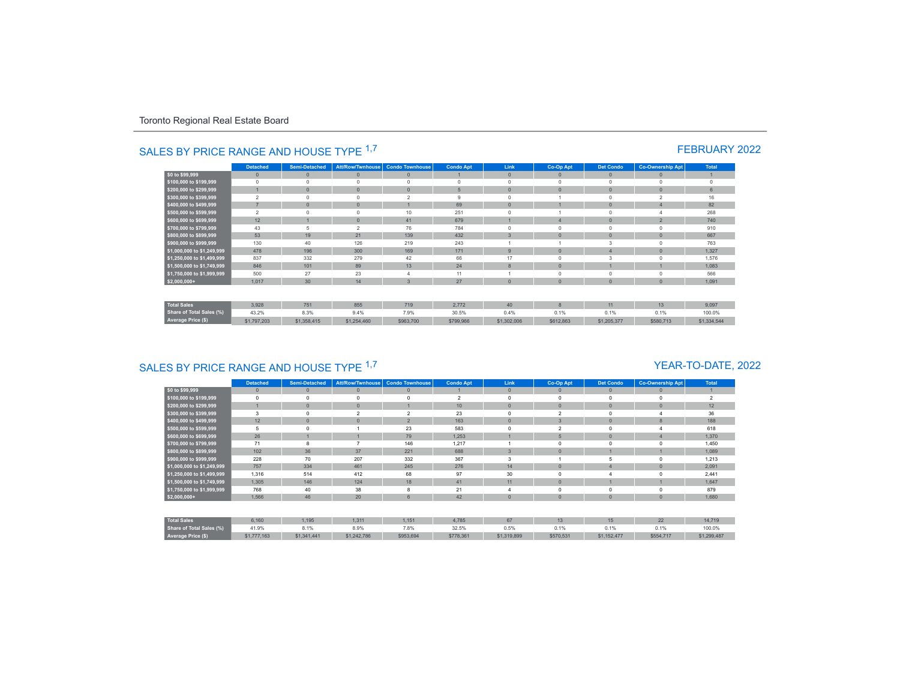|                                 | <b>Detached</b> | <b>Semi-Detached</b> | <b>Att/Row/Twnhouse</b> | <b>Condo Townhouse</b>   | <b>Condo Apt</b> | Link           | Co-Op Apt    | <b>Det Condo</b> | <b>Co-Ownership Apt</b> | <b>Total</b> |
|---------------------------------|-----------------|----------------------|-------------------------|--------------------------|------------------|----------------|--------------|------------------|-------------------------|--------------|
| \$0 to \$99,999                 | $\mathbf{0}$    | $\mathbf{0}$         | $\circ$                 | $\mathbf{0}$             |                  | $\mathbf{0}$   | $\circ$      | $\theta$         | $\mathbf{0}$            |              |
| \$100,000 to \$199,999          | $^{\circ}$      | $\Omega$             | $\Omega$                | $\Omega$                 | $\circ$          | $\circ$        | $\Omega$     | $\Omega$         | $\mathbf 0$             | $\circ$      |
| \$200,000 to \$299,999          |                 | $\mathbf{0}$         | $\mathbf{0}$            | $\Omega$                 | 5                | $\overline{0}$ | $\Omega$     | $\overline{0}$   | $\overline{0}$          | 6            |
| \$300,000 to \$399,999          | $\overline{2}$  | $\Omega$             | $\Omega$                | $\overline{\phantom{a}}$ | 9                | $\Omega$       |              | $\Omega$         | $\overline{2}$          | 16           |
| \$400,000 to \$499,999          | $\rightarrow$   | $\Omega$             | $\mathbf{0}$            |                          | 69               | $\overline{0}$ |              | $\Omega$         |                         | 82           |
| \$500,000 to \$599,999          | $\overline{2}$  | $\Omega$             |                         | 10                       | 251              | $\Omega$       |              |                  |                         | 268          |
| \$600,000 to \$699,999          | 12              |                      | $\mathbf{0}$            | 41                       | 679              |                |              | $\Omega$         | $\overline{a}$          | 740          |
| \$700,000 to \$799,999          | 43              | 5                    | $\overline{2}$          | 76                       | 784              | $\Omega$       | $\Omega$     |                  | 0                       | 910          |
| \$800,000 to \$899,999          | 53              | 19                   | 21                      | 139                      | 432              | $\overline{3}$ | $\Omega$     | $\theta$         | $\mathbf{0}$            | 667          |
| \$900,000 to \$999,999          | 130             | 40                   | 126                     | 219                      | 243              |                |              | 3                | $\Omega$                | 763          |
| \$1,000,000 to \$1,249,999      | 478             | 196                  | 300                     | 169                      | 171              | 9              | $\Omega$     | $\overline{4}$   | $\mathbf{0}$            | 1.327        |
| \$1,250,000 to \$1,499,999      | 837             | 332                  | 279                     | 42                       | 66               | 17             | $\Omega$     | 3                | 0                       | 1,576        |
| \$1,500,000 to \$1,749,999      | 846             | 101                  | 89                      | 13                       | 24               | 8              | $\Omega$     |                  |                         | 1.083        |
| \$1,750,000 to \$1,999,999      | 500             | 27                   | 23                      |                          | 11               |                | $\Omega$     | $\Omega$         | $\Omega$                | 566          |
| $$2,000,000+$                   | 1,017           | 30                   | 14                      | $\overline{3}$           | 27               | $\overline{0}$ | $\mathbf{0}$ | $\overline{0}$   | $\overline{0}$          | 1,091        |
| <b>Total Sales</b>              | 3,928           | 751                  | 855                     | 719                      | 2.772            | 40             | $\mathbf{8}$ | 11               | 13                      | 9.097        |
| <b>Share of Total Sales (%)</b> | 43.2%           | 8.3%                 | 9.4%                    | 7.9%                     | 30.5%            | 0.4%           | 0.1%         | 0.1%             | 0.1%                    | 100.0%       |
| Average Price (\$)              | \$1,797,203     | \$1,358,415          | \$1,254,460             | \$963,700                | \$799,966        | \$1,302,006    | \$612,863    | \$1,205,377      | \$580,713               | \$1,334,544  |

# SALES BY PRICE RANGE AND HOUSE TYPE <sup>1,7</sup> FEBRUARY 2022

# SALES BY PRICE RANGE AND HOUSE TYPE <sup>1,7</sup>

### YEAR-TO-DATE, 2022

|                                 | <b>Detached</b> | <b>Semi-Detached</b> | Att/Row/Twnhouse        | <b>Condo Townhouse</b>   | <b>Condo Apt</b> | Link         | Co-Op Apt      | <b>Det Condo</b> | <b>Co-Ownership Apt</b> | Total                    |
|---------------------------------|-----------------|----------------------|-------------------------|--------------------------|------------------|--------------|----------------|------------------|-------------------------|--------------------------|
| \$0 to \$99,999                 | $\mathbf{0}$    | $\Omega$             | $\mathbf{0}$            | $\mathbf{0}$             |                  | $\mathbf{0}$ | $\mathbf{0}$   | $\circ$          |                         |                          |
| \$100,000 to \$199,999          | $\mathbf 0$     |                      | $\mathbf 0$             |                          | $\overline{2}$   | $\Omega$     |                | $\mathbf 0$      |                         | $\overline{\phantom{a}}$ |
| \$200,000 to \$299,999          |                 |                      | $\Omega$                |                          | 10 <sup>10</sup> | $\mathbf{0}$ | $\Omega$       | $\mathbf{0}$     |                         | 12                       |
| \$300,000 to \$399,999          | 3               |                      | $\overline{\mathbf{c}}$ | $\overline{\phantom{a}}$ | 23               | $\Omega$     | $\mathfrak{p}$ | $\Omega$         |                         | 36                       |
| \$400,000 to \$499,999          | 12              | $\overline{0}$       | $\theta$                | $\overline{2}$           | 163              | $\mathbf{0}$ | 3              | $\mathbf{0}$     | 8                       | 188                      |
| \$500,000 to \$599,999          | 5               |                      |                         | 23                       | 583              | $\Omega$     | $\mathfrak{p}$ | 0                |                         | 618                      |
| \$600,000 to \$699,999          | 26              |                      |                         | 79                       | 1,253            |              |                | $\mathbf{0}$     |                         | 1,370                    |
| \$700,000 to \$799,999          | 71              |                      |                         | 146                      | 1,217            |              |                | $\Omega$         |                         | 1,450                    |
| \$800,000 to \$899,999          | 102             | 36                   | 37                      | 221                      | 688              | $\mathbf{3}$ | $\Omega$       |                  |                         | 1,089                    |
| \$900,000 to \$999,999          | 228             | 70                   | 207                     | 332                      | 367              | 3            |                | 5                |                         | 1,213                    |
| \$1,000,000 to \$1,249,999      | 757             | 334                  | 461                     | 245                      | 276              | 14           |                |                  |                         | 2,091                    |
| \$1,250,000 to \$1,499,999      | 1,316           | 514                  | 412                     | 68                       | 97               | 30           |                |                  |                         | 2,441                    |
| \$1,500,000 to \$1,749,999      | 1,305           | 146                  | 124                     | 18                       | 41               | 11           | $\Omega$       |                  |                         | 1,647                    |
| \$1,750,000 to \$1,999,999      | 768             | 40                   | 38                      | 8                        | 21               |              |                | $\Omega$         |                         | 879                      |
| $$2,000,000+$                   | 1,566           | 46                   | 20                      | 6                        | 42               | $\mathbf{0}$ | $\Omega$       | $\mathbf{0}$     |                         | 1,680                    |
|                                 |                 |                      |                         |                          |                  |              |                |                  |                         |                          |
| <b>Total Sales</b>              | 6,160           | 1,195                | 1.311                   | 1,151                    | 4,785            | 67           | 13             | 15               | 22                      | 14,719                   |
| <b>Share of Total Sales (%)</b> | 41.9%           | 8.1%                 | 8.9%                    | 7.8%                     | 32.5%            | 0.5%         | 0.1%           | 0.1%             | 0.1%                    | 100.0%                   |
| Average Price (\$)              | \$1,777,163     | \$1,341,441          | \$1,242,786             | \$953,694                | \$778,361        | \$1,319,899  | \$570,531      | \$1,152,477      | \$554,717               | \$1,299,487              |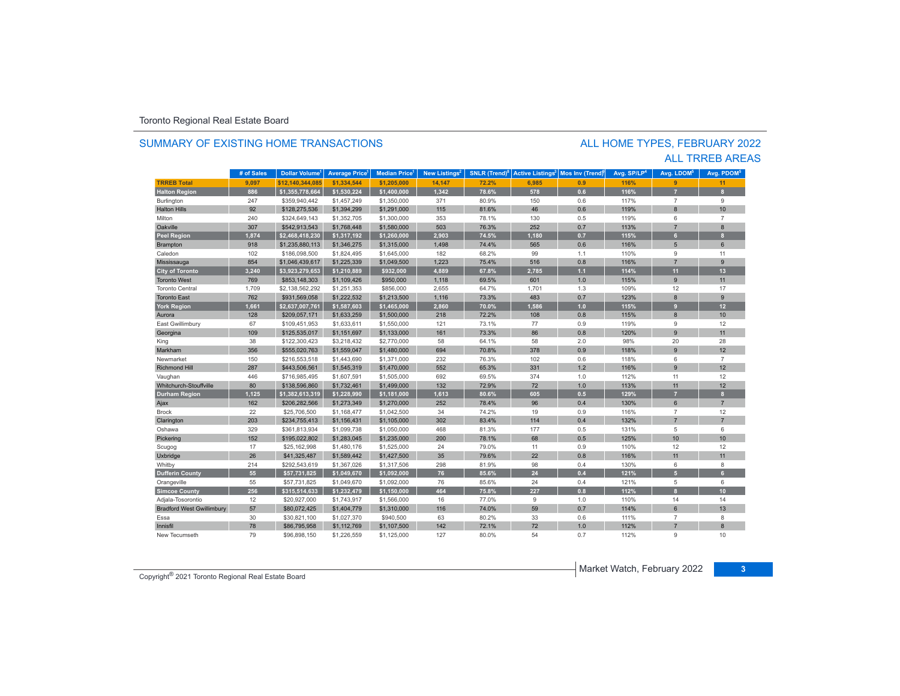### SUMMARY OF EXISTING HOME TRANSACTIONS

### ALL TRREB AREAS ALL HOME TYPES, FEBRUARY 2022

|                                  | # of Sales | Dollar Volume <sup>1</sup> | <b>Average Price</b> | <b>Median Price</b> <sup>1</sup> | New Listings <sup>2</sup> | SNLR (Trend) <sup>8</sup> | <b>Active Listings<sup>3</sup></b> | Mos Inv (Trend) | Avg. SP/LP <sup>4</sup> | Avg. LDOM <sup>5</sup> | Avg. PDOM <sup>5</sup> |
|----------------------------------|------------|----------------------------|----------------------|----------------------------------|---------------------------|---------------------------|------------------------------------|-----------------|-------------------------|------------------------|------------------------|
| <b>TRREB Total</b>               | 9,097      | \$12.140.344.085           | \$1,334,544          | \$1,205,000                      | 14,147                    | 72.2%                     | 6,985                              | 0.9             | 116%                    | $\overline{9}$         | 11                     |
| <b>Halton Region</b>             | 886        | \$1,355,778,664            | \$1,530,224          | \$1,400,000                      | 1,342                     | 78.6%                     | 578                                | 0.6             | 116%                    |                        | 8                      |
| Burlington                       | 247        | \$359,940,442              | \$1,457,249          | \$1,350,000                      | 371                       | 80.9%                     | 150                                | 0.6             | 117%                    | $\overline{7}$         | $9\,$                  |
| <b>Halton Hills</b>              | 92         | \$128,275,536              | \$1,394,299          | \$1,291,000                      | 115                       | 81.6%                     | 46                                 | 0.6             | 119%                    | $\mathbf{8}$           | 10                     |
| Milton                           | 240        | \$324,649,143              | \$1,352,705          | \$1,300,000                      | 353                       | 78.1%                     | 130                                | 0.5             | 119%                    | 6                      | $\overline{7}$         |
| Oakville                         | 307        | \$542,913,543              | \$1,768,448          | \$1,580,000                      | 503                       | 76.3%                     | 252                                | 0.7             | 113%                    | $\overline{7}$         | $\overline{8}$         |
| <b>Peel Region</b>               | 1,874      | \$2,468,418,230            | \$1,317,192          | \$1,260,000                      | 2,903                     | 74.5%                     | 1,180                              | 0.7             | 115%                    | 6 <sup>1</sup>         | 8                      |
| Brampton                         | 918        | \$1,235,880,113            | \$1,346,275          | \$1,315,000                      | 1,498                     | 74.4%                     | 565                                | 0.6             | 116%                    | 5                      | 6                      |
| Caledon                          | 102        | \$186,098,500              | \$1,824,495          | \$1,645,000                      | 182                       | 68.2%                     | 99                                 | 1.1             | 110%                    | 9                      | 11                     |
| Mississauga                      | 854        | \$1,046,439,617            | \$1,225,339          | \$1,049,500                      | 1,223                     | 75.4%                     | 516                                | 0.8             | 116%                    | $\overline{7}$         | 9                      |
| <b>City of Toronto</b>           | 3,240      | \$3,923,279,653            | \$1,210,889          | \$932,000                        | 4,889                     | 67.8%                     | 2,785                              | $1.1$           | 114%                    | 11                     | 13                     |
| <b>Toronto West</b>              | 769        | \$853,148,303              | \$1,109,426          | \$950,000                        | 1,118                     | 69.5%                     | 601                                | 1.0             | 115%                    | $\overline{9}$         | 11                     |
| <b>Toronto Central</b>           | 1,709      | \$2,138,562,292            | \$1,251,353          | \$856,000                        | 2,655                     | 64.7%                     | 1,701                              | 1.3             | 109%                    | 12                     | 17                     |
| <b>Toronto East</b>              | 762        | \$931,569,058              | \$1,222,532          | \$1,213,500                      | 1,116                     | 73.3%                     | 483                                | 0.7             | 123%                    | $\bf 8$                | 9                      |
| <b>York Region</b>               | 1,661      | \$2,637,007,761            | \$1,587,603          | \$1,465,000                      | 2,860                     | 70.0%                     | 1,586                              | 1.0             | 115%                    | 9                      | 12 <sub>2</sub>        |
| Aurora                           | 128        | \$209,057,171              | \$1,633,259          | \$1,500,000                      | 218                       | 72.2%                     | 108                                | 0.8             | 115%                    | 8                      | 10                     |
| East Gwillimbury                 | 67         | \$109,451,953              | \$1,633,611          | \$1,550,000                      | 121                       | 73.1%                     | 77                                 | 0.9             | 119%                    | 9                      | 12                     |
| Georgina                         | 109        | \$125,535,017              | \$1,151,697          | \$1,133,000                      | 161                       | 73.3%                     | 86                                 | 0.8             | 120%                    | 9                      | 11                     |
| King                             | 38         | \$122,300,423              | \$3,218,432          | \$2,770,000                      | 58                        | 64.1%                     | 58                                 | 2.0             | 98%                     | 20                     | 28                     |
| Markham                          | 356        | \$555,020,763              | \$1,559,047          | \$1,480,000                      | 694                       | 70.8%                     | 378                                | 0.9             | 118%                    | 9                      | 12                     |
| Newmarket                        | 150        | \$216,553,518              | \$1,443,690          | \$1,371,000                      | 232                       | 76.3%                     | 102                                | 0.6             | 118%                    | 6                      | $\overline{7}$         |
| <b>Richmond Hill</b>             | 287        | \$443,506,561              | \$1,545,319          | \$1,470,000                      | 552                       | 65.3%                     | 331                                | 1.2             | 116%                    | 9                      | 12                     |
| Vaughan                          | 446        | \$716,985,495              | \$1,607,591          | \$1,505,000                      | 692                       | 69.5%                     | 374                                | 1.0             | 112%                    | 11                     | 12                     |
| Whitchurch-Stouffville           | 80         | \$138,596,860              | \$1,732,461          | \$1,499,000                      | 132                       | 72.9%                     | 72                                 | 1.0             | 113%                    | 11                     | 12                     |
| <b>Durham Region</b>             | 1,125      | \$1,382,613,319            | \$1,228,990          | \$1,181,000                      | 1,613                     | 80.6%                     | 605                                | 0.5             | 129%                    | $\overline{7}$         | 8                      |
| Ajax                             | 162        | \$206,282,566              | \$1,273,349          | \$1,270,000                      | 252                       | 78.4%                     | 96                                 | 0.4             | 130%                    | 6                      | $\overline{7}$         |
| <b>Brock</b>                     | 22         | \$25,706,500               | \$1,168,477          | \$1,042,500                      | 34                        | 74.2%                     | 19                                 | 0.9             | 116%                    | $\overline{7}$         | 12                     |
| Clarington                       | 203        | \$234,755,413              | \$1,156,431          | \$1,105,000                      | 302                       | 83.4%                     | 114                                | 0.4             | 132%                    | $\overline{7}$         | $\overline{7}$         |
| Oshawa                           | 329        | \$361,813,934              | \$1,099,738          | \$1,050,000                      | 468                       | 81.3%                     | 177                                | 0.5             | 131%                    | 5                      | 6                      |
| Pickering                        | 152        | \$195.022.802              | \$1,283,045          | \$1,235,000                      | 200                       | 78.1%                     | 68                                 | 0.5             | 125%                    | 10                     | 10                     |
| Scugog                           | 17         | \$25,162,998               | \$1,480,176          | \$1,525,000                      | 24                        | 79.0%                     | 11                                 | 0.9             | 110%                    | 12                     | 12                     |
| Uxbridge                         | 26         | \$41,325,487               | \$1,589,442          | \$1,427,500                      | 35                        | 79.6%                     | 22                                 | 0.8             | 116%                    | 11                     | 11                     |
| Whitby                           | 214        | \$292,543,619              | \$1,367,026          | \$1,317,506                      | 298                       | 81.9%                     | 98                                 | 0.4             | 130%                    | 6                      | 8                      |
| <b>Dufferin County</b>           | 55         | \$57,731,825               | \$1,049,670          | \$1,092,000                      | 76                        | 85.6%                     | 24                                 | 0.4             | 121%                    | 5 <sup>1</sup>         | 6                      |
| Orangeville                      | 55         | \$57,731,825               | \$1,049,670          | \$1,092,000                      | 76                        | 85.6%                     | 24                                 | 0.4             | 121%                    | 5                      | 6                      |
| <b>Simcoe County</b>             | 256        | \$315,514,633              | \$1,232,479          | \$1,150,000                      | 464                       | 75.8%                     | 227                                | 0.8             | 112%                    | $\mathbf{a}$           | 10                     |
| Adjala-Tosorontio                | 12         | \$20,927,000               | \$1,743,917          | \$1,566,000                      | 16                        | 77.0%                     | 9                                  | 1.0             | 110%                    | 14                     | 14                     |
| <b>Bradford West Gwillimbury</b> | 57         | \$80,072,425               | \$1,404,779          | \$1,310,000                      | 116                       | 74.0%                     | 59                                 | 0.7             | 114%                    | 6                      | 13                     |
| Essa                             | 30         | \$30,821,100               | \$1,027,370          | \$940,500                        | 63                        | 80.2%                     | 33                                 | 0.6             | 111%                    | $\overline{7}$         | 8                      |
| Innisfil                         | 78         | \$86,795,958               | \$1,112,769          | \$1,107,500                      | 142                       | 72.1%                     | 72                                 | 1.0             | 112%                    | $\overline{z}$         | $\overline{8}$         |
| New Tecumseth                    | 79         | \$96,898,150               | \$1,226,559          | \$1,125,000                      | 127                       | 80.0%                     | 54                                 | 0.7             | 112%                    | g                      | 10                     |

Market Watch, February 2022 **<sup>3</sup>** Copyright® 2021 Toronto Regional Real Estate Board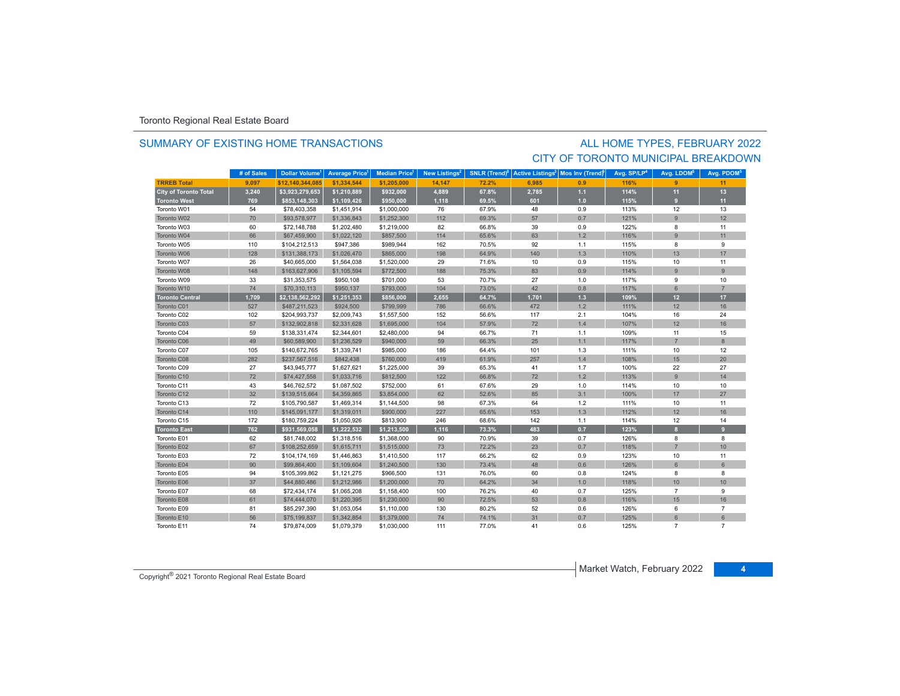### SUMMARY OF EXISTING HOME TRANSACTIONS

### ALL HOME TYPES, FEBRUARY 2022 CITY OF TORONTO MUNICIPAL BREAKDOWN

|                              | # of Sales | <b>Dollar Volume<sup>1</sup></b> | <b>Average Price</b> | <b>Median Price</b> | New Listings <sup>2</sup> | SNLR (Trend) <sup>8</sup> | <b>Active Listings<sup>3</sup></b> | Mos Inv (Trend) | Avg. SP/LP <sup>4</sup> | Avg. LDOM <sup>5</sup> | Avg. PDOM <sup>5</sup> |
|------------------------------|------------|----------------------------------|----------------------|---------------------|---------------------------|---------------------------|------------------------------------|-----------------|-------------------------|------------------------|------------------------|
| <b>TRREB Total</b>           | 9,097      | \$12,140,344,085                 | \$1,334,544          | \$1,205,000         | 14,147                    | 72.2%                     | 6.985                              | 0.9             | 116%                    | 9 <sup>°</sup>         | 11                     |
| <b>City of Toronto Total</b> | 3,240      | \$3,923,279,653                  | \$1,210,889          | \$932,000           | 4,889                     | 67.8%                     | 2,785                              | $1.1$           | 114%                    | 11                     | 13                     |
| <b>Toronto West</b>          | 769        | \$853,148,303                    | \$1,109,426          | \$950,000           | 1,118                     | 69.5%                     | 601                                | 1.0             | 115%                    | 9                      | 11                     |
| Toronto W01                  | 54         | \$78,403,358                     | \$1,451,914          | \$1,000,000         | 76                        | 67.9%                     | 48                                 | 0.9             | 113%                    | 12                     | 13                     |
| Toronto W02                  | 70         | \$93,578,977                     | \$1,336,843          | \$1,252,300         | 112                       | 69.3%                     | 57                                 | 0.7             | 121%                    | $\overline{9}$         | 12                     |
| Toronto W03                  | 60         | \$72,148,788                     | \$1,202,480          | \$1,219,000         | 82                        | 66.8%                     | 39                                 | 0.9             | 122%                    | 8                      | 11                     |
| Toronto W04                  | 66         | \$67,459,900                     | \$1,022,120          | \$857,500           | 114                       | 65.6%                     | 63                                 | 1.2             | 116%                    | $\overline{9}$         | 11                     |
| Toronto W05                  | 110        | \$104,212,513                    | \$947,386            | \$989,944           | 162                       | 70.5%                     | 92                                 | 1.1             | 115%                    | 8                      | 9                      |
| Toronto W06                  | 128        | \$131,388,173                    | \$1,026,470          | \$865,000           | 198                       | 64.9%                     | 140                                | 1.3             | 110%                    | 13                     | 17                     |
| Toronto W07                  | 26         | \$40,665,000                     | \$1,564,038          | \$1,520,000         | 29                        | 71.6%                     | 10                                 | 0.9             | 115%                    | 10                     | 11                     |
| Toronto W08                  | 148        | \$163,627,906                    | \$1,105,594          | \$772,500           | 188                       | 75.3%                     | 83                                 | 0.9             | 114%                    | 9                      | $\overline{9}$         |
| Toronto W09                  | 33         | \$31,353,575                     | \$950,108            | \$701,000           | 53                        | 70.7%                     | 27                                 | 1.0             | 117%                    | 9                      | 10                     |
| Toronto W10                  | 74         | \$70,310,113                     | \$950,137            | \$793,000           | 104                       | 73.0%                     | 42                                 | 0.8             | 117%                    | 6                      | $\overline{7}$         |
| <b>Toronto Central</b>       | 1,709      | \$2,138,562,292                  | \$1,251,353          | \$856,000           | 2,655                     | 64.7%                     | 1,701                              | $1.3$           | 109%                    | 12                     | 17                     |
| Toronto C01                  | 527        | \$487,211,523                    | \$924,500            | \$799,999           | 786                       | 66.6%                     | 472                                | 1.2             | 111%                    | 12                     | 16                     |
| Toronto C02                  | 102        | \$204,993,737                    | \$2,009,743          | \$1,557,500         | 152                       | 56.6%                     | 117                                | 2.1             | 104%                    | 16                     | 24                     |
| Toronto C03                  | 57         | \$132,902,818                    | \$2,331,628          | \$1,695,000         | 104                       | 57.9%                     | 72                                 | 1.4             | 107%                    | 12                     | 16                     |
| Toronto C04                  | 59         | \$138,331,474                    | \$2,344,601          | \$2,480,000         | 94                        | 66.7%                     | 71                                 | 1.1             | 109%                    | 11                     | 15                     |
| Toronto C06                  | 49         | \$60,589,900                     | \$1,236,529          | \$940,000           | 59                        | 66.3%                     | 25                                 | 1.1             | 117%                    | $\overline{7}$         | 8                      |
| Toronto C07                  | 105        | \$140,672,765                    | \$1,339,741          | \$985,000           | 186                       | 64.4%                     | 101                                | 1.3             | 111%                    | 10                     | 12                     |
| Toronto C08                  | 282        | \$237,567,516                    | \$842,438            | \$760,000           | 419                       | 61.9%                     | 257                                | 1.4             | 108%                    | 15                     | 20                     |
| Toronto C09                  | 27         | \$43,945,777                     | \$1,627,621          | \$1,225,000         | 39                        | 65.3%                     | 41                                 | 1.7             | 100%                    | 22                     | 27                     |
| Toronto C10                  | 72         | \$74,427,558                     | \$1,033,716          | \$812,500           | 122                       | 66.8%                     | 72                                 | $1.2$           | 113%                    | $\overline{9}$         | 14                     |
| Toronto C11                  | 43         | \$46,762,572                     | \$1,087,502          | \$752,000           | 61                        | 67.6%                     | 29                                 | 1.0             | 114%                    | 10                     | 10                     |
| Toronto C12                  | 32         | \$139,515,664                    | \$4,359,865          | \$3,854,000         | 62                        | 52.6%                     | 85                                 | 3.1             | 100%                    | 17                     | 27                     |
| Toronto C13                  | 72         | \$105,790,587                    | \$1,469,314          | \$1,144,500         | 98                        | 67.3%                     | 64                                 | 1.2             | 111%                    | 10                     | 11                     |
| Toronto C14                  | 110        | \$145,091,177                    | \$1,319,011          | \$900,000           | 227                       | 65.6%                     | 153                                | 1.3             | 112%                    | 12                     | 16                     |
| Toronto C15                  | 172        | \$180,759,224                    | \$1,050,926          | \$813,900           | 246                       | 68.6%                     | 142                                | 1.1             | 114%                    | 12                     | 14                     |
| Toronto East                 | 762        | \$931,569,058                    | \$1,222,532          | \$1,213,500         | 1,116                     | 73.3%                     | 483                                | 0.7             | 123%                    | $\mathbf{8}$           | 9                      |
| Toronto E01                  | 62         | \$81,748,002                     | \$1,318,516          | \$1,368,000         | 90                        | 70.9%                     | 39                                 | 0.7             | 126%                    | 8                      | 8                      |
| Toronto E02                  | 67         | \$108,252,659                    | \$1,615,711          | \$1,515,000         | 73                        | 72.2%                     | 23                                 | 0.7             | 118%                    | $\overline{7}$         | 10                     |
| Toronto E03                  | 72         | \$104,174,169                    | \$1,446,863          | \$1,410,500         | 117                       | 66.2%                     | 62                                 | 0.9             | 123%                    | 10                     | 11                     |
| Toronto E04                  | 90         | \$99,864,400                     | \$1,109,604          | \$1,240,500         | 130                       | 73.4%                     | 48                                 | 0.6             | 126%                    | 6                      | $6\overline{6}$        |
| Toronto E05                  | 94         | \$105,399,862                    | \$1,121,275          | \$966,500           | 131                       | 76.0%                     | 60                                 | 0.8             | 124%                    | 8                      | 8                      |
| Toronto E06                  | 37         | \$44,880,486                     | \$1,212,986          | \$1,200,000         | 70                        | 64.2%                     | 34                                 | 1.0             | 118%                    | 10                     | 10                     |
| Toronto E07                  | 68         | \$72,434,174                     | \$1,065,208          | \$1,158,400         | 100                       | 76.2%                     | 40                                 | 0.7             | 125%                    | $\overline{7}$         | 9                      |
| Toronto E08                  | 61         | \$74,444,070                     | \$1,220,395          | \$1,230,000         | 90                        | 72.5%                     | 53                                 | 0.8             | 116%                    | 15                     | 16                     |
| Toronto E09                  | 81         | \$85,297,390                     | \$1,053,054          | \$1,110,000         | 130                       | 80.2%                     | 52                                 | 0.6             | 126%                    | 6                      | $\overline{7}$         |
| Toronto E10                  | 56         | \$75,199,837                     | \$1,342,854          | \$1,379,000         | 74                        | 74.1%                     | 31                                 | 0.7             | 125%                    | 6                      | $6\overline{6}$        |
| Toronto E11                  | 74         | \$79,874,009                     | \$1,079,379          | \$1,030,000         | 111                       | 77.0%                     | 41                                 | 0.6             | 125%                    | $\overline{7}$         | $\overline{7}$         |

Market Watch, February 2022 **<sup>4</sup>** Copyright® 2021 Toronto Regional Real Estate Board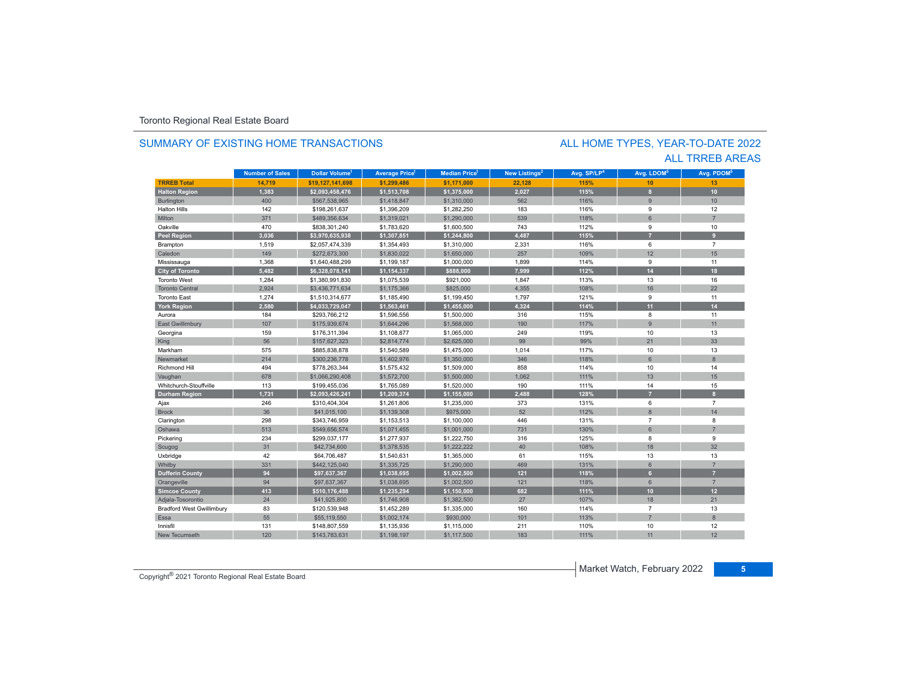### SUMMARY OF EXISTING HOME TRANSACTIONS

### ALL TRREB AREAS ALL HOME TYPES, YEAR-TO-DATE 2022

|                                  | <b>Number of Sales</b> | Dollar Volume <sup>1</sup> | <b>Average Price</b> | <b>Median Price</b> | New Listings <sup>2</sup> | Avg. SP/LP <sup>4</sup> | Avg. LDOM <sup>5</sup> | Avg. PDOM <sup>6</sup> |
|----------------------------------|------------------------|----------------------------|----------------------|---------------------|---------------------------|-------------------------|------------------------|------------------------|
| <b>TRREB Total</b>               | 14,719                 | \$19,127,141,698           | \$1,299,486          | \$1,171,000         | 22,128                    | 115%                    | 10                     | 13                     |
| <b>Halton Region</b>             | 1,383                  | \$2,093,458,476            | \$1,513,708          | \$1,375,000         | 2,027                     | 115%                    | 8                      | 10                     |
| <b>Burlington</b>                | 400                    | \$567,538,965              | \$1,418,847          | \$1,310,000         | 562                       | 116%                    | 9                      | 10                     |
| <b>Halton Hills</b>              | 142                    | \$198,261,637              | \$1,396,209          | \$1,282,250         | 183                       | 116%                    | 9                      | 12                     |
| Milton                           | 371                    | \$489,356,634              | \$1,319,021          | \$1,290,000         | 539                       | 118%                    | 6                      | $\overline{z}$         |
| Oakville                         | 470                    | \$838,301,240              | \$1,783,620          | \$1,600,500         | 743                       | 112%                    | 9                      | 10                     |
| <b>Peel Region</b>               | 3,036                  | \$3,970,635,938            | \$1,307,851          | \$1,244,800         | 4,487                     | 115%                    | 7                      | $\mathbf{q}$           |
| Brampton                         | 1,519                  | \$2,057,474,339            | \$1,354,493          | \$1,310,000         | 2,331                     | 116%                    | 6                      | $\overline{7}$         |
| Caledon                          | 149                    | \$272,673,300              | \$1,830,022          | \$1,650,000         | 257                       | 109%                    | 12                     | 15                     |
| Mississauga                      | 1,368                  | \$1,640,488,299            | \$1,199,187          | \$1,000,000         | 1,899                     | 114%                    | 9                      | 11                     |
| <b>City of Toronto</b>           | 5,482                  | \$6,328,078,141            | \$1,154,337          | \$888,000           | 7,999                     | 112%                    | 14                     | 18                     |
| <b>Toronto West</b>              | 1,284                  | \$1,380,991,830            | \$1,075,539          | \$921,000           | 1,847                     | 113%                    | 13                     | 16                     |
| <b>Toronto Central</b>           | 2,924                  | \$3,436,771,634            | \$1,175,366          | \$825,000           | 4,355                     | 108%                    | 16                     | 22                     |
| <b>Toronto East</b>              | 1,274                  | \$1,510,314,677            | \$1,185,490          | \$1,199,450         | 1,797                     | 121%                    | 9                      | 11                     |
| <b>York Region</b>               | 2,580                  | \$4,033,729,047            | \$1,563,461          | \$1,455,000         | 4,324                     | 114%                    | 11                     | 14                     |
| Aurora                           | 184                    | \$293,766,212              | \$1,596,556          | \$1,500,000         | 316                       | 115%                    | 8                      | 11                     |
| <b>East Gwillimbury</b>          | 107                    | \$175,939,674              | \$1,644,296          | \$1,568,000         | 190                       | 117%                    | 9                      | 11                     |
| Georgina                         | 159                    | \$176,311,394              | \$1,108,877          | \$1,065,000         | 249                       | 119%                    | 10                     | 13                     |
| King                             | 56                     | \$157,627,323              | \$2,814,774          | \$2,625,000         | 99                        | 99%                     | 21                     | 33                     |
| Markham                          | 575                    | \$885,838,878              | \$1,540,589          | \$1,475,000         | 1,014                     | 117%                    | 10                     | 13                     |
| Newmarket                        | 214                    | \$300,236,778              | \$1,402,976          | \$1,350,000         | 346                       | 118%                    | $6\phantom{1}$         | 8                      |
| <b>Richmond Hill</b>             | 494                    | \$778,263,344              | \$1,575,432          | \$1,509,000         | 858                       | 114%                    | 10                     | 14                     |
| Vaughan                          | 678                    | \$1,066,290,408            | \$1,572,700          | \$1,500,000         | 1,062                     | 111%                    | 13                     | 15                     |
| Whitchurch-Stouffville           | 113                    | \$199,455,036              | \$1,765,089          | \$1,520,000         | 190                       | 111%                    | 14                     | 15                     |
| <b>Durham Region</b>             | 1,731                  | \$2,093,426,241            | \$1,209,374          | \$1,155,000         | 2,488                     | 128%                    |                        | $\mathbf{a}$           |
| Ajax                             | 246                    | \$310,404,304              | \$1,261,806          | \$1,235,000         | 373                       | 131%                    | 6                      | $\overline{7}$         |
| <b>Brock</b>                     | 36                     | \$41,015,100               | \$1,139,308          | \$975,000           | 52                        | 112%                    | $\overline{8}$         | 14                     |
| Clarington                       | 298                    | \$343,746,959              | \$1,153,513          | \$1,100,000         | 446                       | 131%                    | $\overline{7}$         | 8                      |
| Oshawa                           | 513                    | \$549,656,574              | \$1,071,455          | \$1,001,000         | 731                       | 130%                    | 6                      |                        |
| Pickering                        | 234                    | \$299,037,177              | \$1,277,937          | \$1,222,750         | 316                       | 125%                    | 8                      | 9                      |
| Scugog                           | 31                     | \$42,734,600               | \$1,378,535          | \$1,222,222         | 40                        | 108%                    | 18                     | 32                     |
| Uxbridge                         | 42                     | \$64,706,487               | \$1,540,631          | \$1,365,000         | 61                        | 115%                    | 13                     | 13                     |
| Whitby                           | 331                    | \$442,125,040              | \$1,335,725          | \$1,290,000         | 469                       | 131%                    | $6\phantom{1}$         |                        |
| <b>Dufferin County</b>           | 94                     | \$97,637,367               | \$1,038,695          | \$1,002,500         | 121                       | 118%                    | 6 <sup>1</sup>         | $\overline{7}$         |
| Orangeville                      | 94                     | \$97,637,367               | \$1,038,695          | \$1,002,500         | 121                       | 118%                    | $6\phantom{1}$         | $\overline{7}$         |
| <b>Simcoe County</b>             | 413                    | \$510,176,488              | \$1,235,294          | \$1,150,000         | 682                       | 111%                    | 10                     | 12                     |
| Adjala-Tosorontio                | 24                     | \$41,925,800               | \$1,746,908          | \$1,382,500         | 27                        | 107%                    | 18                     | 21                     |
| <b>Bradford West Gwillimbury</b> | 83                     | \$120,539,948              | \$1,452,289          | \$1,335,000         | 160                       | 114%                    | $\overline{7}$         | 13                     |
| Essa                             | 55                     | \$55,119,550               | \$1,002.174          | \$930,000           | 101                       | 113%                    | $\overline{7}$         | 8                      |
| Innisfil                         | 131                    | \$148,807,559              | \$1,135,936          | \$1,115,000         | 211                       | 110%                    | 10                     | 12                     |
| New Tecumseth                    | 120                    | \$143,783,631              | \$1,198,197          | \$1,117,500         | 183                       | 111%                    | 11                     | 12                     |

Market Watch, February 2022 **<sup>5</sup>** Copyright® 2021 Toronto Regional Real Estate Board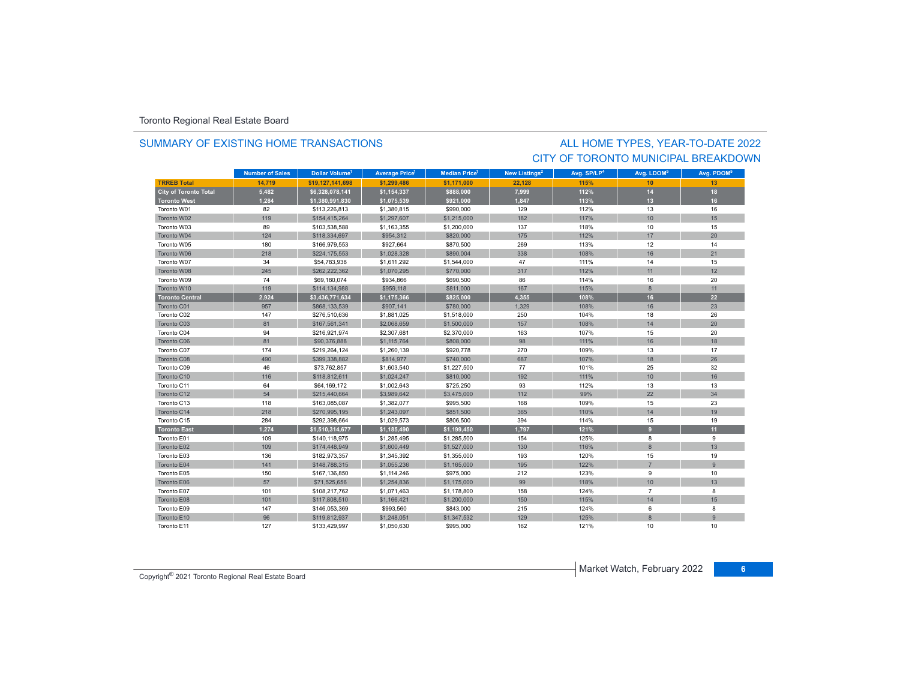### SUMMARY OF EXISTING HOME TRANSACTIONS

## CITY OF TORONTO MUNICIPAL BREAKDOWNALL HOME TYPES, YEAR-TO-DATE 2022

|                        | <b>Number of Sales</b> | Dollar Volume <sup>1</sup> | <b>Average Price<sup>1</sup></b> | Median Price <sup>1</sup> | New Listings <sup>2</sup> | Avg. SP/LP <sup>4</sup> | Avg. LDOM <sup>5</sup> | Avg. PDOM <sup>5</sup> |
|------------------------|------------------------|----------------------------|----------------------------------|---------------------------|---------------------------|-------------------------|------------------------|------------------------|
| <b>TRREB Total</b>     | 14.719                 | \$19,127,141,698           | \$1,299,486                      | \$1,171,000               | 22,128                    | 115%                    | 10                     | 13                     |
| City of Toronto Total  | 5,482                  | \$6,328,078,141            | \$1,154,337                      | \$888,000                 | 7,999                     | 112%                    | 14                     | 18                     |
| <b>Toronto West</b>    | 1,284                  | \$1,380,991,830            | \$1,075,539                      | \$921,000                 | 1,847                     | 113%                    | 13                     | 16                     |
| Toronto W01            | 82                     | \$113,226,813              | \$1,380,815                      | \$990,000                 | 129                       | 112%                    | 13                     | 16                     |
| Toronto W02            | 119                    | \$154,415,264              | \$1,297,607                      | \$1,215,000               | 182                       | 117%                    | 10                     | 15                     |
| Toronto W03            | 89                     | \$103,538,588              | \$1,163,355                      | \$1,200,000               | 137                       | 118%                    | 10                     | 15                     |
| Toronto W04            | 124                    | \$118,334,697              | \$954,312                        | \$820,000                 | 175                       | 112%                    | 17                     | 20                     |
| Toronto W05            | 180                    | \$166,979,553              | \$927,664                        | \$870,500                 | 269                       | 113%                    | 12                     | 14                     |
| Toronto W06            | 218                    | \$224,175,553              | \$1,028,328                      | \$890,004                 | 338                       | 108%                    | 16                     | 21                     |
| Toronto W07            | 34                     | \$54,783,938               | \$1,611,292                      | \$1,544,000               | 47                        | 111%                    | 14                     | 15                     |
| Toronto W08            | 245                    | \$262,222,362              | \$1,070,295                      | \$770,000                 | 317                       | 112%                    | 11                     | 12                     |
| Toronto W09            | 74                     | \$69,180,074               | \$934,866                        | \$690,500                 | 86                        | 114%                    | 16                     | 20                     |
| Toronto W10            | 119                    | \$114,134,988              | \$959,118                        | \$811,000                 | 167                       | 115%                    | 8                      | 11                     |
| <b>Toronto Central</b> | 2,924                  | \$3,436,771,634            | \$1,175,366                      | \$825,000                 | 4,355                     | 108%                    | 16                     | 22                     |
| Toronto C01            | 957                    | \$868,133,539              | \$907,141                        | \$780,000                 | 1.329                     | 108%                    | 16                     | 23                     |
| Toronto C02            | 147                    | \$276,510,636              | \$1,881,025                      | \$1,518,000               | 250                       | 104%                    | 18                     | 26                     |
| Toronto C03            | 81                     | \$167,561,341              | \$2,068,659                      | \$1,500,000               | 157                       | 108%                    | 14                     | 20                     |
| Toronto C04            | 94                     | \$216,921,974              | \$2,307,681                      | \$2,370,000               | 163                       | 107%                    | 15                     | 20                     |
| Toronto C06            | 81                     | \$90,376,888               | \$1,115,764                      | \$808,000                 | 98                        | 111%                    | 16                     | 18                     |
| Toronto C07            | 174                    | \$219,264,124              | \$1,260,139                      | \$920,778                 | 270                       | 109%                    | 13                     | 17                     |
| Toronto C08            | 490                    | \$399,338,882              | \$814,977                        | \$740,000                 | 687                       | 107%                    | 18                     | 26                     |
| Toronto C09            | 46                     | \$73,762,857               | \$1,603,540                      | \$1,227,500               | 77                        | 101%                    | 25                     | 32                     |
| Toronto C10            | 116                    | \$118,812,611              | \$1,024,247                      | \$810,000                 | 192                       | 111%                    | 10                     | 16                     |
| Toronto C11            | 64                     | \$64,169,172               | \$1,002,643                      | \$725,250                 | 93                        | 112%                    | 13                     | 13                     |
| Toronto C12            | 54                     | \$215,440,664              | \$3,989,642                      | \$3,475,000               | 112                       | 99%                     | 22                     | 34                     |
| Toronto C13            | 118                    | \$163,085,087              | \$1,382,077                      | \$995,500                 | 168                       | 109%                    | 15                     | 23                     |
| Toronto C14            | 218                    | \$270,995,195              | \$1,243,097                      | \$851,500                 | 365                       | 110%                    | 14                     | 19                     |
| Toronto C15            | 284                    | \$292.398.664              | \$1,029,573                      | \$806,500                 | 394                       | 114%                    | 15                     | 19                     |
| <b>Toronto East</b>    | 1,274                  | \$1,510,314,677            | \$1,185,490                      | \$1,199,450               | 1,797                     | 121%                    | 9                      | 11                     |
| Toronto E01            | 109                    | \$140,118,975              | \$1,285,495                      | \$1,285,500               | 154                       | 125%                    | 8                      | 9                      |
| Toronto E02            | 109                    | \$174,448,949              | \$1,600,449                      | \$1,527,000               | 130                       | 116%                    | 8                      | 13                     |
| Toronto E03            | 136                    | \$182,973,357              | \$1,345,392                      | \$1,355,000               | 193                       | 120%                    | 15                     | 19                     |
| Toronto E04            | 141                    | \$148,788,315              | \$1,055,236                      | \$1,165,000               | 195                       | 122%                    | $\overline{7}$         | 9                      |
| Toronto E05            | 150                    | \$167,136,850              | \$1,114,246                      | \$975,000                 | 212                       | 123%                    | 9                      | 10                     |
| Toronto E06            | 57                     | \$71,525,656               | \$1,254,836                      | \$1,175,000               | 99                        | 118%                    | 10                     | 13                     |
| Toronto E07            | 101                    | \$108,217,762              | \$1,071,463                      | \$1,178,800               | 158                       | 124%                    | $\overline{7}$         | 8                      |
| Toronto E08            | 101                    | \$117,808,510              | \$1,166,421                      | \$1,200,000               | 150                       | 115%                    | 14                     | 15                     |
| Toronto E09            | 147                    | \$146,053,369              | \$993,560                        | \$843,000                 | 215                       | 124%                    | 6                      | 8                      |
| Toronto E10            | 96                     | \$119,812,937              | \$1,248,051                      | \$1,347,532               | 129                       | 125%                    | $\mathbf{8}$           | 9                      |
| Toronto E11            | 127                    | \$133,429,997              | \$1,050,630                      | \$995,000                 | 162                       | 121%                    | 10                     | 10                     |

Market Watch, February 2022 **<sup>6</sup>** Copyright® 2021 Toronto Regional Real Estate Board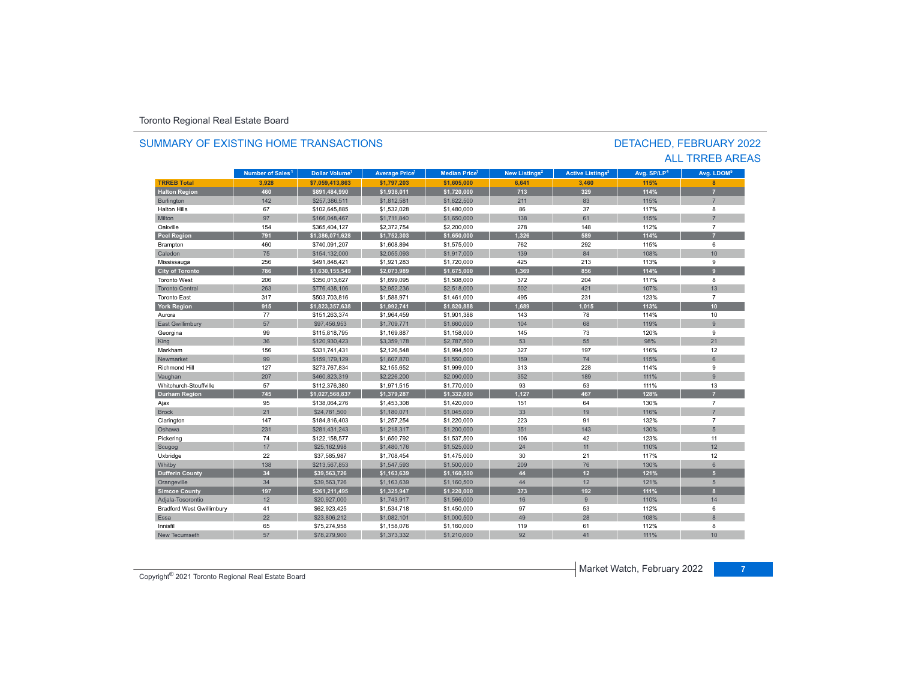#### **TR5EB Total 3,928 \$7,059,413,863 \$1,797,203 \$1,605,000 6,641 3,460 115% 8 Halton Region 460 \$891,484,990 \$1,938,011 \$1,720,000 713 329 114% 7** Burlington 142 142 \$257,386,511 \$1,812,581 \$1,622,500 211 83 1583 115% 115% 7 Halton Hillss 67 \$102,645,885 \$1,532,028 \$1,480,000 86 37 117% 8 Miltonn 97 \$166,048,467 \$1,711,840 \$1,650,000 138 61 115% 115% 7 Oakvillee 154 \$365,404,127 \$2,372,754 \$2,200,000 278 148 112% 7 **Peel Region 791 \$1,386,071,628 \$1,752,303 \$1,650,000 1,326 589 114% 7** Brampton 460 \$740,091,207 \$1,608,894 \$1,575,000 762 292 115% 6 Caledonn 75 \$154,132,000 \$2,055,093 \$1,917,000 139 84 108% 108% 10 Mississauga 256 \$491,848,421 \$1,921,283 \$1,720,000 425 213 113% 9 **City of Toronto 786 \$1,630,155,549 \$2,073,989 \$1,675,000 1,369 856 114% 9** Toronto West 206 \$350,013,627 \$1,699,095 \$1,508,000 372 204 117% 8 Toronto Central 263**\$776,438,106 \$2,952,236 \$2,518,000 502 421 421** 107% 13 Toronto East 317 \$503,703,816 \$1,588,971 \$1,461,000 495 231 123% 7 **York Region 915 \$1,823,357,638 \$1,992,741 \$1,820,888 1,689 1,015 113% 10** Auroraa 77 \$151,263,374 \$1,964,459 \$1,901,388 143 78 114% 114% 10 East Gwillimbury 57 \$97,456,953 \$1,709,771 \$1,660,000 104 68 119% 9 Georgina 99 \$115,818,795 \$1,169,887 \$1,158,000 145 73 120% 9 King 36 36 36 320,930,423 \$3,359,178 \$2,787,500 \$3 53 55 98% 21 53 55 98% 21 Markhamm 156 \$331,741,431 \$2,126,548 \$1,994,500 327 197 116% 116% 12 Newmarket 99\$159,179,129 \$1,607,870 \$1,550,000 159 159 74 6 Richmond Hill 127 \$273,767,834 \$2,155,652 \$1,999,000 313 228 114% 9 Vaughan 2001 - 207 | \$460,823,319 | \$2,226,200 | \$2,090,000 | 352 | 189 | 111% | 9 Whitchurch-Stouffvillee 57 \$112,376,380 \$1,971,515 \$1,770,000 93 53 111% % 13 **Durham Region 745 \$1,027,568,837 \$1,379,287 \$1,332,000 1,127 467 128% 7** Ajax 95 \$138,064,276 \$1,453,308 \$1,420,000 151 64 130% 7 Brockk 21 1 \$24,781,500 \$1,180,071 \$1,045,000 33 19 116% 7 Clarington 147 \$184,816,403 \$1,257,254 \$1,220,000 223 91 132% 132% 7 Oshawa 231 \$281,431,243 \$1,218,317 \$1,200,000 351 143 130% 5 Pickering 74 \$122,158,577 \$1,650,792 \$1,537,500 106 42 123% 11 Scugog 17 17 | \$25,162,998 | \$1,480,176 | \$1,525,000 | 24 | 11 | 110% | 12 Uxbridge 22 \$37,585,987 \$1,708,454 \$1,475,000 30 21 117% 12 Whitby 138 \$213,567,853 \$1,547,593 \$1,500,000 209 76 130% 6 **Dufferin County 34 \$39,563,726 \$1,163,639 \$1,160,500 44 12 121% 5** Orangeville 3 | 34 | \$39,563,726 \$1,163,639 \$1,160,500 | 44 | 12 | 121% | 5 **Simcoe County 197 \$261,211,495 \$1,325,947 \$1,220,000 373 192 111% 8** Adjala-Tosorontio 12 \$20,927,000 \$1,743,917 \$1,566,000 16 9 110% 14 Bradford West Gwillimbury 41 \$62,923,425 \$1,534,718 \$1,450,000 57 53 112% 6 Essa23,806,212 \$1,082,101 \$1,000,500 49 28 28 108% and 28 28 8 Innisfil 65 \$75,274,958 \$1,158,076 \$1,160,000 119 61 112% 8 New Tecumsethh 57 \$78,279,900 \$1,373,332 \$1,210,000 92 41 111% 111% 10 **Municipality Number of Sales Dollar Volume Average Price Median Price New Listings Active Listings Avg. SP/LP Avg. LDOM Number of Sales<sup>1</sup>** 1 **Dollar Volume<sup>1</sup> Aversen Price<sup>1</sup> Median Price<sup>1</sup> Maw Listings<sup>2</sup> Active Listings<sup>3</sup> Ave SD/LD<sup>4</sup> Ave LDOM<sup>5</sup>**

### SUMMARY OF EXISTING HOME TRANSACTIONS

### DETACHED, FEBRUARY 2022 ALL TRREB AREAS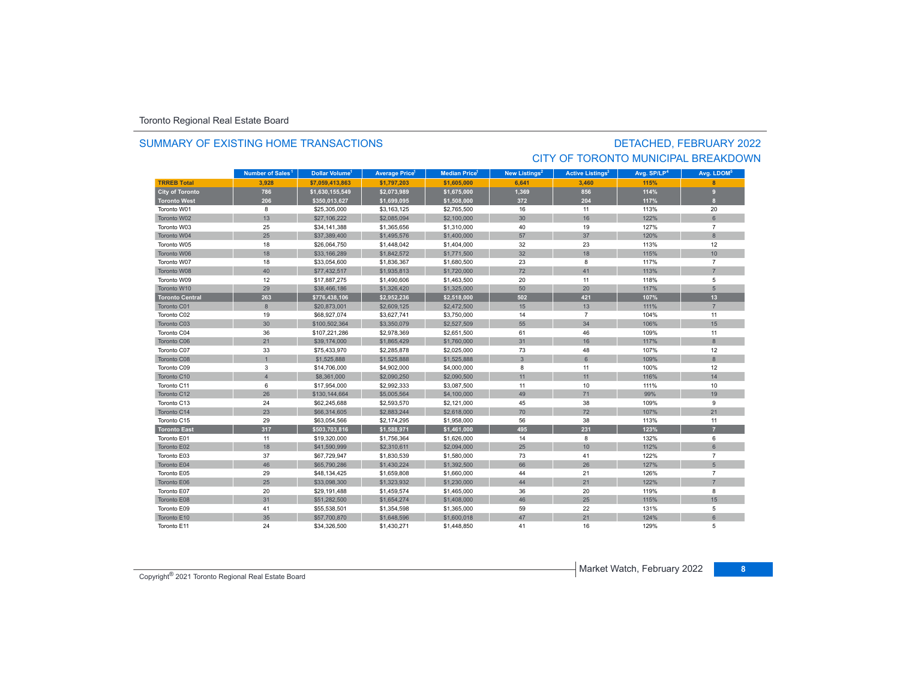### SUMMARY OF EXISTING HOME TRANSACTIONS

## DETACHED, FEBRUARY 2022 CITY OF TORONTO MUNICIPAL BREAKDOWN

|                        | Number of Sales <sup>1</sup> | <b>Dollar Volume<sup>1</sup></b> | <b>Average Price</b> | <b>Median Price<sup>1</sup></b> | New Listings <sup>2</sup> | <b>Active Listings<sup>3</sup></b> | Avg. SP/LP <sup>4</sup> | Avg. LDOM <sup>5</sup> |
|------------------------|------------------------------|----------------------------------|----------------------|---------------------------------|---------------------------|------------------------------------|-------------------------|------------------------|
| <b>TRREB Total</b>     | 3.928                        | \$7.059.413.863                  | \$1.797.203          | \$1,605,000                     | 6.641                     | 3.460                              | 115%                    |                        |
| <b>City of Toronto</b> | 786                          | \$1,630,155,549                  | \$2,073,989          | \$1,675,000                     | 1,369                     | 856                                | 114%                    | $\mathbf{g}$           |
| <b>Toronto West</b>    | 206                          | \$350,013,627                    | \$1,699,095          | \$1,508,000                     | 372                       | 204                                | 117%                    | $\mathbf{a}$           |
| Toronto W01            | 8                            | \$25,305,000                     | \$3,163,125          | \$2,765,500                     | 16                        | 11                                 | 113%                    | 20                     |
| Toronto W02            | 13                           | \$27,106,222                     | \$2,085,094          | \$2,100,000                     | 30                        | 16                                 | 122%                    | 6                      |
| Toronto W03            | 25                           | \$34,141,388                     | \$1,365,656          | \$1,310,000                     | 40                        | 19                                 | 127%                    | $\overline{7}$         |
| Toronto W04            | 25                           | \$37,389,400                     | \$1,495,576          | \$1,400,000                     | 57                        | 37                                 | 120%                    | $\mathbf{8}$           |
| Toronto W05            | 18                           | \$26,064,750                     | \$1,448,042          | \$1,404,000                     | 32                        | 23                                 | 113%                    | 12                     |
| Toronto W06            | 18                           | \$33,166,289                     | \$1,842,572          | \$1,771,500                     | 32                        | 18                                 | 115%                    | 10                     |
| Toronto W07            | 18                           | \$33,054,600                     | \$1,836,367          | \$1,680,500                     | 23                        | 8                                  | 117%                    | $\overline{7}$         |
| Toronto W08            | 40                           | \$77,432,517                     | \$1,935,813          | \$1,720,000                     | 72                        | 41                                 | 113%                    | $\overline{7}$         |
| Toronto W09            | 12                           | \$17,887,275                     | \$1,490,606          | \$1,463,500                     | 20                        | 11                                 | 118%                    | 5                      |
| Toronto W10            | 29                           | \$38,466,186                     | \$1,326,420          | \$1,325,000                     | 50                        | 20                                 | 117%                    | 5                      |
| <b>Toronto Central</b> | 263                          | \$776,438,106                    | \$2,952,236          | \$2,518,000                     | 502                       | 421                                | 107%                    | 13                     |
| Toronto C01            | 8                            | \$20,873,001                     | \$2,609,125          | \$2,472,500                     | 15                        | 13                                 | 111%                    | $\overline{7}$         |
| Toronto C02            | 19                           | \$68,927,074                     | \$3,627,741          | \$3,750,000                     | 14                        | $\overline{7}$                     | 104%                    | 11                     |
| Toronto C03            | 30                           | \$100,502,364                    | \$3,350,079          | \$2,527,509                     | 55                        | 34                                 | 106%                    | 15                     |
| Toronto C04            | 36                           | \$107,221,286                    | \$2,978,369          | \$2,651,500                     | 61                        | 46                                 | 109%                    | 11                     |
| Toronto C06            | 21                           | \$39,174,000                     | \$1,865,429          | \$1,760,000                     | 31                        | 16                                 | 117%                    | 8                      |
| Toronto C07            | 33                           | \$75,433,970                     | \$2,285,878          | \$2,025,000                     | 73                        | 48                                 | 107%                    | 12                     |
| Toronto C08            | $\overline{1}$               | \$1,525,888                      | \$1,525,888          | \$1,525,888                     | $\mathbf{3}$              | 6                                  | 109%                    | 8                      |
| Toronto C09            | 3                            | \$14,706,000                     | \$4,902,000          | \$4,000,000                     | 8                         | 11                                 | 100%                    | 12                     |
| Toronto C10            | $\overline{4}$               | \$8,361,000                      | \$2,090,250          | \$2,090,500                     | 11                        | 11                                 | 116%                    | 14                     |
| Toronto C11            | 6                            | \$17,954,000                     | \$2,992,333          | \$3,087,500                     | 11                        | 10                                 | 111%                    | 10                     |
| Toronto C12            | 26                           | \$130,144,664                    | \$5,005,564          | \$4,100,000                     | 49                        | 71                                 | 99%                     | 19                     |
| Toronto C13            | 24                           | \$62,245,688                     | \$2,593,570          | \$2,121,000                     | 45                        | 38                                 | 109%                    | 9                      |
| Toronto C14            | 23                           | \$66,314,605                     | \$2,883,244          | \$2,618,000                     | 70                        | 72                                 | 107%                    | 21                     |
| Toronto C15            | 29                           | \$63,054,566                     | \$2,174,295          | \$1,958,000                     | 56                        | 38                                 | 113%                    | 11                     |
| <b>Toronto East</b>    | 317                          | \$503,703,816                    | \$1,588,971          | \$1,461,000                     | 495                       | 231                                | 123%                    |                        |
| Toronto E01            | 11                           | \$19,320,000                     | \$1,756,364          | \$1,626,000                     | 14                        | 8                                  | 132%                    | 6                      |
| Toronto E02            | 18                           | \$41,590,999                     | \$2,310,611          | \$2,094,000                     | 25                        | 10                                 | 112%                    | 6                      |
| Toronto E03            | 37                           | \$67,729,947                     | \$1,830,539          | \$1,580,000                     | 73                        | 41                                 | 122%                    | $\overline{7}$         |
| Toronto E04            | 46                           | \$65,790,286                     | \$1,430,224          | \$1,392,500                     | 66                        | 26                                 | 127%                    | 5                      |
| Toronto E05            | 29                           | \$48,134,425                     | \$1,659,808          | \$1,660,000                     | 44                        | 21                                 | 126%                    | $\overline{7}$         |
| Toronto E06            | 25                           | \$33,098,300                     | \$1,323,932          | \$1,230,000                     | 44                        | 21                                 | 122%                    | $\overline{7}$         |
| Toronto E07            | 20                           | \$29,191,488                     | \$1,459,574          | \$1,465,000                     | 36                        | 20                                 | 119%                    | 8                      |
| Toronto E08            | 31                           | \$51,282,500                     | \$1,654,274          | \$1,408,000                     | 46                        | 25                                 | 115%                    | 15                     |
| Toronto E09            | 41                           | \$55,538,501                     | \$1,354,598          | \$1,365,000                     | 59                        | 22                                 | 131%                    | 5                      |
| Toronto E10            | 35                           | \$57,700,870                     | \$1,648,596          | \$1,600,018                     | 47                        | 21                                 | 124%                    | 6                      |
| Toronto E11            | 24                           | \$34,326,500                     | \$1,430,271          | \$1,448,850                     | 41                        | 16                                 | 129%                    | 5                      |

Market Watch, February 2022 **<sup>8</sup>** Copyright® 2021 Toronto Regional Real Estate Board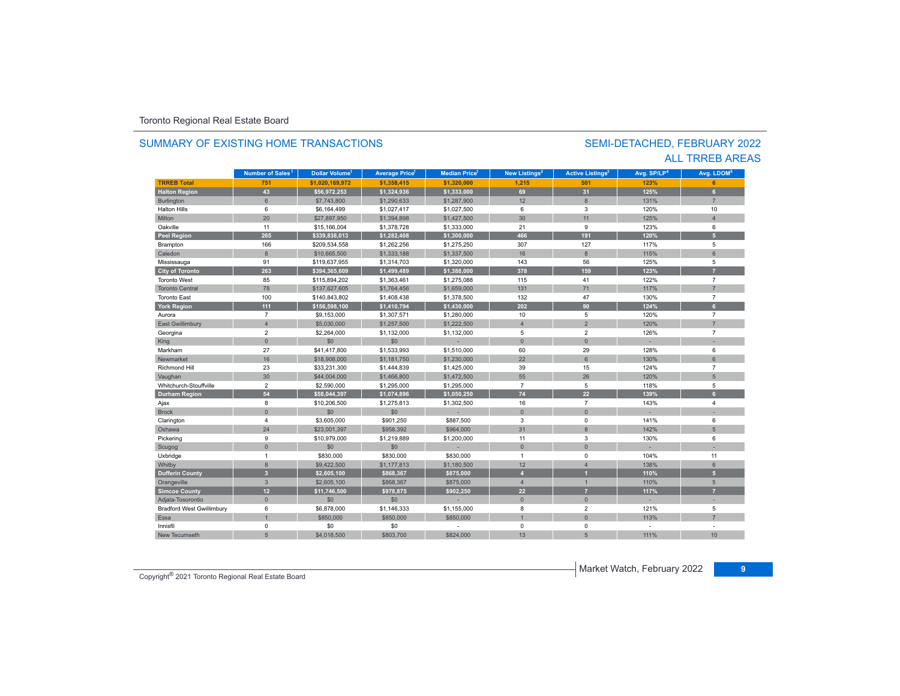#### **TR5EB Total 751 \$1,020,169,972 \$1,358,415 \$1,320,000 1,215 501 123% 6 Halton Region 43 \$56,972,253 \$1,324,936 \$1,333,000 69 31 125% 6** Burlington 6 \$7,743,800 \$1,290,633 \$1,287,900 12 8 131% 7 Halton Hills $\mathbf{s}$  6 \$6,164,499 \$1,027,417 \$1,027,500 6 3 120%% 10 Miltonn 20 \$27,897,950 \$1,394,898 \$1,427,500 30 11 125% 4 Oakvillee 11 \$15,166,004 \$1,378,728 \$1,333,000 21 9 123% 6 **Peel Region 265 \$339,838,013 \$1,282,408 \$1,300,000 466 191 120% 5** Brampton 166 \$209,534,558 \$1,262,256 \$1,275,250 307 127 117% 5 Caledonn 8 \$10,665,500 \$1,333,188 \$1,337,500 16 8 115% 6 Mississauga 91 \$119,637,955 \$1,314,703 \$1,320,000 143 56 125% 5 **City of Toronto 263 \$394,365,609 \$1,499,489 \$1,388,000 378 159 123% 7** Toronto West 85 \$115,894,202 \$1,363,461 \$1,275,088 115 41 122% 7 Toronto Central 78. 8 \$137,627,605 \$1,764,456 \$1,659,000 \$1,131 71 71 17% 7 Toronto East 100 \$140,843,802 \$1,408,438 \$1,378,500 132 47 130% 7 **York Region 111 \$156,598,100 \$1,410,794 \$1,430,000 202 90 124% 6** Auroraa 7 \$9,153,000 \$1,307,571 \$1,280,000 10 5 120% 7 East Gwillimbury 4 \$5,030,000 \$1,257,500 \$1,222,500 4 2 7 Georgina 2 \$2,264,000 \$1,132,000 \$1,132,000 5 2 126% 7 King 0 \$0 \$0 - 0 0 - - Markhamm 27 \$41,417,800 \$1,533,993 \$1,510,000 60 29 128% 6 Newmarket 16 \$18,908,000 \$1,181,750 \$1,230,000 22 6 130% 6 Richmond Hill 23 \$33,231,300 \$1,444,839 \$1,425,000 39 15 124% 7 Vaughan 30 30 \$44,004,000 \$1,466,800 \$1,472,500 55 26 1 120% 51,200 55 Whitchurch-Stouffville 2 \$2,590,000 \$1,295,000 \$1,295,000 7 5 118% 5 **Durham Region 54 \$58,044,397 \$1,074,896 \$1,050,250 74 22 139% 6** Ajax 8 \$10,206,500 \$1,275,813 \$1,302,500 16 7 143% 4 Brock 0 \$0 \$0 - 0 0 - - Clarington 4 \$3,605,000 \$901,250 \$887,500 3 0 141% 6 Oshawaa 24 \$23,001,397 \$958,392 \$964,000 31 8 142% 5 0 11 30% 9 \$10,979,000 \$1,219,889 \$1,200,000 11 3 130% 130% 6 Scugog 0 \$0 \$0 - 0 0 - - Uxbridge 1 \$830,000 \$830,000 \$830,000 1 0 104% 11 Whitby 8 \$9,422,500 \$1,177,813 \$1,180,500 12 4 138% 6 **Dufferin County 3 \$2,605,100 \$868,367 \$875,000 4 1 110% 5** Orangeville 3 \$2,605,100 \$868,367 \$875,000 4 1 1 110% 5 **Simcoe County 12 \$11,746,500 \$978,875 \$902,250 22 7 117% 7** Adjala-Tosorontio 0 \$0 \$0 - 0 0 - - Bradford West Gwillimbury 6 \$6,878,000 \$1,146,333 \$1,155,000 8 2 121% 5 Essa1 \$850,000 \$850,000 \$850,000 \$850,000 \$850,000 \$850,000 \$850,000 \$1.00 \$850,000 \$ 113% 7 Innisfil 0 \$0 \$0 - 0 0 - - New Tecumseth111% 10 **Municipality Number of Sales Dollar Volume Average Price Median Price New Listings Active Listings Avg. SP/LP Avg. LDOM Number of Sales<sup>1</sup> 1** Dollar Volume<sup>1</sup> | Average Price<sup>1</sup> | Median Price<sup>1</sup> | New Listings<sup>2</sup> | Active Listings<sup>3</sup> | Avg. SP/LP<sup>4</sup> | Avg. LDOM<sup>s</sup>

h 5 \$4,018,500 \$803,700 \$824,000 13 5 111%

## SUMMARY OF EXISTING HOME TRANSACTIONS

### SEMI-DETACHED, FEBRUARY 2022 ALL TRREB AREAS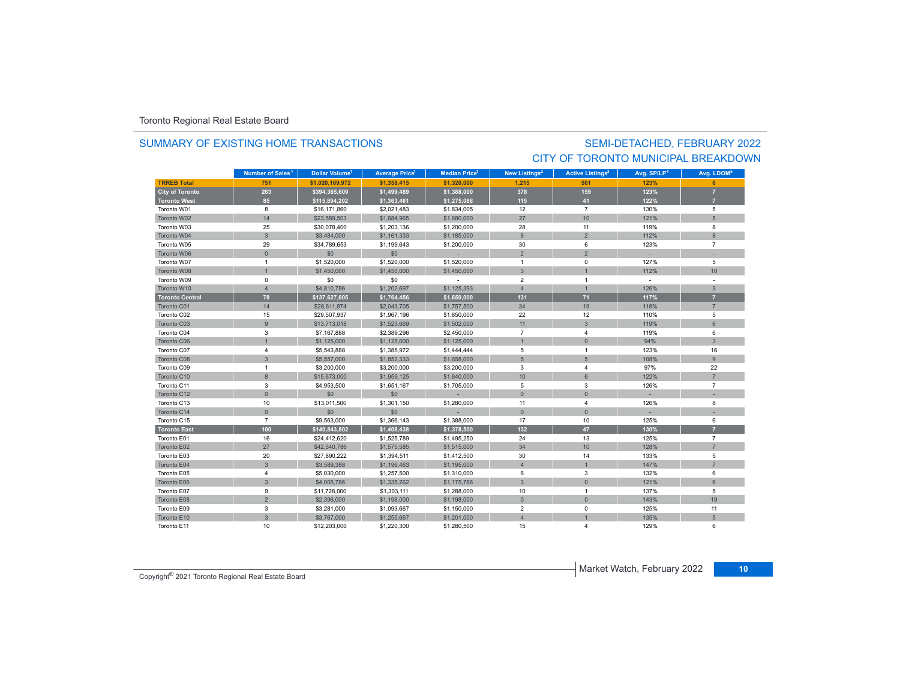### SUMMARY OF EXISTING HOME TRANSACTIONS

## SEMI-DETACHED, FEBRUARY 2022 CITY OF TORONTO MUNICIPAL BREAKDOWN

|                        | Number of Sales <sup>1</sup> | <b>Dollar Volume<sup>1</sup></b> | <b>Average Price</b> | <b>Median Price</b> | <b>New Listings<sup>2</sup></b> | <b>Active Listings<sup>3</sup></b> | Avg. SP/LP <sup>4</sup> | Avg. LDOM <sup>5</sup> |
|------------------------|------------------------------|----------------------------------|----------------------|---------------------|---------------------------------|------------------------------------|-------------------------|------------------------|
| <b>TRREB Total</b>     | 751                          | \$1,020,169,972                  | \$1,358,415          | \$1,320,000         | 1,215                           | 501                                | 123%                    |                        |
| <b>City of Toronto</b> | 263                          | \$394,365,609                    | \$1,499,489          | \$1,388,000         | 378                             | 159                                | 123%                    |                        |
| <b>Toronto West</b>    | 85                           | \$115,894,202                    | \$1,363,461          | \$1,275,088         | 115                             | 41                                 | 122%                    |                        |
| Toronto W01            | 8                            | \$16,171,860                     | \$2,021,483          | \$1,834,005         | 12                              | $\overline{7}$                     | 130%                    | 5                      |
| Toronto W02            | 14                           | \$23,589,503                     | \$1,684,965          | \$1,680,000         | 27                              | 10 <sup>10</sup>                   | 121%                    | 5                      |
| Toronto W03            | 25                           | \$30,078,400                     | \$1,203,136          | \$1,200,000         | 28                              | 11                                 | 119%                    | 8                      |
| Toronto W04            | $\mathbf{3}$                 | \$3,484,000                      | \$1,161,333          | \$1,185,000         | 6                               | $\overline{2}$                     | 112%                    | 8                      |
| Toronto W05            | 29                           | \$34,789,653                     | \$1,199,643          | \$1,200,000         | 30                              | 6                                  | 123%                    | $\overline{7}$         |
| Toronto W06            | $\mathbf{0}$                 | \$0                              | \$0                  |                     | $\overline{2}$                  | $\overline{2}$                     |                         |                        |
| Toronto W07            | $\overline{1}$               | \$1,520,000                      | \$1,520,000          | \$1,520,000         | $\overline{1}$                  | $\mathbf 0$                        | 127%                    | 5                      |
| Toronto W08            | $\overline{1}$               | \$1,450,000                      | \$1,450,000          | \$1,450,000         | $\mathbf{3}$                    | $\overline{1}$                     | 112%                    | 10                     |
| Toronto W09            | $\mathbf 0$                  | \$0                              | \$0                  |                     | $\overline{2}$                  | $\overline{1}$                     | $\sim$                  |                        |
| Toronto W10            | $\overline{4}$               | \$4,810,786                      | \$1,202,697          | \$1,125,393         | $\overline{4}$                  | $\mathbf{1}$                       | 126%                    | $\mathbf{3}$           |
| <b>Toronto Central</b> | 78                           | \$137,627,605                    | \$1,764,456          | \$1,659,000         | 131                             | 71                                 | 117%                    | $\overline{7}$         |
| Toronto C01            | 14                           | \$28,611,874                     | \$2,043,705          | \$1,757,500         | 34                              | 19                                 | 118%                    | $\overline{7}$         |
| Toronto C02            | 15                           | \$29,507,937                     | \$1,967,196          | \$1,850,000         | 22                              | 12                                 | 110%                    | 5                      |
| Toronto C03            | 9                            | \$13,713,018                     | \$1,523,669          | \$1,502,000         | 11                              | $\mathbf{3}$                       | 119%                    | 6                      |
| Toronto C04            | 3                            | \$7,167,888                      | \$2,389,296          | \$2,450,000         | $\overline{7}$                  | $\overline{4}$                     | 119%                    | 6                      |
| Toronto C06            | $\overline{1}$               | \$1,125,000                      | \$1,125,000          | \$1,125,000         |                                 | $\mathbf{0}$                       | 94%                     | $\mathbf{3}$           |
| Toronto C07            | $\overline{4}$               | \$5,543,888                      | \$1,385,972          | \$1,444,444         | 5                               | $\overline{1}$                     | 123%                    | 16                     |
| Toronto C08            | 3                            | \$5,557,000                      | \$1,852,333          | \$1,658,000         | 5                               | 5                                  | 108%                    | 9                      |
| Toronto C09            | $\overline{1}$               | \$3,200,000                      | \$3,200,000          | \$3,200,000         | 3                               | $\overline{\mathbf{4}}$            | 97%                     | 22                     |
| Toronto C10            | 8                            | \$15,673,000                     | \$1,959,125          | \$1,840,000         | 10                              | 6                                  | 122%                    | $\overline{7}$         |
| Toronto C11            | 3                            | \$4,953,500                      | \$1,651,167          | \$1,705,000         | 5                               | 3                                  | 126%                    | $\overline{7}$         |
| Toronto C12            | $\mathbf{0}$                 | \$0                              | \$0                  |                     | $\mathbf{0}$                    | $\mathbf{0}$                       |                         |                        |
| Toronto C13            | 10                           | \$13,011,500                     | \$1,301,150          | \$1,280,000         | 11                              | $\overline{4}$                     | 126%                    | 8                      |
| Toronto C14            | $\mathbf{0}$                 | \$0                              | \$0                  |                     | $\mathbf{0}$                    | $\mathbf{0}$                       |                         |                        |
| Toronto C15            | $\overline{7}$               | \$9,563,000                      | \$1,366,143          | \$1,388,000         | 17                              | 10                                 | 125%                    | 6                      |
| <b>Toronto East</b>    | 100                          | \$140,843,802                    | \$1,408,438          | \$1,378,500         | 132                             | 47                                 | 130%                    | $\overline{7}$         |
| Toronto E01            | 16                           | \$24,412,620                     | \$1,525,789          | \$1,495,250         | 24                              | 13                                 | 125%                    | $\overline{7}$         |
| Toronto E02            | 27                           | \$42,540,786                     | \$1,575,585          | \$1,515,000         | 34                              | 10                                 | 128%                    | $\overline{7}$         |
| Toronto E03            | 20                           | \$27,890,222                     | \$1,394,511          | \$1,412,500         | 30                              | 14                                 | 133%                    | 5                      |
| Toronto E04            | $\overline{3}$               | \$3,589,388                      | \$1,196,463          | \$1,195,000         | $\overline{4}$                  | $\overline{1}$                     | 147%                    | $\overline{7}$         |
| Toronto E05            | $\overline{4}$               | \$5,030,000                      | \$1,257,500          | \$1,310,000         | 6                               | 3                                  | 132%                    | 6                      |
| Toronto E06            | $\mathbf{3}$                 | \$4,005,786                      | \$1,335,262          | \$1,175,786         | $\mathbf{3}$                    | $\overline{0}$                     | 121%                    | 6                      |
| Toronto E07            | 9                            | \$11,728,000                     | \$1,303,111          | \$1,288,000         | 10                              | $\overline{1}$                     | 137%                    | 5                      |
| Toronto E08            | $\overline{2}$               | \$2,396,000                      | \$1,198,000          | \$1,198,000         | $\mathbf 0$                     | $\mathbf 0$                        | 143%                    | 19                     |
| Toronto E09            | 3                            | \$3,281,000                      | \$1,093,667          | \$1,150,000         | $\overline{2}$                  | $\Omega$                           | 125%                    | 11                     |
| Toronto E10            | 3                            | \$3,767,000                      | \$1,255,667          | \$1,201,000         | $\overline{A}$                  |                                    | 135%                    | 5                      |
| Toronto E11            | 10                           | \$12,203,000                     | \$1,220,300          | \$1,280,500         | 15                              | 4                                  | 129%                    | 6                      |

**Market Watch, February 2022** 10 Copyright<sup>®</sup> 2021 Toronto Regional Real Estate Board 10 Copyright<sup>®</sup> 2021 Toronto Regional Real Estate Board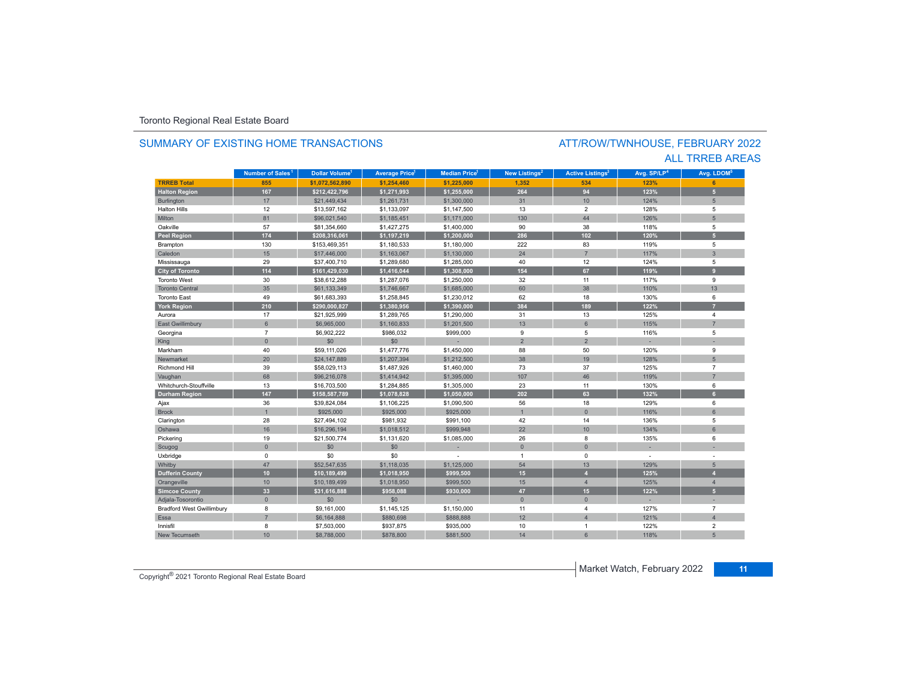# SUMMARY OF EXISTING HOME TRANSACTIONS

### ATT/ROW/TWNHOUSE, FEBRUARY 2022 ALL TRREB AREAS

|                                  | Number of Sales <sup>1</sup> | Dollar Volume <sup>1</sup> | <b>Average Price</b> | <b>Median Price</b> | New Listings <sup>2</sup> | <b>Active Listings<sup>3</sup></b> | Avg. SP/LP <sup>4</sup> | Avg. LDOM <sup>5</sup> |
|----------------------------------|------------------------------|----------------------------|----------------------|---------------------|---------------------------|------------------------------------|-------------------------|------------------------|
| <b>TRREB Total</b>               | 855                          | \$1.072.562.890            | \$1.254.460          | \$1,225,000         | 1.352                     | 534                                | 123%                    | <b>G</b>               |
| <b>Halton Region</b>             | 167                          | \$212,422,796              | \$1,271,993          | \$1,255,000         | 264                       | 94                                 | 123%                    | 5 <sup>1</sup>         |
| Burlington                       | 17                           | \$21,449,434               | \$1,261,731          | \$1,300,000         | 31                        | 10                                 | 124%                    | 5                      |
| <b>Halton Hills</b>              | 12                           | \$13,597,162               | \$1,133,097          | \$1,147,500         | 13                        | $\overline{2}$                     | 128%                    | 5                      |
| Milton                           | 81                           | \$96,021.540               | \$1,185,451          | \$1,171,000         | 130                       | 44                                 | 126%                    | 5                      |
| Oakville                         | 57                           | \$81,354,660               | \$1,427,275          | \$1,400,000         | 90                        | 38                                 | 118%                    | 5                      |
| Peel Region                      | 174                          | \$208,316,061              | \$1,197,219          | \$1,200,000         | 286                       | 102                                | 120%                    | $\overline{5}$         |
| Brampton                         | 130                          | \$153,469,351              | \$1,180,533          | \$1,180,000         | 222                       | 83                                 | 119%                    | 5                      |
| Caledon                          | 15                           | \$17,446,000               | \$1,163,067          | \$1,130,000         | 24                        | $\overline{7}$                     | 117%                    | $\overline{3}$         |
| Mississauga                      | 29                           | \$37,400,710               | \$1,289,680          | \$1,285,000         | 40                        | 12                                 | 124%                    | 5                      |
| <b>City of Toronto</b>           | 114                          | \$161,429,030              | \$1,416,044          | \$1,308,000         | 154                       | 67                                 | 119%                    | $\overline{9}$         |
| <b>Toronto West</b>              | 30                           | \$38,612,288               | \$1,287,076          | \$1,250,000         | 32                        | 11                                 | 117%                    | 9                      |
| <b>Toronto Central</b>           | 35                           | \$61,133,349               | \$1,746,667          | \$1,685,000         | 60                        | 38                                 | 110%                    | 13                     |
| <b>Toronto East</b>              | 49                           | \$61,683,393               | \$1,258,845          | \$1,230,012         | 62                        | 18                                 | 130%                    | 6                      |
| <b>York Region</b>               | 210                          | \$290,000,827              | \$1,380,956          | \$1,390,000         | 384                       | 189                                | 122%                    |                        |
| Aurora                           | 17                           | \$21,925,999               | \$1,289,765          | \$1,290,000         | 31                        | 13                                 | 125%                    | 4                      |
| East Gwillimbury                 | $6\phantom{.}$               | \$6,965,000                | \$1,160,833          | \$1,201,500         | 13                        | $6\phantom{1}$                     | 115%                    | $\overline{7}$         |
| Georgina                         | $\overline{7}$               | \$6,902,222                | \$986,032            | \$999,000           | 9                         | 5                                  | 116%                    | 5                      |
| King                             | $\mathsf{O}\xspace$          | \$0                        | \$0                  |                     | $\overline{2}$            | $\overline{2}$                     |                         |                        |
| Markham                          | 40                           | \$59,111,026               | \$1,477,776          | \$1,450,000         | 88                        | 50                                 | 120%                    | 9                      |
| Newmarket                        | 20                           | \$24,147,889               | \$1,207,394          | \$1,212,500         | 38                        | 19                                 | 128%                    | 5                      |
| <b>Richmond Hill</b>             | 39                           | \$58,029,113               | \$1,487,926          | \$1,460,000         | 73                        | 37                                 | 125%                    | $\overline{7}$         |
| Vaughan                          | 68                           | \$96,216,078               | \$1,414,942          | \$1,395,000         | 107                       | 46                                 | 119%                    | 7                      |
| Whitchurch-Stouffville           | 13                           | \$16,703,500               | \$1,284,885          | \$1,305,000         | 23                        | 11                                 | 130%                    | 6                      |
| <b>Durham Region</b>             | 147                          | \$158,587,789              | \$1,078,828          | \$1,050,000         | 202                       | 63                                 | 132%                    | 6                      |
| Ajax                             | 36                           | \$39,824,084               | \$1,106,225          | \$1,090,500         | 56                        | 18                                 | 129%                    | 6                      |
| <b>Brock</b>                     | $\overline{1}$               | \$925,000                  | \$925,000            | \$925,000           |                           | $\Omega$                           | 116%                    | $\epsilon$             |
| Clarington                       | 28                           | \$27,494,102               | \$981,932            | \$991,100           | 42                        | 14                                 | 136%                    | 5                      |
| Oshawa                           | 16                           | \$16,296,194               | \$1,018,512          | \$999,948           | 22                        | 10                                 | 134%                    | 6                      |
| Pickering                        | 19                           | \$21,500,774               | \$1,131,620          | \$1,085,000         | 26                        | 8                                  | 135%                    | 6                      |
| Scugog                           | $\overline{0}$               | \$0                        | \$0                  |                     | $\Omega$                  | $\mathbf{0}$                       |                         |                        |
| Uxbridge                         | $\mathbf 0$                  | \$0                        | \$0                  |                     | $\overline{1}$            | $\mathbf 0$                        | ÷,                      |                        |
| Whitby                           | 47                           | \$52,547,635               | \$1,118,035          | \$1,125,000         | 54                        | 13                                 | 129%                    | 5                      |
| <b>Dufferin County</b>           | 10                           | \$10,189,499               | \$1,018,950          | \$999,500           | 15                        | $\overline{A}$                     | 125%                    | A                      |
| Orangeville                      | 10                           | \$10,189,499               | \$1,018,950          | \$999,500           | 15                        | $\overline{4}$                     | 125%                    | $\overline{4}$         |
| <b>Simcoe County</b>             | 33                           | \$31,616,888               | \$958,088            | \$930,000           | 47                        | 15                                 | 122%                    | 5 <sup>1</sup>         |
| Adjala-Tosorontio                | $\mathbf{0}$                 | \$0                        | \$0                  |                     | $\mathbf{0}$              | $\overline{0}$                     |                         |                        |
| <b>Bradford West Gwillimbury</b> | 8                            | \$9,161,000                | \$1,145,125          | \$1,150,000         | 11                        | $\overline{4}$                     | 127%                    | $\overline{7}$         |
| Essa                             | $\overline{7}$               | \$6,164,888                | \$880,698            | \$888,888           | 12                        | $\overline{A}$                     | 121%                    | $\overline{4}$         |
| Innisfil                         | 8                            | \$7,503,000                | \$937,875            | \$935,000           | 10                        | $\overline{1}$                     | 122%                    | $\overline{2}$         |
| New Tecumseth                    | 10                           | \$8,788,000                | \$878,800            | \$881,500           | 14                        | 6                                  | 118%                    | $\sqrt{2}$             |

Market Watch, February 2022 **<sup>11</sup>** Copyright® 2021 Toronto Regional Real Estate Board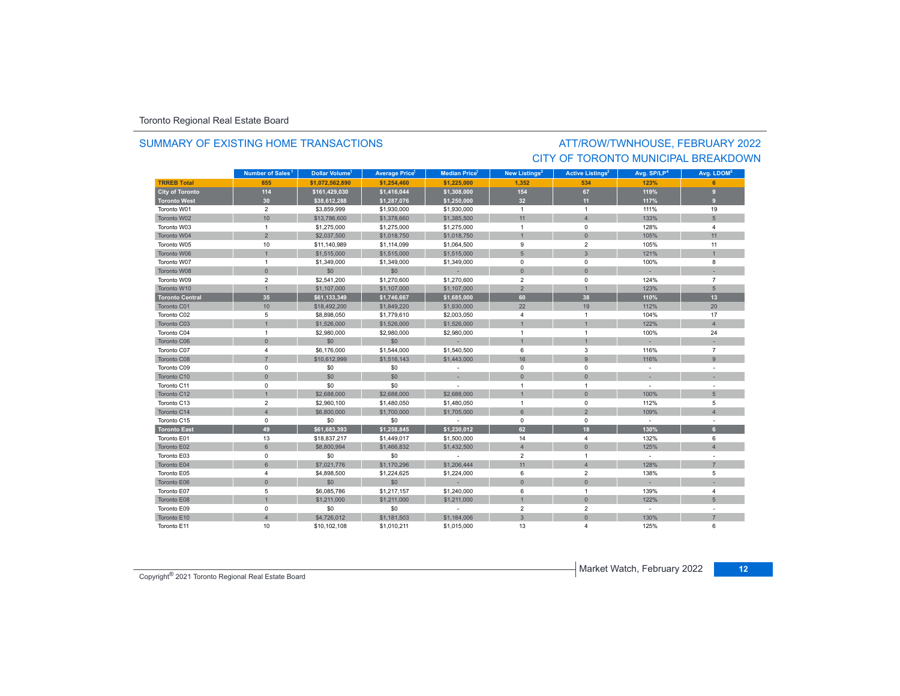### SUMMARY OF EXISTING HOME TRANSACTIONS

### ATT/ROW/TWNHOUSE, FEBRUARY 2022 CITY OF TORONTO MUNICIPAL BREAKDOWN

|                        | Number of Sales <sup>1</sup> | Dollar Volume <sup>1</sup> | <b>Average Price</b> | <b>Median Price</b> <sup>1</sup> | New Listings <sup>2</sup> |                | Avg. SP/LP <sup>4</sup> | Avg. LDOM <sup>5</sup> |
|------------------------|------------------------------|----------------------------|----------------------|----------------------------------|---------------------------|----------------|-------------------------|------------------------|
| <b>TRREB Total</b>     | 855                          | \$1.072.562.890            | \$1,254,460          | \$1,225,000                      | 1.352                     | 534            | 123%                    |                        |
| <b>City of Toronto</b> | 114                          | \$161,429,030              | \$1,416,044          | \$1,308,000                      | 154                       | 67             | 119%                    | 9                      |
| <b>Toronto West</b>    | 30                           | \$38,612,288               | \$1,287,076          | \$1,250,000                      | 32                        | 11             | 117%                    | $\mathbf{a}$           |
| Toronto W01            | $\overline{2}$               | \$3,859,999                | \$1,930,000          | \$1,930,000                      | $\overline{1}$            | $\overline{1}$ | 111%                    | 19                     |
| Toronto W02            | 10                           | \$13,786,600               | \$1,378,660          | \$1,385,500                      | 11                        | $\overline{4}$ | 133%                    | 5                      |
| Toronto W03            | $\mathbf{1}$                 | \$1,275,000                | \$1,275,000          | \$1,275,000                      | $\overline{1}$            | $\mathbf 0$    | 128%                    | $\overline{4}$         |
| Toronto W04            | $\overline{2}$               | \$2,037,500                | \$1,018,750          | \$1,018,750                      |                           | $\Omega$       | 105%                    | 11                     |
| Toronto W05            | 10                           | \$11,140,989               | \$1,114,099          | \$1,064,500                      | 9                         | $\overline{2}$ | 105%                    | 11                     |
| Toronto W06            | $\overline{1}$               | \$1,515,000                | \$1,515,000          | \$1,515,000                      | $5\phantom{1}$            | $\mathbf{3}$   | 121%                    | $\mathbf{1}$           |
| Toronto W07            | $\mathbf{1}$                 | \$1,349,000                | \$1,349,000          | \$1,349,000                      | $\mathbf 0$               | $\mathbf 0$    | 100%                    | 8                      |
| Toronto W08            | $\mathbf{0}$                 | \$0                        | \$0                  |                                  | $\mathbf{0}$              | $\Omega$       |                         |                        |
| Toronto W09            | $\overline{2}$               | \$2,541,200                | \$1,270,600          | \$1,270,600                      | $\overline{2}$            | $\mathbf 0$    | 124%                    | $\overline{7}$         |
| Toronto W10            | $\overline{1}$               | \$1,107,000                | \$1,107,000          | \$1,107,000                      | $\overline{2}$            | $\mathbf{1}$   | 123%                    | 5                      |
| <b>Toronto Central</b> | 35                           | \$61,133,349               | \$1,746,667          | \$1,685,000                      | 60                        | 38             | 110%                    | 13                     |
| Toronto C01            | 10                           | \$18,492,200               | \$1,849,220          | \$1,930,000                      | 22                        | 19             | 112%                    | 20                     |
| Toronto C02            | 5                            | \$8,898,050                | \$1,779,610          | \$2,003,050                      | $\overline{4}$            | $\overline{1}$ | 104%                    | 17                     |
| Toronto C03            | $\mathbf{1}$                 | \$1,526,000                | \$1,526,000          | \$1,526,000                      |                           |                | 122%                    | $\overline{4}$         |
| Toronto C04            | $\mathbf{1}$                 | \$2,980,000                | \$2,980,000          | \$2,980,000                      | $\overline{1}$            | $\overline{1}$ | 100%                    | 24                     |
| Toronto C06            | $\mathbf{0}$                 | \$0                        | \$0                  |                                  |                           | $\overline{1}$ |                         |                        |
| Toronto C07            | 4                            | \$6,176,000                | \$1,544,000          | \$1,540,500                      | 6                         | 3              | 116%                    | $\overline{7}$         |
| Toronto C08            | $\overline{7}$               | \$10,612,999               | \$1,516,143          | \$1,443,000                      | 16                        | 9              | 116%                    | 9                      |
| Toronto C09            | $\mathsf 0$                  | \$0                        | \$0                  | $\sim$                           | 0                         | $\mathbf 0$    | $\sim$                  |                        |
| Toronto C10            | $\mathbf{0}$                 | \$0                        | \$0                  |                                  | $\mathbf{0}$              | $\mathbf{0}$   |                         |                        |
| Toronto C11            | 0                            | \$0                        | \$0                  | $\sim$                           | $\overline{1}$            | $\overline{1}$ | $\sim$                  |                        |
| Toronto C12            | $\overline{1}$               | \$2,688,000                | \$2,688,000          | \$2,688,000                      |                           | $\mathbf{0}$   | 100%                    | 5                      |
| Toronto C13            | $\overline{2}$               | \$2,960,100                | \$1,480,050          | \$1,480,050                      | $\overline{1}$            | $\mathbf 0$    | 112%                    | 5                      |
| Toronto C14            | $\overline{4}$               | \$6,800,000                | \$1,700,000          | \$1,705,000                      | 6                         | $\overline{2}$ | 109%                    | $\overline{A}$         |
| Toronto C15            | 0                            | \$0                        | \$0                  | $\sim$                           | $\mathbf 0$               | $\mathbf 0$    | $\sim$                  |                        |
| <b>Toronto East</b>    | 49                           | \$61,683,393               | \$1,258,845          | \$1,230,012                      | 62                        | 18             | 130%                    | 6                      |
| Toronto E01            | 13                           | \$18,837,217               | \$1,449,017          | \$1,500,000                      | 14                        | $\overline{4}$ | 132%                    | 6                      |
| Toronto E02            | $6\phantom{1}$               | \$8,800,994                | \$1,466,832          | \$1,432,500                      | $\overline{4}$            | $\mathbf{0}$   | 125%                    | $\overline{4}$         |
| Toronto E03            | $\mathbf 0$                  | \$0                        | \$0                  | $\sim$                           | $\overline{2}$            | $\overline{1}$ | $\sim$                  |                        |
| Toronto E04            | 6                            | \$7,021,776                | \$1,170,296          | \$1,206,444                      | 11                        | $\overline{4}$ | 128%                    | $\overline{7}$         |
| Toronto E05            | 4                            | \$4,898,500                | \$1,224,625          | \$1,224,000                      | 6                         | $\overline{2}$ | 138%                    | 5                      |
| Toronto E06            | $\mathbf{0}$                 | \$0                        | \$0                  | u.                               | $\mathbf{0}$              | $\Omega$       |                         |                        |
| Toronto E07            | 5                            | \$6,085,786                | \$1,217,157          | \$1,240,000                      | 6                         | $\overline{1}$ | 139%                    | $\overline{4}$         |
| Toronto E08            | $\overline{1}$               | \$1,211,000                | \$1,211,000          | \$1,211,000                      |                           | $\mathbf 0$    | 122%                    | 5                      |
| Toronto E09            | $\mathbf 0$                  | \$0                        | \$0                  |                                  | $\overline{2}$            | $\overline{2}$ | $\sim$                  |                        |
| Toronto E10            | $\overline{4}$               | \$4,726,012                | \$1,181,503          | \$1,184,006                      | $\overline{3}$            | $\mathbf{0}$   | 130%                    | $\overline{7}$         |
| Toronto E11            | 10                           | \$10,102,108               | \$1,010,211          | \$1,015,000                      | 13                        |                | 125%                    | 6                      |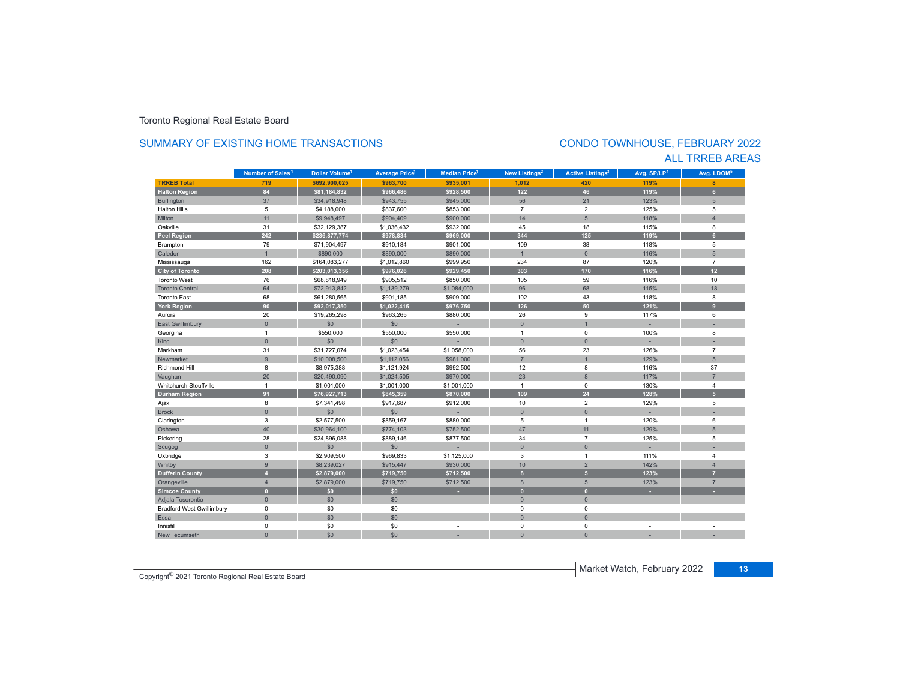#### **TRREB Total 719 \$692,900,025 \$963,700 \$935,001 1,012 420 119% 8 Halton Region 84 \$81,184,832 \$966,486 \$928,500 122 46 119% 6** Burlington 37 \$34,918,948 \$943,755 \$945,000 56 21 123% 5 Halton Hills $s \hspace{2.5cm} 5$  \$4,188,000 \$837,600 \$853,000 7 2 125% 5 Miltonn 11 \$9,948,497 \$904,409 \$900,000 14 5 118% 118% 4 Oakvillee 31 \$32,129,387 \$1,036,432 \$932,000 45 18 115% 8 **Peel Region 242 \$236,877,774 \$978,834 \$969,000 344 125 119% 6** Brampton 79 \$71,904,497 \$910,184 \$901,000 109 38 118% 5 Caledonn 1 \$890,000 \$890,000 \$890,000 1 0 116% 5 Mississauga 162 \$164,083,277 \$1,012,860 \$999,950 234 87 120% 7 **City of Toronto 208 \$203,013,356 \$976,026 \$929,450 303 170 116% 12** Toronto West 76 \$68,818,949 \$905,512 \$850,000 105 59 116%116% 10 Toronto Central 64 \$72,913,842 \$1,139,279 \$1,084,000 96 68 115%115% 18 Toronto East 68 \$61,280,565 \$901,185 \$909,000 102 43 118% 8 **York Region 90 \$92,017,350 \$1,022,415 \$976,750 126 50 121% 9** Auroraa 20 \$19,265,298 \$963,265 \$880,000 26 9 117% 6 East Gwillimbury 0 \$0 \$0 - 0 1 - - Georgina 1 \$550,000 \$550,000 \$550,000 1 0 100% 8 King 0 \$0 \$0 - 0 0 - - Markham 31 \$31,727,074 \$1,023,454 \$1,058,000 56 23 126% 7 Newmarkett 9 \$10,008,500 \$1,112,056 \$981,000 7 1 129%129% 5 Richmond Hill 8 \$8,975,388 \$1,121,924 \$992,500 12 8 116% 37 Vaughan 20 \$20,490,090 \$1,024,505 \$970,000 23 8 117% 7 Whitchurch-Stouffvillee 1 \$1,001,000 \$1,001,000 \$1,001,000 1 0 130%  $%$  4 **Durham Region 91 \$76,927,713 \$845,359 \$870,000 109 24 128% 5** Ajax 8 \$7,341,498 \$917,687 \$912,000 10 2 129% 5 Brock 0 \$0 \$0 - 0 0 - - Clarington 3 \$2,577,500 \$859,167 \$880,000 5 1 120% 6 Oshawa 40 \$30,964,100 \$774,103 \$752,500 47 11 129% 5 Pickering 28 \$24,896,088 \$889,146 \$877,500 34 7 125% 5 Scugog 0 \$0 \$0 - 0 0 - - Uxbridge 3 \$2,909,500 \$969,833 \$1,125,000 3 1 111% 4 Whitby 9 \$8,239,027 \$915,447 \$930,000 10 2 142% 4 **Dufferin County 4 \$2,879,000 \$719,750 \$712,500 8 5 123% 7** Orangeville 4 \$2,879,000 \$719,750 \$712,500 8 5 123% 7 **Simcoe County 0 \$0 \$0 - 0 0 - -** Adjala-Tosorontio 0 \$0 \$0 - 0 0 - - Bradford West Gwillimbury 0 \$0 \$0 - 0 0 - - Essaa dia 1980 - Aniso ao amin'ny faritr'i Nouvelle-Aquitaine, ao amin'ny faritr'i Nouvelle-Aquitaine, ao amin'ny Innisfil 0 \$0 \$0 - 0 0 - - New Tecumseth**Municipality Number of Sales Dollar Volume Average Price Median Price New Listings Active Listings Avg. SP/LP Avg. LDOM** CONDO TOWNHOUSE, FEBRUARY 2022 SUMMARY OF EXISTING HOME TRANSACTIONSALL TRREB AREAS**Number of Sales<sup>1</sup> 1** Dollar Volume<sup>1</sup> | Average Price<sup>1</sup> | Median Price<sup>1</sup> | New Listings<sup>2</sup> | Active Listings<sup>3</sup> | Avg. SP/LP<sup>4</sup> | Avg. LDOM<sup>s</sup>

0 \$0 \$0 - 0 0 - -

**Copyright<sup>®</sup> 2021 Toronto Regional Real Estate Board** 13<br> **13** Copyright<sup>®</sup> 2021 Toronto Regional Real Estate Board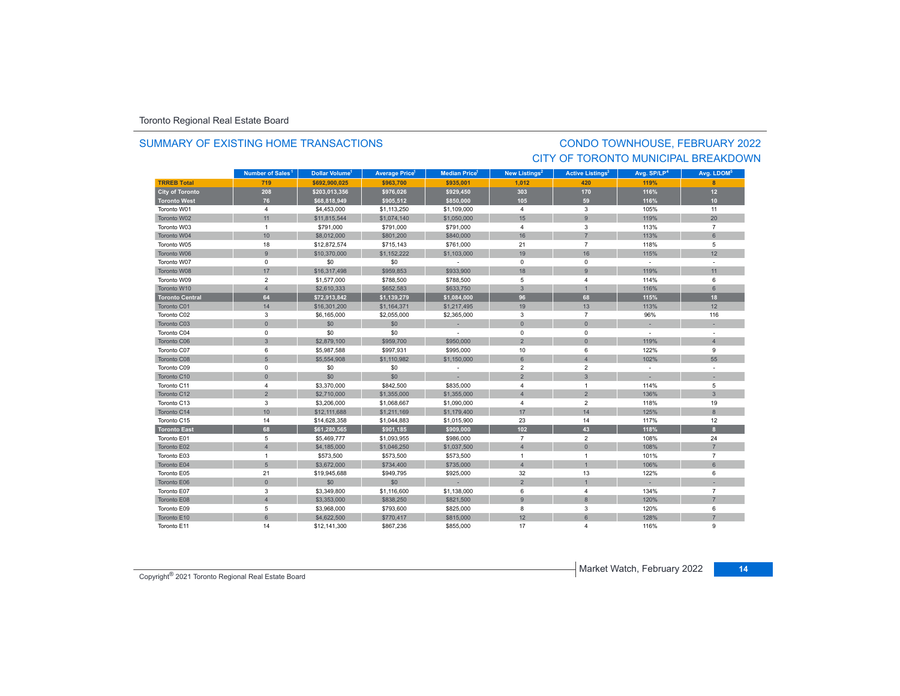### SUMMARY OF EXISTING HOME TRANSACTIONS

### CONDO TOWNHOUSE, FEBRUARY 2022 CITY OF TORONTO MUNICIPAL BREAKDOWN

|                        | Number of Sales <sup>1</sup> | Dollar Volume <sup>1</sup> | <b>Average Price<sup>1</sup></b> | <b>Median Price</b> <sup>1</sup> | New Listings <sup>2</sup> | <b>Active Listings<sup>3</sup></b> | Avg. SP/LP <sup>4</sup> | Avg. LDOM <sup>5</sup> |
|------------------------|------------------------------|----------------------------|----------------------------------|----------------------------------|---------------------------|------------------------------------|-------------------------|------------------------|
| <b>TRREB Total</b>     | 719                          | \$692.900.025              | \$963,700                        | \$935.001                        | 1,012                     | 420                                | 119%                    | 8                      |
| <b>City of Toronto</b> | 208                          | \$203,013,356              | \$976,026                        | \$929,450                        | 303                       | 170                                | 116%                    | 12                     |
| <b>Toronto West</b>    | 76                           | \$68,818,949               | \$905,512                        | \$850,000                        | 105                       | 59                                 | 116%                    | 10                     |
| Toronto W01            | $\overline{4}$               | \$4,453,000                | \$1,113,250                      | \$1,109,000                      | $\overline{4}$            | 3                                  | 105%                    | 11                     |
| Toronto W02            | 11                           | \$11,815,544               | \$1,074,140                      | \$1,050,000                      | 15                        | $\overline{9}$                     | 119%                    | 20                     |
| Toronto W03            | $\overline{1}$               | \$791,000                  | \$791,000                        | \$791,000                        | $\overline{4}$            | 3                                  | 113%                    | $\overline{7}$         |
| Toronto W04            | 10                           | \$8,012,000                | \$801,200                        | \$840,000                        | 16                        |                                    | 113%                    | $6 \overline{6}$       |
| Toronto W05            | 18                           | \$12,872,574               | \$715,143                        | \$761,000                        | 21                        | $\overline{7}$                     | 118%                    | 5                      |
| Toronto W06            | $\mathsf g$                  | \$10,370,000               | \$1,152,222                      | \$1,103,000                      | 19                        | 16                                 | 115%                    | 12                     |
| Toronto W07            | $\mathbf 0$                  | \$0                        | \$0                              | $\sim$                           | $\mathbf 0$               | $\Omega$                           | $\sim$                  | $\sim$                 |
| Toronto W08            | 17                           | \$16,317,498               | \$959,853                        | \$933,900                        | 18                        | 9                                  | 119%                    | 11                     |
| Toronto W09            | $\overline{2}$               | \$1,577,000                | \$788,500                        | \$788,500                        | 5                         | 4                                  | 114%                    | 6                      |
| Toronto W10            | $\overline{4}$               | \$2,610,333                | \$652,583                        | \$633,750                        | $\mathbf{3}$              | $\mathbf{1}$                       | 116%                    | 6                      |
| <b>Toronto Central</b> | 64                           | \$72,913,842               | \$1,139,279                      | \$1,084,000                      | 96                        | 68                                 | 115%                    | 18                     |
| Toronto C01            | 14                           | \$16,301,200               | \$1,164,371                      | \$1,217,495                      | 19                        | 13                                 | 113%                    | 12                     |
| Toronto C02            | 3                            | \$6,165,000                | \$2,055,000                      | \$2,365,000                      | 3                         | $\overline{7}$                     | 96%                     | 116                    |
| Toronto C03            | $\mathbf{0}$                 | \$0                        | \$0                              |                                  | $\mathbf{0}$              | $\mathbf{0}$                       |                         |                        |
| Toronto C04            | $\mathbf 0$                  | \$0                        | \$0                              |                                  | $^{\circ}$                | $\mathbf 0$                        | $\sim$                  |                        |
| Toronto C06            | 3                            | \$2,879,100                | \$959,700                        | \$950,000                        | $\overline{2}$            | $\overline{0}$                     | 119%                    | $\overline{4}$         |
| Toronto C07            | 6                            | \$5,987,588                | \$997,931                        | \$995,000                        | 10                        | 6                                  | 122%                    | 9                      |
| Toronto C08            | $5\overline{)}$              | \$5,554,908                | \$1,110,982                      | \$1,150,000                      | $6 \overline{6}$          | $\Delta$                           | 102%                    | 55                     |
| Toronto C09            | $\mathbf 0$                  | \$0                        | \$0                              | $\overline{\phantom{a}}$         | $\overline{2}$            | $\overline{2}$                     | $\sim$                  |                        |
| Toronto C10            | $\mathbf{0}$                 | \$0                        | \$0                              |                                  | $\overline{2}$            | $\mathbf{3}$                       |                         |                        |
| Toronto C11            | 4                            | \$3,370,000                | \$842,500                        | \$835,000                        | $\overline{4}$            | $\mathbf{1}$                       | 114%                    | 5                      |
| Toronto C12            | $\overline{2}$               | \$2,710,000                | \$1,355,000                      | \$1,355,000                      | $\overline{4}$            | $\overline{2}$                     | 136%                    | $\mathbf{3}$           |
| Toronto C13            | 3                            | \$3,206,000                | \$1,068,667                      | \$1,090,000                      | $\overline{4}$            | $\overline{2}$                     | 118%                    | 19                     |
| Toronto C14            | 10                           | \$12,111,688               | \$1,211,169                      | \$1,179,400                      | 17                        | 14                                 | 125%                    | 8                      |
| Toronto C15            | 14                           | \$14,628,358               | \$1,044,883                      | \$1,015,900                      | 23                        | 14                                 | 117%                    | 12                     |
| <b>Toronto East</b>    | 68                           | \$61,280,565               | \$901,185                        | \$909,000                        | 102                       | 43                                 | 118%                    | 8 <sup>2</sup>         |
| Toronto E01            | 5                            | \$5,469,777                | \$1,093,955                      | \$986,000                        | $\overline{7}$            | $\overline{2}$                     | 108%                    | 24                     |
| Toronto E02            | $\overline{4}$               | \$4,185,000                | \$1,046,250                      | \$1,037,500                      | $\overline{4}$            | $\mathsf{O}\xspace$                | 108%                    | $\overline{7}$         |
| Toronto E03            | $\overline{1}$               | \$573,500                  | \$573,500                        | \$573,500                        | $\overline{1}$            | 1                                  | 101%                    | $\overline{7}$         |
| Toronto E04            | 5                            | \$3,672,000                | \$734,400                        | \$735,000                        | $\overline{4}$            | $\overline{1}$                     | 106%                    | 6                      |
| Toronto E05            | 21                           | \$19,945,688               | \$949,795                        | \$925,000                        | 32                        | 13                                 | 122%                    | 6                      |
| Toronto E06            | $\mathbf{0}$                 | \$0                        | \$0                              |                                  | $\overline{2}$            |                                    |                         |                        |
| Toronto E07            | 3                            | \$3,349,800                | \$1,116,600                      | \$1,138,000                      | 6                         | 4                                  | 134%                    | $\overline{7}$         |
| Toronto E08            | $\overline{4}$               | \$3,353,000                | \$838,250                        | \$821,500                        | 9                         | 8                                  | 120%                    | $\overline{7}$         |
| Toronto E09            | 5                            | \$3,968,000                | \$793,600                        | \$825,000                        | 8                         | 3                                  | 120%                    | 6                      |
| Toronto E10            | $6\overline{6}$              | \$4,622,500                | \$770,417                        | \$815,000                        | 12                        | $6\overline{6}$                    | 128%                    | $\overline{7}$         |
| Toronto E11            | 14                           | \$12,141,300               | \$867,236                        | \$855,000                        | 17                        | 4                                  | 116%                    | $\mathbf{Q}$           |

**Market Watch, February 2022 14** Copyright<sup>®</sup> 2021 Toronto Regional Real Estate Board **14** Copyright<sup>®</sup> 2021 Toronto Regional Real Estate Board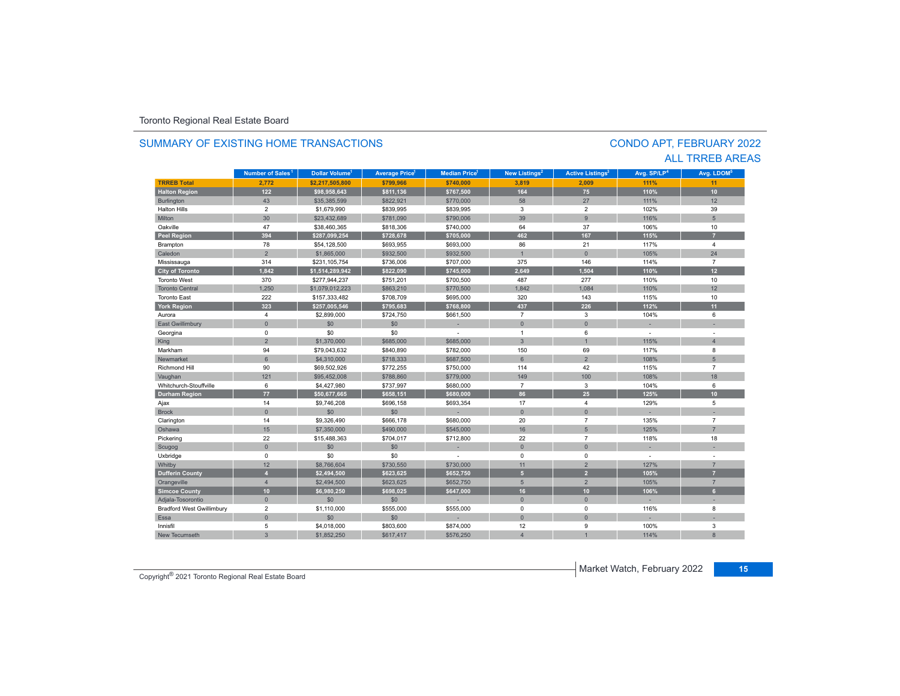| SUMMARY OF EXISTING HOME TRANSACTIONS |                              |                                  |                      |                                 |                           |                                    | <b>CONDO APT, FEBRUARY 2022</b> |                        |
|---------------------------------------|------------------------------|----------------------------------|----------------------|---------------------------------|---------------------------|------------------------------------|---------------------------------|------------------------|
|                                       |                              |                                  |                      |                                 |                           |                                    |                                 | <b>ALL TRREB AREAS</b> |
|                                       | Number of Sales <sup>1</sup> | <b>Dollar Volume<sup>1</sup></b> | <b>Average Price</b> | <b>Median Price<sup>1</sup></b> | New Listings <sup>2</sup> | <b>Active Listings<sup>3</sup></b> | Avg. SP/LP <sup>4</sup>         | Avg. LDOM <sup>5</sup> |
| <b>TRREB Total</b>                    | 2,772                        | \$2,217,505,800                  | \$799,966            | \$740,000                       | 3,819                     | 2,009                              | 111%                            | 11                     |
| <b>Halton Region</b>                  | 122                          | \$98,958,643                     | \$811,136            | \$767,500                       | 164                       | 75                                 | 110%                            | 10 <sub>1</sub>        |
| Burlington                            | 43                           | \$35,385,599                     | \$822,921            | \$770,000                       | 58                        | 27                                 | 111%                            | 12                     |
| <b>Halton Hills</b>                   | $\overline{2}$               | \$1,679,990                      | \$839,995            | \$839,995                       | 3                         | $\overline{2}$                     | 102%                            | 39                     |
| Milton                                | 30                           | \$23,432,689                     | \$781,090            | \$790,006                       | 39                        | 9                                  | 116%                            | $5\phantom{.0}$        |
| Oakville                              | 47                           | \$38,460,365                     | \$818,306            | \$740,000                       | 64                        | 37                                 | 106%                            | 10                     |
| <b>Peel Region</b>                    | 394                          | \$287,099,254                    | \$728,678            | \$705,000                       | 462                       | 167                                | 115%                            | $\overline{z}$         |
| Brampton                              | 78                           | \$54,128,500                     | \$693,955            | \$693,000                       | 86                        | 21                                 | 117%                            | $\overline{4}$         |
| Caledon                               | $\overline{2}$               | \$1,865,000                      | \$932,500            | \$932,500                       | $\mathbf{1}$              | $\Omega$                           | 105%                            | 24                     |
| Mississauga                           | 314                          | \$231,105,754                    | \$736,006            | \$707,000                       | 375                       | 146                                | 114%                            | $\overline{7}$         |
| City of Toronto                       | 1,842                        | \$1,514,289,942                  | \$822,090            | \$745,000                       | 2,649                     | 1,504                              | 110%                            | 12 <sup>2</sup>        |
| <b>Toronto West</b>                   | 370                          | \$277,944,237                    | \$751,201            | \$700,500                       | 487                       | 277                                | 110%                            | 10                     |
| <b>Toronto Central</b>                | 1,250                        | \$1,079,012,223                  | \$863,210            | \$770,500                       | 1,842                     | 1.084                              | 110%                            | 12                     |
| <b>Toronto East</b>                   | 222                          | \$157,333,482                    | \$708,709            | \$695,000                       | 320                       | 143                                | 115%                            | 10                     |
| <b>York Region</b>                    | 323                          | \$257,005,546                    | \$795,683            | \$768.800                       | 437                       | 226                                | 112%                            | 11                     |
| Aurora                                | $\overline{4}$               | \$2,899,000                      | \$724,750            | \$661,500                       | $\overline{7}$            | 3                                  | 104%                            | 6                      |
| <b>East Gwillimbury</b>               | $\mathbf{0}$                 | \$0                              | \$0                  |                                 | $\pmb{0}$                 | $\mathbf{0}$                       | ÷.                              |                        |
| Georgina                              | $\mathbf 0$                  | \$0                              | \$0                  |                                 | $\mathbf{1}$              | 6                                  | $\overline{\phantom{a}}$        |                        |
| King                                  | $\overline{2}$               | \$1,370,000                      | \$685,000            | \$685,000                       | $\overline{3}$            | $\overline{1}$                     | 115%                            | $\overline{4}$         |
| Markham                               | 94                           | \$79,043,632                     | \$840,890            | \$782,000                       | 150                       | 69                                 | 117%                            | 8                      |
| Newmarket                             | $6\overline{6}$              | \$4,310,000                      | \$718,333            | \$687,500                       | $6\overline{6}$           | $\overline{2}$                     | 108%                            | 5 <sup>5</sup>         |
| Richmond Hill                         | 90                           | \$69,502,926                     | \$772,255            | \$750,000                       | 114                       | 42                                 | 115%                            | $\overline{7}$         |
| Vaughan                               | 121                          | \$95,452,008                     | \$788,860            | \$779,000                       | 149                       | 100                                | 108%                            | 18                     |
| Whitchurch-Stouffville                | 6                            | \$4,427,980                      | \$737,997            | \$680,000                       | $\overline{7}$            | 3                                  | 104%                            | 6                      |
| <b>Durham Region</b>                  | 77                           | \$50,677,665                     | \$658,151            | \$680,000                       | 86                        | 25                                 | 125%                            | 10                     |
| Ajax                                  | 14                           | \$9,746,208                      | \$696,158            | \$693,354                       | 17                        | $\overline{4}$                     | 129%                            | 5                      |
| <b>Brock</b>                          | $\mathsf{O}\xspace$          | \$0                              | \$0                  |                                 | $\overline{0}$            | $\mathbf{0}$                       |                                 |                        |
| Clarington                            | 14                           | \$9,326,490                      | \$666,178            | \$680,000                       | 20                        | $\overline{7}$                     | 135%                            | $\overline{7}$         |
| Oshawa                                | 15                           | \$7,350,000                      | \$490,000            | \$545,000                       | 16                        | $5\phantom{.0}$                    | 125%                            | $\overline{7}$         |
| Pickering                             | 22                           | \$15,488,363                     | \$704,017            | \$712,800                       | 22                        | $\overline{7}$                     | 118%                            | 18                     |
| Scugog                                | $\mathbf{0}$                 | \$0                              | \$0                  |                                 | $\mathbf{0}$              | $\Omega$                           |                                 |                        |
| Uxbridge                              | $\mathbf 0$                  | \$0                              | \$0                  | ÷                               | 0                         | $\mathbf 0$                        | $\sim$                          |                        |
| Whitby                                | 12                           | \$8,766,604                      | \$730,550            | \$730,000                       | 11                        | $\overline{2}$                     | 127%                            | $\overline{7}$         |
| <b>Dufferin County</b>                | $\overline{4}$               | \$2,494,500                      | \$623.625            | \$652,750                       | 5 <sup>1</sup>            | $\overline{2}$                     | 105%                            | $\overline{7}$         |
| Orangeville                           | $\overline{4}$               | \$2,494,500                      | \$623,625            | \$652,750                       | $5\overline{5}$           | $\overline{2}$                     | 105%                            | $\overline{7}$         |
| <b>Simcoe County</b>                  | 10 <sup>1</sup>              | \$6,980,250                      | \$698,025            | \$647,000                       | 16                        | 10 <sup>°</sup>                    | 106%                            | 6 <sup>1</sup>         |
| Adjala-Tosorontio                     | $\mathbf{0}$                 | \$0                              | \$0                  |                                 | $\mathbf{0}$              | $\Omega$                           | ÷                               | ÷                      |
| <b>Bradford West Gwillimbury</b>      | $\overline{2}$               | \$1,110,000                      | \$555,000            | \$555,000                       | 0                         | $\mathbf 0$                        | 116%                            | 8                      |
| Essa                                  | $\mathbf{0}$                 | \$0                              | \$0                  |                                 | $\mathbf{0}$              | $\mathbf 0$                        |                                 |                        |
| Innisfil                              | 5                            | \$4,018,000                      | \$803,600            | \$874,000                       | 12                        | 9                                  | 100%                            | 3                      |
| <b>New Tecumseth</b>                  | 3                            | \$1,852,250                      | \$617,417            | \$576,250                       | $\overline{4}$            |                                    | 114%                            | 8                      |

# SUMMARY OF EXISTING HOME TRANSACTIONS

CONDO APT, FEBRUARY 2022

Market Watch, February 2022 **<sup>15</sup>** Copyright® 2021 Toronto Regional Real Estate Board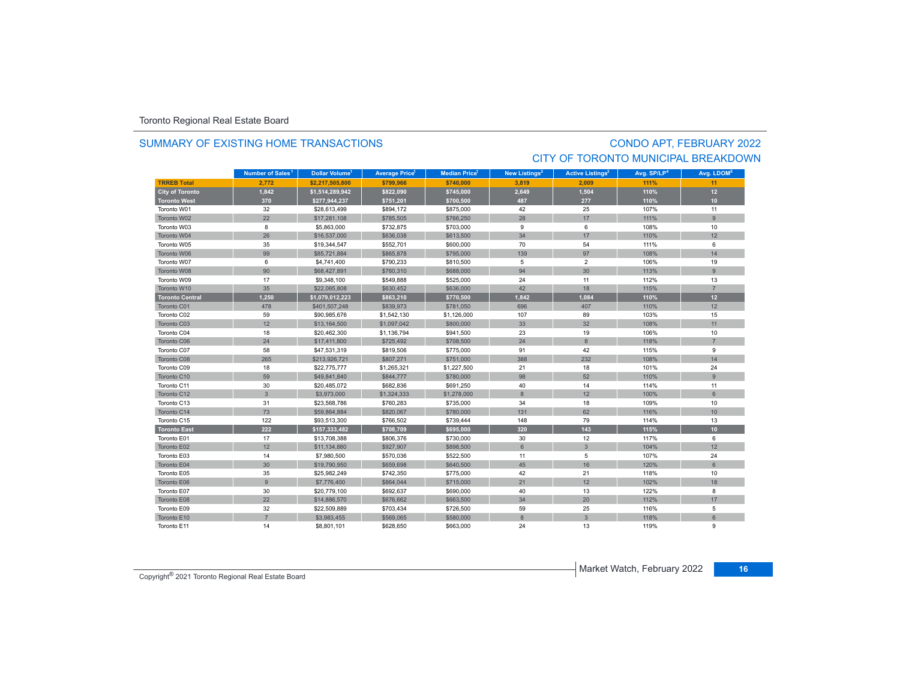### SUMMARY OF EXISTING HOME TRANSACTIONS

## CONDO APT, FEBRUARY 2022 CITY OF TORONTO MUNICIPAL BREAKDOWN

|                        | Number of Sales <sup>1</sup> | Dollar Volume <sup>1</sup> | <b>Average Price</b> | <b>Median Price</b> <sup>1</sup> | New Listings <sup>2</sup> | <b>Active Listings<sup>3</sup></b> | Avg. SP/LP <sup>4</sup> | Avg. LDOM <sup>5</sup> |
|------------------------|------------------------------|----------------------------|----------------------|----------------------------------|---------------------------|------------------------------------|-------------------------|------------------------|
| <b>TRREB Total</b>     | 2.772                        | \$2,217,505,800            | \$799.966            | \$740.000                        | 3.819                     | 2.009                              | 111%                    | 11                     |
| <b>City of Toronto</b> | 1,842                        | \$1,514,289,942            | \$822,090            | \$745,000                        | 2,649                     | 1,504                              | 110%                    | 12                     |
| <b>Toronto West</b>    | 370                          | \$277,944,237              | \$751,201            | \$700,500                        | 487                       | 277                                | 110%                    | 10 <sub>1</sub>        |
| Toronto W01            | 32                           | \$28,613,499               | \$894,172            | \$875,000                        | 42                        | 25                                 | 107%                    | 11                     |
| Toronto W02            | 22                           | \$17,281,108               | \$785,505            | \$766,250                        | 28                        | 17                                 | 111%                    | $\overline{9}$         |
| Toronto W03            | 8                            | \$5,863,000                | \$732,875            | \$703,000                        | 9                         | 6                                  | 108%                    | 10                     |
| Toronto W04            | 26                           | \$16,537,000               | \$636,038            | \$613,500                        | 34                        | 17                                 | 110%                    | 12                     |
| Toronto W05            | 35                           | \$19,344,547               | \$552,701            | \$600,000                        | 70                        | 54                                 | 111%                    | 6                      |
| Toronto W06            | 99                           | \$85,721,884               | \$865,878            | \$795,000                        | 139                       | 97                                 | 108%                    | 14                     |
| Toronto W07            | 6                            | \$4,741,400                | \$790,233            | \$810,500                        | 5                         | $\overline{2}$                     | 106%                    | 19                     |
| Toronto W08            | 90                           | \$68,427,891               | \$760,310            | \$688,000                        | 94                        | 30                                 | 113%                    | 9                      |
| Toronto W09            | 17                           | \$9,348,100                | \$549,888            | \$525,000                        | 24                        | 11                                 | 112%                    | 13                     |
| Toronto W10            | 35                           | \$22,065,808               | \$630,452            | \$636,000                        | 42                        | 18                                 | 115%                    | $\overline{7}$         |
| <b>Toronto Central</b> | 1,250                        | \$1,079,012,223            | \$863,210            | \$770,500                        | 1,842                     | 1,084                              | 110%                    | 12                     |
| Toronto C01            | 478                          | \$401,507,248              | \$839,973            | \$781,050                        | 696                       | 407                                | 110%                    | 12                     |
| Toronto C02            | 59                           | \$90,985,676               | \$1,542,130          | \$1,126,000                      | 107                       | 89                                 | 103%                    | 15                     |
| Toronto C03            | 12                           | \$13,164,500               | \$1,097,042          | \$800,000                        | 33                        | 32                                 | 108%                    | 11                     |
| Toronto C04            | 18                           | \$20,462,300               | \$1,136,794          | \$941,500                        | 23                        | 19                                 | 106%                    | 10                     |
| Toronto C06            | 24                           | \$17,411,800               | \$725,492            | \$708,500                        | 24                        | 8                                  | 118%                    |                        |
| Toronto C07            | 58                           | \$47,531,319               | \$819,506            | \$775,000                        | 91                        | 42                                 | 115%                    | 9                      |
| Toronto C08            | 265                          | \$213,926,721              | \$807,271            | \$751,000                        | 388                       | 232                                | 108%                    | 14                     |
| Toronto C09            | 18                           | \$22,775,777               | \$1,265,321          | \$1,227,500                      | 21                        | 18                                 | 101%                    | 24                     |
| Toronto C10            | 59                           | \$49,841,840               | \$844,777            | \$780,000                        | 98                        | 52                                 | 110%                    | $\overline{9}$         |
| Toronto C11            | 30                           | \$20,485,072               | \$682,836            | \$691,250                        | 40                        | 14                                 | 114%                    | 11                     |
| Toronto C12            | $\mathbf{3}$                 | \$3,973,000                | \$1,324,333          | \$1,278,000                      | 8                         | 12                                 | 100%                    | 6                      |
| Toronto C13            | 31                           | \$23,568,786               | \$760,283            | \$735,000                        | 34                        | 18                                 | 109%                    | 10                     |
| Toronto C14            | 73                           | \$59,864,884               | \$820,067            | \$780,000                        | 131                       | 62                                 | 116%                    | 10                     |
| Toronto C15            | 122                          | \$93,513,300               | \$766,502            | \$739,444                        | 148                       | 79                                 | 114%                    | 13                     |
| <b>Toronto East</b>    | 222                          | \$157,333,482              | \$708,709            | \$695,000                        | 320                       | 143                                | 115%                    | 10 <sub>10</sub>       |
| Toronto E01            | 17                           | \$13,708,388               | \$806,376            | \$730,000                        | 30                        | 12                                 | 117%                    | 6                      |
| Toronto E02            | 12                           | \$11,134,880               | \$927,907            | \$898,500                        | $6\phantom{1}$            | $\mathbf{3}$                       | 104%                    | 12                     |
| Toronto E03            | 14                           | \$7,980,500                | \$570,036            | \$522,500                        | 11                        | 5                                  | 107%                    | 24                     |
| Toronto E04            | 30                           | \$19,790,950               | \$659,698            | \$640,500                        | 45                        | 16                                 | 120%                    | 6                      |
| Toronto E05            | 35                           | \$25,982,249               | \$742,350            | \$775,000                        | 42                        | 21                                 | 118%                    | 10                     |
| Toronto E06            | 9                            | \$7,776,400                | \$864,044            | \$715,000                        | 21                        | 12                                 | 102%                    | 18                     |
| Toronto E07            | 30                           | \$20,779,100               | \$692,637            | \$690,000                        | 40                        | 13                                 | 122%                    | 8                      |
| Toronto E08            | 22                           | \$14,886,570               | \$676,662            | \$663,500                        | 34                        | 20                                 | 112%                    | 17                     |
| Toronto E09            | 32                           | \$22,509,889               | \$703,434            | \$726,500                        | 59                        | 25                                 | 116%                    | 5                      |
| Toronto E10            | $\overline{7}$               | \$3,983,455                | \$569,065            | \$580,000                        | 8                         | 3                                  | 118%                    | 6                      |
| Toronto E11            | 14                           | \$8,801,101                | \$628,650            | \$663,000                        | 24                        | 13                                 | 119%                    | 9                      |

**Market Watch, February 2022 16** Copyright<sup>®</sup> 2021 Toronto Regional Real Estate Board **16** Copyright<sup>®</sup> 2021 Toronto Regional Real Estate Board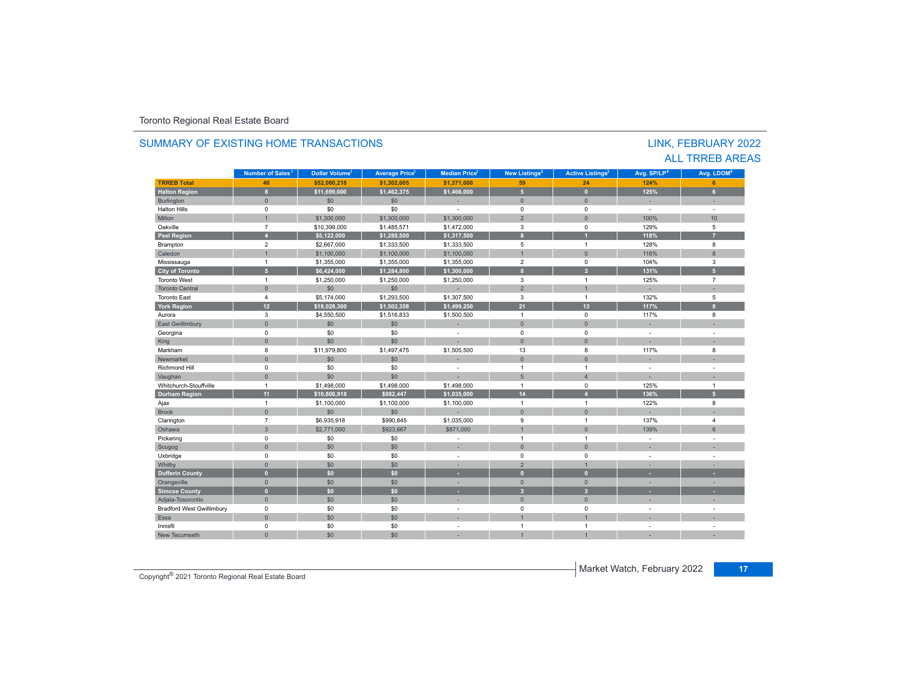| SUMMARY OF EXISTING HOME TRANSACTIONS<br>LINK, FEBRUARY 2022 |                              |                            |                            |                          |                           |                                    |                          |                          |  |  |  |  |
|--------------------------------------------------------------|------------------------------|----------------------------|----------------------------|--------------------------|---------------------------|------------------------------------|--------------------------|--------------------------|--|--|--|--|
|                                                              |                              |                            |                            |                          |                           |                                    |                          | <b>ALL TRREB AREAS</b>   |  |  |  |  |
|                                                              | Number of Sales <sup>1</sup> | Dollar Volume <sup>1</sup> | Average Price <sup>1</sup> | <b>Median Price</b>      | New Listings <sup>2</sup> | <b>Active Listings<sup>3</sup></b> | Avg. SP/LP <sup>4</sup>  | Avg. LDOM <sup>5</sup>   |  |  |  |  |
| <b>TRREB Total</b>                                           | 40                           | \$52,080,218               | \$1,302,005                | \$1,371,000              | 59                        | 24                                 | 124%                     | 6                        |  |  |  |  |
| <b>Halton Region</b>                                         | $\mathbf{8}$                 | \$11.699.000               | \$1,462,375                | \$1,466,000              | 5 <sub>5</sub>            | $\mathbf{0}$                       | 125%                     | 6 <sup>1</sup>           |  |  |  |  |
| Burlington                                                   | $\mathbf{0}$                 | \$0                        | \$0                        | ×.                       | $\mathbf{0}$              | $\mathbf{0}$                       | ×.                       | ×.                       |  |  |  |  |
| <b>Halton Hills</b>                                          | $\mathbf 0$                  | \$0                        | \$0                        | $\overline{\phantom{a}}$ | $\mathbf 0$               | $\Omega$                           | $\overline{a}$           | ÷.                       |  |  |  |  |
| Milton                                                       | $\overline{1}$               | \$1,300,000                | \$1,300,000                | \$1,300,000              | $\overline{2}$            | $\Omega$                           | 100%                     | 10 <sup>10</sup>         |  |  |  |  |
| Oakville                                                     | $\overline{7}$               | \$10,399,000               | \$1,485,571                | \$1,472,000              | 3                         | $\mathbf 0$                        | 129%                     | 5                        |  |  |  |  |
| <b>Peel Region</b>                                           | $\overline{A}$               | \$5,122,000                | \$1,280,500                | \$1,317,500              | $\mathbf{a}$              |                                    | 118%                     | 7                        |  |  |  |  |
| Brampton                                                     | $\overline{2}$               | \$2,667,000                | \$1,333,500                | \$1,333,500              | 5                         | $\overline{1}$                     | 128%                     | 8                        |  |  |  |  |
| Caledon                                                      | $\overline{1}$               | \$1,100,000                | \$1,100,000                | \$1,100,000              | $\overline{1}$            | $\mathbf{0}$                       | 116%                     | 8                        |  |  |  |  |
| Mississauga                                                  | $\overline{1}$               | \$1,355,000                | \$1,355,000                | \$1,355,000              | $\overline{2}$            | $\mathbf 0$                        | 104%                     | 3                        |  |  |  |  |
| <b>City of Toronto</b>                                       | 5 <sup>1</sup>               | \$6,424,000                | \$1,284,800                | \$1,300,000              | $\mathbf{8}$              | $\overline{3}$                     | 131%                     | 5 <sup>1</sup>           |  |  |  |  |
| <b>Toronto West</b>                                          | $\mathbf{1}$                 | \$1,250,000                | \$1,250,000                | \$1,250,000              | 3                         | $\mathbf{1}$                       | 125%                     | $\overline{7}$           |  |  |  |  |
| <b>Toronto Central</b>                                       | $\mathbf{0}$                 | \$0                        | \$0                        | ÷                        | $\overline{2}$            |                                    |                          |                          |  |  |  |  |
| <b>Toronto East</b>                                          | $\overline{4}$               | \$5,174,000                | \$1,293,500                | \$1,307,500              | $\mathbf{3}$              | $\overline{1}$                     | 132%                     | 5                        |  |  |  |  |
| <b>York Region</b>                                           | 12 <sub>2</sub>              | \$18,028,300               | \$1,502,358                | \$1,499,250              | 21                        | 13                                 | 117%                     | $\mathbf{8}$             |  |  |  |  |
| Aurora                                                       | 3                            | \$4,550,500                | \$1,516,833                | \$1,500,500              | $\overline{1}$            | $\mathbf 0$                        | 117%                     | 8                        |  |  |  |  |
| East Gwillimbury                                             | $\mathbf{0}$                 | \$0                        | \$0                        | $\sim$                   | $\mathbf{0}$              | $\Omega$                           | ×.                       |                          |  |  |  |  |
| Georgina                                                     | $\mathbf 0$                  | \$0                        | \$0                        | ÷                        | $\mathbf 0$               | $\Omega$                           | ÷,                       | $\sim$                   |  |  |  |  |
| King                                                         | $\mathbf{0}$                 | \$0                        | \$0                        |                          | $\mathbf{0}$              | $\Omega$                           | ٠                        | ٠                        |  |  |  |  |
| Markham                                                      | 8                            | \$11,979,800               | \$1,497,475                | \$1,505,500              | 13                        | 8                                  | 117%                     | 8                        |  |  |  |  |
| Newmarket                                                    | $\mathbf{0}$                 | \$0                        | \$0                        | ×.                       | $\mathbf{0}$              | $\mathbf{0}$                       | н.                       | ÷                        |  |  |  |  |
| <b>Richmond Hill</b>                                         | $\mathbf 0$                  | \$0                        | \$0                        | $\overline{\phantom{a}}$ | $\mathbf{1}$              | $\mathbf{1}$                       | $\overline{\phantom{a}}$ | $\sim$                   |  |  |  |  |
| Vaughan                                                      | $\mathbf{0}$                 | \$0                        | \$0                        | ×.                       | 5                         | $\overline{4}$                     | ٠                        | ٠                        |  |  |  |  |
| Whitchurch-Stouffville                                       | $\overline{1}$               | \$1,498,000                | \$1,498,000                | \$1,498,000              | $\mathbf{1}$              | $\mathbf 0$                        | 125%                     | $\overline{1}$           |  |  |  |  |
| <b>Durham Region</b>                                         | 11                           | \$10,806,918               | \$982,447                  | \$1,035,000              | 14                        | $\overline{4}$                     | 136%                     | $5\phantom{.0}$          |  |  |  |  |
| Ajax                                                         | $\overline{1}$               | \$1,100,000                | \$1,100,000                | \$1,100,000              | $\mathbf{1}$              | $\mathbf{1}$                       | 122%                     | 8                        |  |  |  |  |
| <b>Brock</b>                                                 | $\mathbf{0}$                 | \$0                        | \$0                        |                          | $\mathbf{0}$              | $\Omega$                           | ٠                        |                          |  |  |  |  |
| Clarington                                                   | $\overline{7}$               | \$6,935,918                | \$990,845                  | \$1,035,000              | 9                         | $\mathbf{1}$                       | 137%                     | $\overline{4}$           |  |  |  |  |
| Oshawa                                                       | $\mathbf{3}$                 | \$2,771,000                | \$923,667                  | \$871,000                | $\overline{1}$            | $\Omega$                           | 139%                     | 6                        |  |  |  |  |
| Pickering                                                    | $\mathbf 0$                  | \$0                        | \$0                        | $\sim$                   | $\mathbf{1}$              | $\overline{1}$                     | $\sim$                   | ÷.                       |  |  |  |  |
| Scugog                                                       | $\mathbf{0}$                 | \$0                        | \$0                        | ×.                       | $\mathbf{0}$              | $\Omega$                           |                          |                          |  |  |  |  |
| Uxbridge                                                     | $\mathbf 0$                  | \$0                        | \$0                        | ÷                        | $\mathbf 0$               | 0                                  | $\overline{a}$           | $\overline{\phantom{a}}$ |  |  |  |  |
| Whitby                                                       | $\mathbf{0}$                 | \$0                        | \$0                        | ÷                        | 2                         |                                    | ٠                        | ٠                        |  |  |  |  |
| <b>Dufferin County</b>                                       | $\mathbf{0}$                 | \$0                        | \$0                        | ٠                        | $\mathbf{0}$              | $\overline{0}$                     | ٠                        | ×                        |  |  |  |  |
| Orangeville                                                  | $\mathbf{0}$                 | \$0                        | \$0                        | ÷                        | $\mathbf{0}$              | $\Omega$                           | ×.                       | ×.                       |  |  |  |  |
| <b>Simcoe County</b>                                         | $\mathbf{0}$                 | \$0                        | \$0                        |                          | $\overline{3}$            | $\overline{3}$                     |                          |                          |  |  |  |  |
| Adjala-Tosorontio                                            | $\mathbf{0}$                 | \$0                        | \$0                        | ÷                        | $\mathbf{0}$              | $\mathbf{0}$                       | ×.                       | $\sim$                   |  |  |  |  |
| <b>Bradford West Gwillimbury</b>                             | $\mathbf 0$                  | \$0                        | \$0                        | ÷                        | $\mathbf 0$               | $\Omega$                           | ÷                        | $\sim$                   |  |  |  |  |
| Essa                                                         | $\mathbf 0$                  | \$0                        | \$0                        | ×.                       | $\overline{1}$            |                                    | ٠                        | ÷                        |  |  |  |  |
| Innisfil                                                     | $\mathbf 0$                  | \$0                        | \$0                        | ÷                        | $\overline{1}$            | $\mathbf{1}$                       | ÷                        | $\overline{\phantom{a}}$ |  |  |  |  |
| New Tecumseth                                                | $\mathbf{0}$                 | \$0                        | \$0                        | ×.                       | $\overline{1}$            |                                    | ×,                       |                          |  |  |  |  |

Market Watch, February 2022 **<sup>17</sup>** Copyright® 2021 Toronto Regional Real Estate Board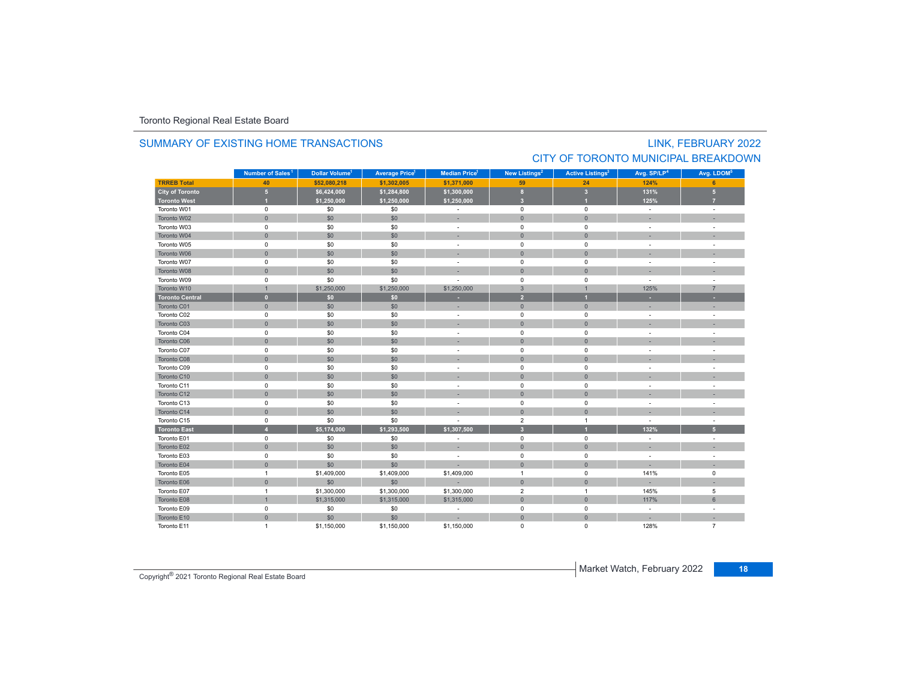### SUMMARY OF EXISTING HOME TRANSACTIONS

# LINK, FEBRUARY 2022 CITY OF TORONTO MUNICIPAL BREAKDOWN

|                        | Number of Sales <sup>1</sup> | Dollar Volume <sup>1</sup> | <b>Average Price</b> | <b>Median Price</b> <sup>1</sup> | New Listings <sup>2</sup> | <b>Active Listings<sup>3</sup></b> | Avg. SP/LP <sup>4</sup> | Avg. LDOM <sup>5</sup> |
|------------------------|------------------------------|----------------------------|----------------------|----------------------------------|---------------------------|------------------------------------|-------------------------|------------------------|
| <b>TRREB Total</b>     | 40                           | \$52,080,218               | \$1,302,005          | \$1,371,000                      | 59                        | 24                                 | 124%                    | 6                      |
| <b>City of Toronto</b> | $5\phantom{.0}$              | \$6,424,000                | \$1,284,800          | \$1,300,000                      | $\mathbf{8}$              | $\overline{\mathbf{3}}$            | 131%                    | 5 <sub>5</sub>         |
| <b>Toronto West</b>    | $\overline{1}$               | \$1,250,000                | \$1,250,000          | \$1,250,000                      | $\overline{\mathbf{3}}$   |                                    | 125%                    |                        |
| Toronto W01            | $\mathsf 0$                  | \$0                        | \$0                  | $\sim$                           | $\mathsf 0$               | 0                                  | $\sim$                  | $\sim$                 |
| Toronto W02            | $\mathbf{0}$                 | \$0                        | \$0                  |                                  | $\mathbf{0}$              | $\mathbf{0}$                       |                         |                        |
| Toronto W03            | $\mathsf 0$                  | \$0                        | \$0                  | $\sim$                           | $\mathsf 0$               | $\mathbf 0$                        | $\sim$                  |                        |
| Toronto W04            | $\mathbf{0}$                 | \$0                        | \$0                  |                                  | $\mathbf{0}$              | $\mathbf{0}$                       |                         |                        |
| Toronto W05            | $\mathsf 0$                  | \$0                        | \$0                  |                                  | $\mathsf 0$               | $\mathbf 0$                        |                         |                        |
| Toronto W06            | $\mathsf{O}\xspace$          | \$0                        | \$0                  |                                  | $\mathbf{0}$              | $\mathbf{0}$                       |                         |                        |
| Toronto W07            | $\mathsf 0$                  | \$0                        | \$0                  |                                  | $\mathbf 0$               | $\mathbf 0$                        |                         |                        |
| Toronto W08            | $\mathbf{0}$                 | \$0                        | \$0                  |                                  | $\mathbf{0}$              | $\mathbf{0}$                       |                         |                        |
| Toronto W09            | $\mathsf 0$                  | \$0                        | \$0                  |                                  | $\mathbf 0$               | $\mathbf 0$                        | $\sim$                  |                        |
| Toronto W10            | $\overline{1}$               | \$1,250,000                | \$1,250,000          | \$1,250,000                      | $\mathbf{3}$              | $\mathbf{1}$                       | 125%                    | $\overline{7}$         |
| <b>Toronto Central</b> | $\mathbf{0}$                 | \$0                        | \$0                  | ٠                                | $\overline{2}$            | п                                  | н.                      |                        |
| Toronto C01            | $\mathbf{0}$                 | \$0                        | \$0                  |                                  | $\mathbf 0$               | $\mathbf{0}$                       |                         |                        |
| Toronto C02            | $\mathsf 0$                  | \$0                        | \$0                  | $\sim$                           | $\mathbf 0$               | $\mathbf 0$                        | $\sim$                  | ÷.                     |
| Toronto C03            | $\mathbf{0}$                 | \$0                        | \$0                  |                                  | $\mathbf 0$               | $\mathbf{0}$                       |                         |                        |
| Toronto C04            | $\mathsf 0$                  | \$0                        | \$0                  | $\overline{\phantom{a}}$         | $\mathbf 0$               | $\mathbf 0$                        |                         | $\sim$                 |
| Toronto C06            | $\mathbf{0}$                 | \$0                        | \$0                  |                                  | $\mathbf{0}$              | $\mathbf{0}$                       |                         |                        |
| Toronto C07            | $\pmb{0}$                    | \$0                        | \$0                  |                                  | $\pmb{0}$                 | $\mathbf 0$                        |                         |                        |
| Toronto C08            | $\mathsf{O}\xspace$          | \$0                        | \$0                  |                                  | $\mathbf{0}$              | $\mathbf{0}$                       |                         |                        |
| Toronto C09            | $\mathbf 0$                  | \$0                        | \$0                  | $\sim$                           | $\mathbf 0$               | $\mathbf 0$                        |                         | $\sim$                 |
| Toronto C10            | $\mathbf{0}$                 | \$0                        | \$0                  |                                  | $\mathbf 0$               | $\mathbf{0}$                       |                         |                        |
| Toronto C11            | $\mathsf 0$                  | \$0                        | \$0                  | $\sim$                           | $\mathbf 0$               | $\mathbf 0$                        |                         | $\sim$                 |
| Toronto C12            | $\mathsf{O}\xspace$          | \$0                        | \$0                  |                                  | $\mathbf 0$               | $\mathbf{0}$                       |                         |                        |
| Toronto C13            | $\mathsf 0$                  | \$0                        | \$0                  |                                  | $\pmb{0}$                 | $\mathbf 0$                        |                         |                        |
| Toronto C14            | $\mathsf{O}\xspace$          | \$0                        | \$0                  |                                  | $\mathsf{O}\xspace$       | $\mathbf{0}$                       |                         |                        |
| Toronto C15            | $\mathsf 0$                  | \$0                        | \$0                  |                                  | $\overline{2}$            | $\overline{1}$                     | $\sim$                  | $\sim$                 |
| <b>Toronto East</b>    | $\overline{4}$               | \$5,174,000                | \$1,293,500          | \$1,307,500                      | $\overline{\mathbf{3}}$   |                                    | 132%                    | 5 <sup>1</sup>         |
| Toronto E01            | $\mathsf{O}$                 | \$0                        | \$0                  |                                  | $\mathbf 0$               | $\mathbf 0$                        | $\sim$                  |                        |
| Toronto E02            | $\mathbf{0}$                 | \$0                        | \$0                  | $\sim$                           | $\mathbf 0$               | $\mathbf{0}$                       |                         |                        |
| Toronto E03            | $\pmb{0}$                    | \$0                        | \$0                  |                                  | $\mathbf 0$               | $\mathbf 0$                        |                         |                        |
| Toronto E04            | $\mathbf{0}$                 | \$0                        | \$0                  |                                  | $\mathbf{0}$              | $\mathbf{0}$                       |                         |                        |
| Toronto E05            | $\mathbf{1}$                 | \$1,409,000                | \$1,409,000          | \$1,409,000                      | $\mathbf{1}$              | 0                                  | 141%                    | $\mathbf 0$            |
| Toronto E06            | $\mathbf{0}$                 | \$0                        | \$0                  |                                  | $\mathbf 0$               | $\mathbf{0}$                       |                         |                        |
| Toronto E07            | $\overline{1}$               | \$1,300,000                | \$1,300,000          | \$1,300,000                      | $\overline{2}$            | $\overline{1}$                     | 145%                    | 5                      |
| Toronto E08            | $\overline{1}$               | \$1,315,000                | \$1,315,000          | \$1,315,000                      | $\mathbf 0$               | $\mathbf{0}$                       | 117%                    | $6\phantom{1}$         |
| Toronto E09            | $\mathsf 0$                  | \$0                        | \$0                  | ٠                                | $\pmb{0}$                 | $\mathbf 0$                        | $\sim$                  |                        |
| Toronto E10            | $\mathsf{O}\xspace$          | \$0                        | \$0                  |                                  | $\mathbf{0}$              | $\mathbf{0}$                       |                         |                        |
| Toronto E11            | $\overline{1}$               | \$1,150,000                | \$1,150,000          | \$1,150,000                      | $\Omega$                  | $\Omega$                           | 128%                    | $\overline{7}$         |

**Market Watch, February 2022** 1992 18 Copyright<sup>®</sup> 2021 Toronto Regional Real Estate Board 18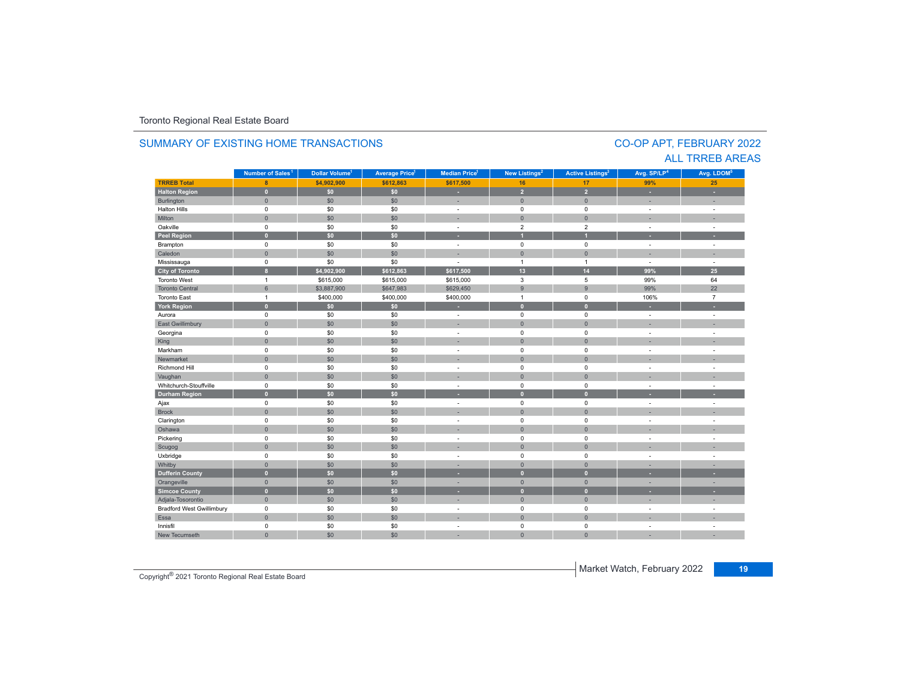#### **TR5EB Total 8 \$4,902,900 \$612,863 \$617,500 16 17 99%25 Halton Region 0 \$0 \$0 - 2 2 - -** Burlington 0 \$0 \$0 | = 0 | = | = Halton Hills 0 \$0 \$0 - 0 0 - - Miltonn 1980 - 1990 - 1991 - 1991 - 1991 - 1992 - 1993 - 1994 - 1994 - 1994 - 1994 - 1994 - 1994 - 1994 - 1994 - 199 Oakville<br>Peel Region e 0 \$0 \$0 - 2 2 - -**Peel Region 0 \$0 \$0 - 1 1 - -** Brampton 0 \$0 \$0 - 0 0 - - Caledonn 1980 - 1980 - 1980 - 1981 - 1981 - 1982 - 1983 - 1984 - 1986 - 1987 - 1988 - 1988 - 1988 - 1988 - 1988 - 198 Mississauga 0 \$0 \$0 - 1 1 - - **City of Toronto 8 \$4,902,900 \$612,863 \$617,500 13 14 99% 25** Toronto Westt and  $\sim$  1 \$615,000 \$615,000 \$615,000 3 5 99%99% 64<br>99% 22 Toronto Central 6\$ \$3,887,900 \$647,983 \$629,450 \$629,450 \$629,450 \$629,450 \$629,450 \$9 22 Toronto Eastt 1 \$400,000 \$400,000 \$400,000 1 0 106% 7 **York Region 0 \$0 \$0 - 0 0 - -** Aurora 0 \$0 \$0 - 0 0 - - East Gwillimbury 0 \$0 \$0 - 0 0 - - Georgina 0 \$0 \$0 - 0 0 - - King the second term of the second term of the second term of the second term of the second term of the second Markham 0 \$0 \$0 - 0 0 - - Newmarket 0 \$0 \$0 - 0 0 - - Richmond Hill 0 \$0 \$0 - 0 0 - - Vaughan 1980 (1980) (1980) (1980) (1980) (1980) (1980) (1980) (1980) (1980) (1980) (1980) (1980) (1980) (1980) Whitchurch-Stouffvillee 0 \$0 \$0 - 0 0 - -**Durham Region 0 \$0 \$0 - 0 0 - -** Ajax 0 \$0 \$0 - 0 0 - - Brock 0 \$0 \$0 - 0 0 - - Clarington 0 \$0 \$0 - 0 0 - - Oshawaa dia 1980 - Aniso ao amin'ny faritr'i Nouvelle-Aquitaine, ao amin'ny faritr'i Nouvelle-Aquitaine, ao amin'ny المال المسابق التي يقوم المسابق التي يقوم التي يقوم التي يقوم التي يقوم التي تعالى التي يقوم التي تعالى التي ي<br>التي يقوم التي يقوم التي يقوم التي يقوم التي يقوم التي يقوم التي يقوم التي يقوم التي يقوم التي يقوم التي يقوم Scugog 0 \$0 \$0 - 0 0 - - Uxbridge 0 \$0 \$0 - 0 0 - - Whitby 0 \$0 \$0 - 0 0 - - **Dufferin County 0 \$0 \$0 - 0 0 - -** Orangeville 0 \$0 \$0 - 0 0 - - **Simcoe County 0 \$0 \$0 - 0 0 - -** Adjala-Tosorontio 0 \$0 \$0 - 0 0 - - Bradford West Gwillimbury 0 \$0 \$0 - 0 0 - - Essaa dia 1980 - Aniso ao amin'ny faritr'i Nouvelle-Aquitaine, ao amin'ny faritr'i Nouvelle-Aquitaine, ao amin'ny Innisfil 0 \$0 \$0 - 0 0 - - New Tecumseth**Municipality Number of Sales Dollar Volume Average Price Median Price New Listings Active Listings Avg. SP/LP Avg. LDOM Number of Sales<sup>1</sup> 1** Dollar Volume<sup>1</sup> | Average Price<sup>1</sup> | Median Price<sup>1</sup> | New Listings<sup>2</sup> | Active Listings<sup>3</sup> | Avg. SP/LP<sup>4</sup> | Avg. LDOM<sup>5</sup>

0 \$0 \$0 - 0 0 - -

### SUMMARY OF EXISTING HOME TRANSACTIONS

CO-OP APT, FEBRUARY 2022 ALL TRREB AREAS

**Market Watch, February 2022** 19 Copyright<sup>®</sup> 2021 Toronto Regional Real Estate Board<br> **19** Copyright® 2021 Toronto Regional Real Estate Board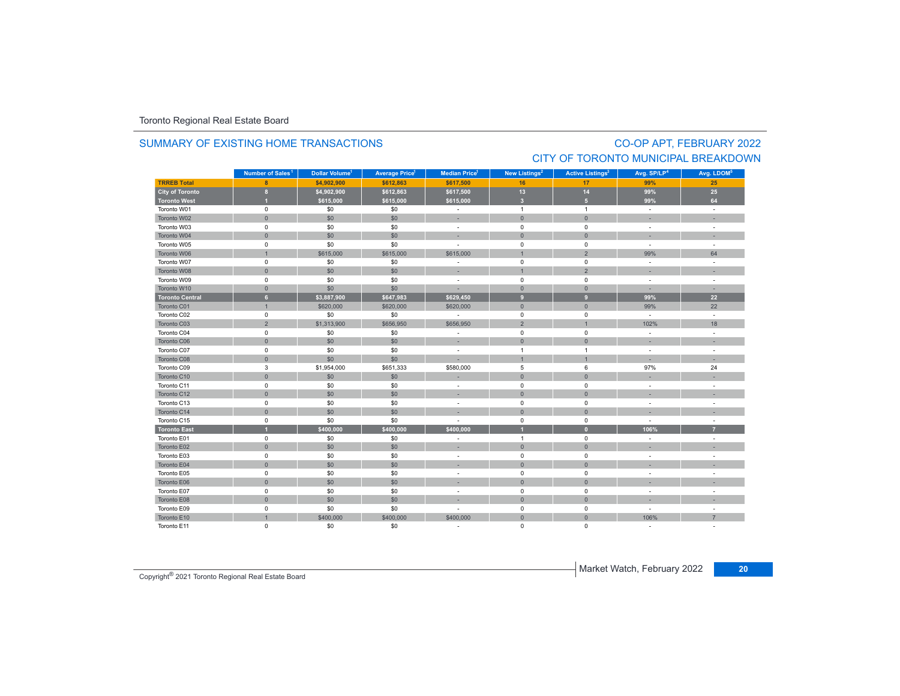# SUMMARY OF EXISTING HOME TRANSACTIONS

# CO-OP APT, FEBRUARY 2022 CITY OF TORONTO MUNICIPAL BREAKDOWN

|                        | Number of Sales <sup>1</sup> | Dollar Volume <sup>1</sup> | <b>Average Price<sup>1</sup></b> | <b>Median Price</b> <sup>1</sup> | New Listings <sup>2</sup> | <b>Active Listings<sup>3</sup></b> | Avg. SP/LP <sup>4</sup>  | Avg. LDOM <sup>5</sup> |
|------------------------|------------------------------|----------------------------|----------------------------------|----------------------------------|---------------------------|------------------------------------|--------------------------|------------------------|
| <b>TRREB Total</b>     | 8                            | \$4,902,900                | \$612,863                        | \$617,500                        | 16                        | 17                                 | 99%                      | 25                     |
| City of Toronto        | $\bf{8}$                     | \$4,902,900                | \$612,863                        | \$617,500                        | $13$                      | 14                                 | 99%                      | 25                     |
| <b>Toronto West</b>    | и                            | \$615,000                  | \$615,000                        | \$615,000                        | $\overline{\mathbf{3}}$   | 5 <sup>1</sup>                     | 99%                      | 64                     |
| Toronto W01            | $\mathbf 0$                  | \$0                        | \$0                              | $\overline{\phantom{a}}$         | $\overline{1}$            | $\mathbf{1}$                       | $\sim$                   | $\sim$                 |
| Toronto W02            | $\mathbf{0}$                 | \$0                        | \$0                              | ×,                               | $\overline{0}$            | $\mathbf{0}$                       |                          |                        |
| Toronto W03            | $\mathsf 0$                  | \$0                        | \$0                              | $\overline{\phantom{a}}$         | $\mathsf 0$               | $\mathbf 0$                        | $\sim$                   | $\sim$                 |
| Toronto W04            | $\mathbf{0}$                 | \$0                        | \$0                              | ٠                                | $\mathbf{0}$              | $\mathbf{0}$                       |                          |                        |
| Toronto W05            | 0                            | \$0                        | \$0                              |                                  | $\mathsf 0$               | $\mathsf 0$                        | $\sim$                   | $\sim$                 |
| Toronto W06            | $\mathbf{1}$                 | \$615,000                  | \$615,000                        | \$615,000                        | $\overline{1}$            | $\overline{2}$                     | 99%                      | 64                     |
| Toronto W07            | $\mathsf 0$                  | \$0                        | \$0                              | ä,                               | $\mathbf 0$               | $\mathbf 0$                        | $\sim$                   |                        |
| Toronto W08            | $\mathbf 0$                  | \$0                        | \$0                              | ×,                               | $\overline{1}$            | $\overline{2}$                     | $\overline{\phantom{a}}$ |                        |
| Toronto W09            | 0                            | \$0                        | \$0                              | ÷.                               | $\mathbf 0$               | $\mathbf 0$                        | $\sim$                   | $\sim$                 |
| Toronto W10            | $\mathbf{0}$                 | \$0                        | \$0                              | ×,                               | $\overline{0}$            | $\mathbf{0}$                       |                          |                        |
| <b>Toronto Central</b> | $6\phantom{a}$               | \$3,887,900                | \$647,983                        | \$629,450                        | 9                         | 9                                  | 99%                      | 22                     |
| Toronto C01            | $\mathbf{1}$                 | \$620,000                  | \$620,000                        | \$620,000                        | $\overline{0}$            | $\mathbf{0}$                       | 99%                      | 22                     |
| Toronto C02            | $\mathsf 0$                  | \$0                        | \$0                              | $\sim$                           | $\mathsf 0$               | $\mathbf 0$                        | $\sim$                   | $\sim$                 |
| Toronto C03            | $\overline{2}$               | \$1,313,900                | \$656,950                        | \$656,950                        | $\overline{2}$            | $\overline{1}$                     | 102%                     | 18                     |
| Toronto C04            | $\mathbf 0$                  | \$0                        | \$0                              | ÷.                               | $\mathbf 0$               | $\mathbf 0$                        | $\sim$                   | ÷                      |
| Toronto C06            | $\mathsf{O}\xspace$          | \$0                        | \$0                              | ٠                                | $\mathsf{O}\xspace$       | $\overline{0}$                     |                          |                        |
| Toronto C07            | $\mathsf 0$                  | \$0                        | \$0                              | ٠                                | $\overline{1}$            | 1                                  | $\sim$                   |                        |
| Toronto C08            | $\mathsf{O}\xspace$          | \$0                        | \$0                              |                                  | $\overline{1}$            | $\overline{1}$                     |                          |                        |
| Toronto C09            | 3                            | \$1,954,000                | \$651,333                        | \$580,000                        | 5                         | 6                                  | 97%                      | 24                     |
| Toronto C10            | $\mathsf{O}\xspace$          | \$0                        | \$0                              |                                  | $\mathbf{0}$              | $\mathbf{0}$                       |                          |                        |
| Toronto C11            | $\mathsf 0$                  | \$0                        | \$0                              | ٠                                | $\mathsf 0$               | $\mathsf 0$                        | $\sim$                   |                        |
| Toronto C12            | $\mathsf{O}\xspace$          | \$0                        | \$0                              | ٠                                | $\mathbf 0$               | $\overline{0}$                     |                          |                        |
| Toronto C13            | $\mathbf 0$                  | \$0                        | \$0                              | ÷.                               | $\mathbf 0$               | $\mathbf 0$                        | $\sim$                   | ٠                      |
| Toronto C14            | $\mathsf{O}\xspace$          | \$0                        | \$0                              |                                  | $\mathbf{0}$              | $\overline{0}$                     |                          |                        |
| Toronto C15            | $\mathsf 0$                  | \$0                        | \$0                              |                                  | $\mathbf 0$               | $\mathsf 0$                        | $\overline{\phantom{a}}$ |                        |
| <b>Toronto East</b>    | $\overline{1}$               | \$400,000                  | \$400,000                        | \$400,000                        |                           | $\overline{0}$                     | 106%                     | $\overline{7}$         |
| Toronto E01            | $\mathbf 0$                  | \$0                        | \$0                              |                                  | $\overline{1}$            | 0                                  |                          |                        |
| Toronto E02            | $\mathbf{0}$                 | \$0                        | \$0                              | ×                                | $\overline{0}$            | $\overline{0}$                     |                          |                        |
| Toronto E03            | $\mathsf 0$                  | \$0                        | \$0                              | $\overline{\phantom{a}}$         | $\mathbf 0$               | 0                                  |                          |                        |
| Toronto E04            | $\mathsf{O}\xspace$          | \$0                        | \$0                              |                                  | $\mathbf{0}$              | $\mathbf{0}$                       |                          |                        |
| Toronto E05            | $\mathsf 0$                  | \$0                        | \$0                              | ٠                                | $\mathsf 0$               | $\mathsf 0$                        |                          |                        |
| Toronto E06            | $\mathbf{0}$                 | \$0                        | \$0                              |                                  | $\overline{0}$            | $\overline{0}$                     |                          |                        |
| Toronto E07            | $\mathbf 0$                  | \$0                        | \$0                              | ÷.                               | $\mathbf 0$               | $\mathbf 0$                        | $\sim$                   | ٠                      |
| Toronto E08            | $\mathsf{O}\xspace$          | \$0                        | \$0                              |                                  | $\mathbf{0}$              | $\mathbf{0}$                       |                          |                        |
| Toronto E09            | $\mathsf 0$                  | \$0                        | \$0                              | ä,                               | $\mathsf 0$               | $\mathsf 0$                        | $\overline{\phantom{a}}$ |                        |
| Toronto E10            | $\overline{1}$               | \$400,000                  | \$400,000                        | \$400,000                        | $\mathsf{O}\xspace$       | $\overline{0}$                     | 106%                     | $\overline{7}$         |
| Toronto E11            | $\mathbf 0$                  | \$0                        | \$0                              | $\sim$                           | 0                         | 0                                  |                          |                        |

Market Watch, February 2022 **<sup>20</sup>** Copyright® 2021 Toronto Regional Real Estate Board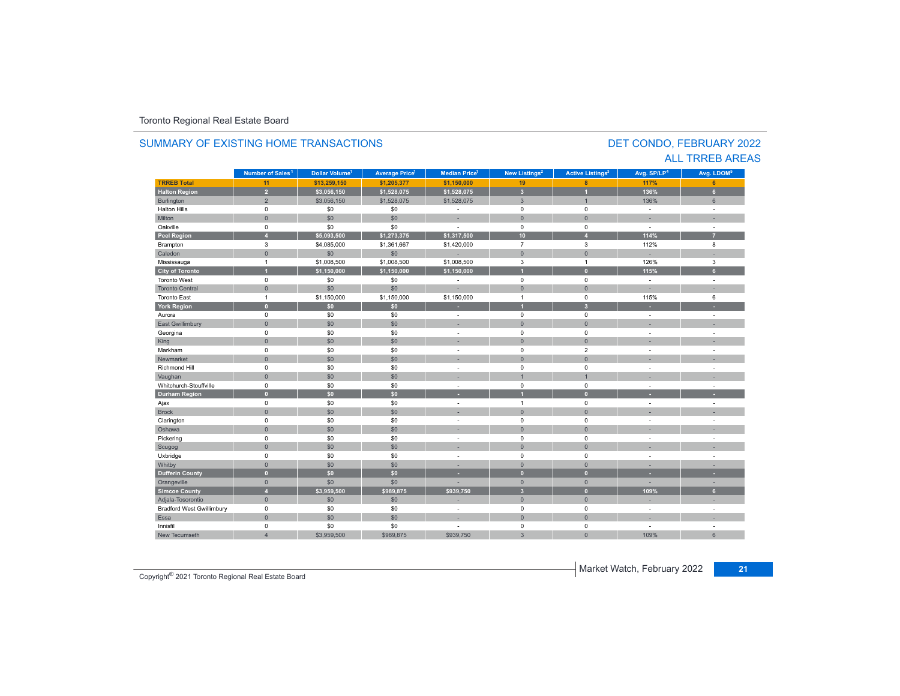#### **TRREB Total 11 \$13,259,150 \$1,205,377 \$1,150,000 19 8 117% 6 Halton Region 2 \$3,056,150 \$1,528,075 \$1,528,075 3 1 136% 6** Burlington 2 2 \$3,056,150 \$1,528,075 \$1,528,075 3 1 1 1 1 36% 6 Halton Hills 0 \$0 \$0 - 0 0 - - Miltonn 1980 - 1990 - 1991 - 1991 - 1991 - 1992 - 1993 - 1994 - 1994 - 1994 - 1994 - 1994 - 1994 - 1994 - 1994 - 199 Oakville<br>Peel Region e 0 \$0 \$0 - 0 0 - -**Peel Region 4 \$5,093,500 \$1,273,375 \$1,317,500 10 4 114% 7** Brampton 3 \$4,085,000 \$1,361,667 \$1,420,000 7 3 112% 8 Caledonn 1980 - 1980 - 1980 - 1981 - 1981 - 1982 - 1983 - 1984 - 1986 - 1987 - 1988 - 1988 - 1988 - 1988 - 1988 - 198 Mississauga 1 \$1,008,500 \$1,008,500 \$1,008,500 3 1 126% 3 **City of Toronto 1 \$1,150,000 \$1,150,000 \$1,150,000 1 0 115% 6** Toronto West 0 \$0 \$0 - 0 0 - - Toronto Central 0 \$0 \$0 - 0 0 - - Toronto Eastt 1 \$1,150,000 \$1,150,000 \$1,150,000 1 0 115% 6 **York Region 0 \$0 \$0 - 1 3 - -** Aurora 0 \$0 \$0 - 0 0 - - East Gwillimbury 0 \$0 \$0 - 0 0 - - Georgina 0 \$0 \$0 - 0 0 - - King 0 \$0 \$0 - 0 0 - - Markham 0 \$0 \$0 - 0 2 - - Newmarket 0 \$0 \$0 - 0 0 - - Richmond Hill 0 \$0 \$0 - 0 0 - - Vaughan 1980 - 1980 - 1980 - 1980 - 1980 - 1980 - 1980 - 1980 - 1980 - 1980 - 1980 - 1980 - 1980 - 1980 - 1980 Whitchurch-Stouffvillee 0 \$0 \$0 - 0 0 - -**Durham Region 0 \$0 \$0 - 1 0 - -** Ajax 0 \$0 \$0 - 1 0 - - Brock 0 \$0 \$0 - 0 0 - - Clarington 0 \$0 \$0 - 0 0 - - Oshawaa dia 1980 - Aniso ao amin'ny faritr'i Nouvelle-Aquitaine, ao amin'ny faritr'i Nouvelle-Aquitaine, ao amin'ny المال المسابق التي يقوم التي يقوم التي يقوم التي يقوم التي يقوم التي يقوم التي تعليم التي تعليم التي يقوم التي<br>التي يقوم التي يقوم التي يقوم التي يقوم التي يقوم التي يقوم التي يقوم التي يقوم التي يقوم التي يقوم التي يقوم Scugog 0 \$0 \$0 - 0 0 - - Uxbridge 0 \$0 \$0 - 0 0 - - Whitby 0 \$0 \$0 - 0 0 - - **Dufferin County 0 \$0 \$0 - 0 0 - -** Orangeville 0 \$0 \$0 - 0 0 - - **Simcoe County 4 \$3,959,500 \$989,875 \$939,750 3 0 109% 6** Adjala-Tosorontio 0 \$0 \$0 - 0 0 - - Bradford West Gwillimbury 0 \$0 \$0 - 0 0 - - Essaa dia 1980 - Aniso ao amin'ny faritr'i Nouvelle-Aquitaine, ao amin'ny faritr'i Nouvelle-Aquitaine, ao amin'ny Innisfil 0 \$0 \$0 - 0 0 - - New Tecumseth**Municipality Number of Sales Dollar Volume Average Price Median Price New Listings Active Listings Avg. SP/LP Avg. LDOM Number of Sales<sup>1</sup> 1** Dollar Volume<sup>1</sup> | Average Price<sup>1</sup> | Median Price<sup>1</sup> | New Listings<sup>2</sup> | Active Listings<sup>3</sup> | Avg. SP/LP<sup>4</sup> | Avg. LDOM<sup>5</sup>

h 4 \$3,959,500 \$989,875 \$939,750 3 109%

### SUMMARY OF EXISTING HOME TRANSACTIONS

DET CONDO, FEBRUARY 2022 ALL TRREB AREAS

6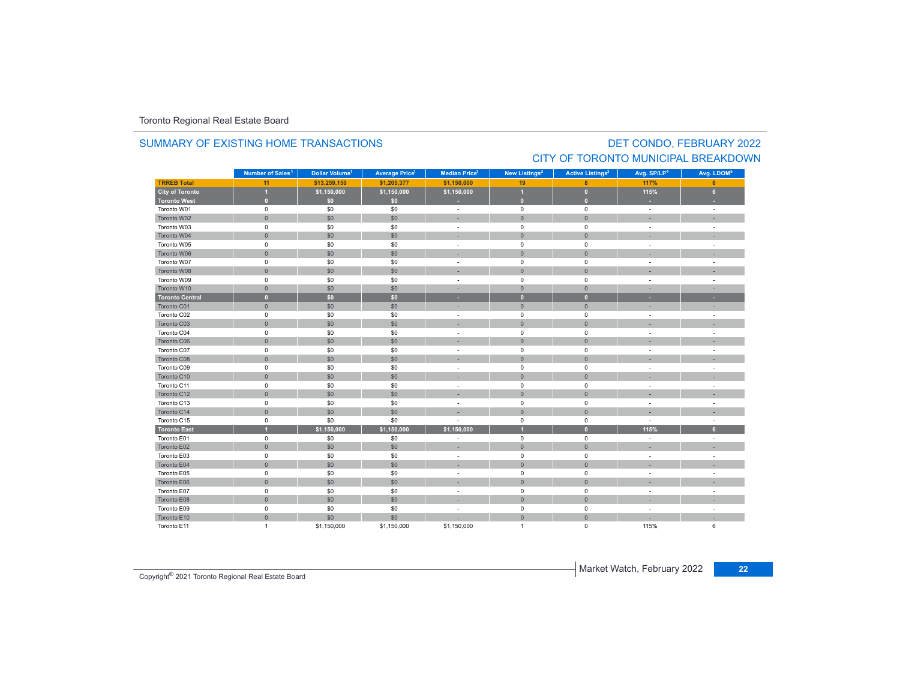### SUMMARY OF EXISTING HOME TRANSACTIONS

### DET CONDO, FEBRUARY 2022 CITY OF TORONTO MUNICIPAL BREAKDOWN

|                        | Number of Sales <sup>1</sup> | Dollar Volume <sup>1</sup> | <b>Average Price</b> | Median Price <sup>1</sup> | New Listings <sup>2</sup> | <b>Active Listings<sup>3</sup></b> | Avg. SP/LP <sup>4</sup>  | Avg. LDOM <sup>5</sup>   |
|------------------------|------------------------------|----------------------------|----------------------|---------------------------|---------------------------|------------------------------------|--------------------------|--------------------------|
| <b>TRREB Total</b>     | 11                           | \$13,259,150               | \$1,205,377          | \$1,150,000               | 19                        | 8                                  | 117%                     | 6                        |
| <b>City of Toronto</b> | $\overline{1}$               | \$1,150,000                | \$1,150,000          | \$1,150,000               |                           | $\bullet$                          | 115%                     | 6 <sup>1</sup>           |
| <b>Toronto West</b>    | $\overline{0}$               | \$0                        | \$0                  |                           | $\overline{0}$            | $\mathbf{0}$                       |                          |                          |
| Toronto W01            | $\mathbf 0$                  | \$0                        | \$0                  | $\overline{\phantom{a}}$  | $\mathsf 0$               | $\mathbf 0$                        | $\sim$                   | $\overline{\phantom{a}}$ |
| Toronto W02            | $\mathsf{O}\xspace$          | \$0                        | \$0                  | ÷                         | $\mathbf 0$               | $\overline{0}$                     |                          |                          |
| Toronto W03            | 0                            | \$0                        | \$0                  | $\sim$                    | $\mathsf 0$               | $\mathbf 0$                        | $\overline{\phantom{a}}$ | ÷,                       |
| Toronto W04            | $\mathbf{0}$                 | \$0                        | \$0                  |                           | $\mathbf 0$               | $\overline{0}$                     |                          |                          |
| Toronto W05            | $\mathsf 0$                  | \$0                        | \$0                  |                           | $\mathsf 0$               | $\mathsf 0$                        |                          |                          |
| Toronto W06            | $\mathbf{0}$                 | \$0                        | \$0                  |                           | $\overline{0}$            | $\mathbf{0}$                       |                          |                          |
| Toronto W07            | $\mathbf 0$                  | \$0                        | \$0                  |                           | $\mathbf 0$               | 0                                  |                          |                          |
| Toronto W08            | $\mathbf{0}$                 | \$0                        | \$0                  |                           | $\mathbf{0}$              | $\overline{0}$                     |                          |                          |
| Toronto W09            | $\pmb{0}$                    | \$0                        | \$0                  | $\sim$                    | 0                         | 0                                  | ÷,                       | $\overline{\phantom{a}}$ |
| Toronto W10            | $\mathbf{0}$                 | \$0                        | \$0                  | $\sim$                    | $\mathbf{0}$              | $\mathbf{0}$                       | <b>.</b>                 | ٠                        |
| <b>Toronto Central</b> | $\bullet$                    | \$0                        | \$0                  | ٠                         | $\mathbf{0}$              | $\mathbf{0}$                       |                          | ٠                        |
| Toronto C01            | $\mathbf{0}$                 | \$0                        | \$0                  |                           | $\mathbf{0}$              | $\mathbf{0}$                       |                          | ۰                        |
| Toronto C02            | $\mathbf 0$                  | \$0                        | \$0                  | $\sim$                    | $\mathbf 0$               | $\mathbf 0$                        | $\sim$                   | ÷,                       |
| Toronto C03            | $\mathsf{O}\xspace$          | \$0                        | \$0                  |                           | $\mathbf 0$               | $\mathbf{0}$                       |                          |                          |
| Toronto C04            | $\mathsf 0$                  | \$0                        | \$0                  |                           | $\mathsf 0$               | $\mathbf 0$                        |                          |                          |
| Toronto C06            | $\mathsf{O}\xspace$          | \$0                        | \$0                  |                           | $\mathbf{0}$              | $\mathbf{0}$                       |                          | ä,                       |
| Toronto C07            | $\pmb{0}$                    | \$0                        | \$0                  |                           | $\pmb{0}$                 | 0                                  |                          |                          |
| Toronto C08            | $\mathbf{0}$                 | \$0                        | \$0                  |                           | $\mathbf{0}$              | $\overline{0}$                     |                          |                          |
| Toronto C09            | $\mathbf 0$                  | \$0                        | \$0                  |                           | $\pmb{0}$                 | 0                                  |                          |                          |
| Toronto C10            | $\mathsf{O}\xspace$          | \$0                        | \$0                  |                           | $\mathbf 0$               | $\mathbf{0}$                       |                          |                          |
| Toronto C11            | $\pmb{0}$                    | \$0                        | \$0                  |                           | $\mathsf 0$               | $\mathbf 0$                        |                          |                          |
| Toronto C12            | $\mathbf 0$                  | \$0                        | \$0                  |                           | $\mathbf 0$               | $\overline{0}$                     |                          |                          |
| Toronto C13            | $\mathsf 0$                  | \$0                        | \$0                  | $\sim$                    | $\mathsf 0$               | $\mathbf 0$                        | ÷,                       | ÷.                       |
| Toronto C14            | $\mathsf{O}\xspace$          | \$0                        | \$0                  |                           | $\mathbf{0}$              | $\overline{0}$                     |                          |                          |
| Toronto C15            | $\mathsf 0$                  | \$0                        | \$0                  |                           | $\mathsf 0$               | $\mathbf 0$                        |                          | ä,                       |
| <b>Toronto East</b>    | $\overline{1}$               | \$1,150,000                | \$1,150,000          | \$1,150,000               |                           | $\mathbf{0}$                       | 115%                     | 6 <sup>1</sup>           |
| Toronto E01            | $\mathbf 0$                  | \$0                        | \$0                  |                           | $\pmb{0}$                 | $\mathbf 0$                        |                          |                          |
| Toronto E02            | $\mathbf{0}$                 | \$0                        | \$0                  |                           | $\mathbf{0}$              | $\mathbf{0}$                       |                          |                          |
| Toronto E03            | $\pmb{0}$                    | \$0                        | \$0                  | $\overline{\phantom{a}}$  | $\mathsf 0$               | $\pmb{0}$                          |                          | $\overline{\phantom{a}}$ |
| Toronto E04            | $\mathbf 0$                  | \$0                        | \$0                  |                           | $\mathbf 0$               | $\mathbf{0}$                       |                          |                          |
| Toronto E05            | $\mathbf 0$                  | \$0                        | \$0                  |                           | $\mathbf 0$               | $\mathbf 0$                        |                          |                          |
| Toronto E06            | $\mathbf 0$                  | \$0                        | \$0                  |                           | $\mathbf 0$               | $\mathbf{0}$                       |                          |                          |
| Toronto E07            | $\mathbf 0$                  | \$0                        | \$0                  | $\sim$                    | $\mathbf 0$               | $\mathbf 0$                        | $\sim$                   | ÷                        |
| Toronto E08            | $\mathsf{O}\xspace$          | \$0                        | \$0                  |                           | $\mathbf 0$               | $\mathbf 0$                        |                          |                          |
| Toronto E09            | $\mathbf 0$                  | \$0                        | \$0                  | $\sim$                    | $\mathbf 0$               | $\mathbf 0$                        | $\overline{\phantom{a}}$ |                          |
| Toronto E10            | $\mathsf{O}\xspace$          | \$0                        | \$0                  |                           | $\mathbf{0}$              | $\overline{0}$                     |                          |                          |
| Toronto E11            | $\mathbf{1}$                 | \$1,150,000                | \$1,150,000          | \$1,150,000               | $\overline{1}$            | 0                                  | 115%                     | 6                        |

Market Watch, February 2022 **<sup>22</sup>** Copyright® 2021 Toronto Regional Real Estate Board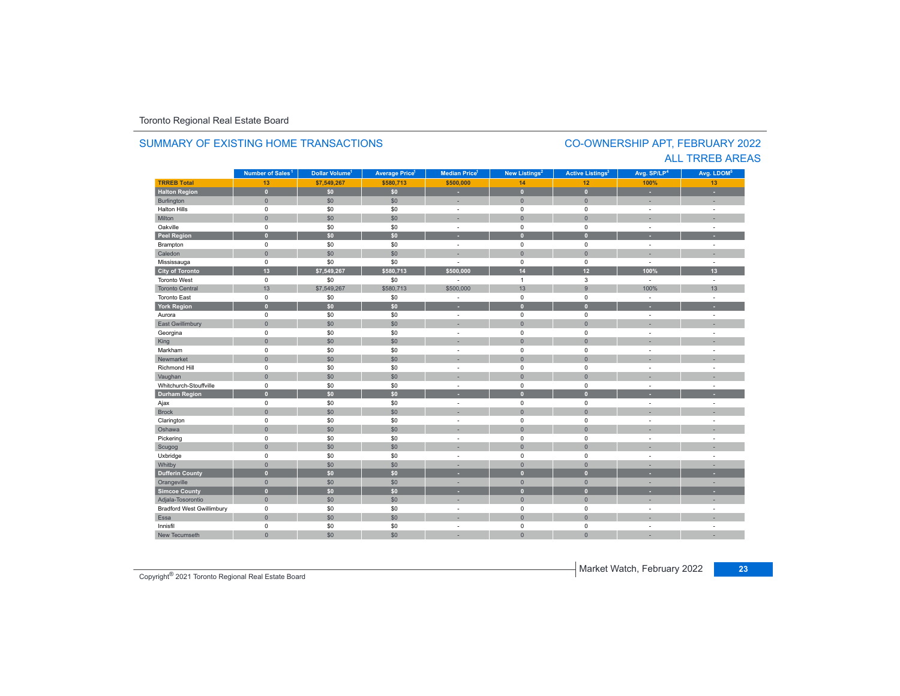#### **TR5EB Total 13 \$7,549,267 \$580,713 \$500,000 14 12 100%100%** 13 **Halton Region 0 \$0 \$0 - 0 0 - -** Burlington 0 \$0 \$0 | = 0 | = | = Halton Hills 0 \$0 \$0 - 0 0 - - Miltonn 1980 - 1990 - 1991 - 1991 - 1991 - 1992 - 1993 - 1994 - 1994 - 1994 - 1994 - 1994 - 1994 - 1994 - 1994 - 199 Oakville<br>Peel Region e 0 \$0 \$0 - 0 0 - -**Peel Region 0 \$0 \$0 - 0 0 - -** Brampton 0 \$0 \$0 - 0 0 - - Caledonn 1980 - 1980 - 1980 - 1981 - 1981 - 1982 - 1983 - 1984 - 1986 - 1987 - 1988 - 1988 - 1988 - 1988 - 1988 - 198 Mississauga 0 \$0 \$0 - 0 0 - - **City of Toronto 13 \$7,549,267 \$580,713 \$500,000 14 12 100% 13** Toronto West 0 $\begin{array}{ccccccccccc} 0 & \hspace{1.5cm} & \hspace{1.5cm} & \hspace{1.5cm} & \hspace{1.5cm} & \hspace{1.5cm} & \hspace{1.5cm} & \hspace{1.5cm} & \hspace{1.5cm} & \hspace{1.5cm} & \hspace{1.5cm} & \hspace{1.5cm} & \hspace{1.5cm} & \hspace{1.5cm} & \hspace{1.5cm} & \hspace{1.5cm} & \hspace{1.5cm} & \hspace{1.5cm} \end{array}$ Toronto Central 13 \$7,549,267 \$580,713 \$500,000 13 9 100%100% 13 Toronto East 0 \$0 \$0 - 0 0 - - **York Region 0 \$0 \$0 - 0 0 - -** Aurora 0 \$0 \$0 - 0 0 - - East Gwillimbury 0 \$0 \$0 - 0 0 - - Georgina 0 \$0 \$0 - 0 0 - - King 0 \$0 \$0 - 0 0 - - Markham 0 \$0 \$0 - 0 0 - - Newmarket 0 \$0 \$0 - 0 0 - - Richmond Hill 0 \$0 \$0 - 0 0 - - Vaughan 0 \$0 \$0 - 0 0 - - Whitchurch-Stouffvillee 0 \$0 \$0 - 0 0 - -**Durham Region 0 \$0 \$0 - 0 0 - -** Ajax 0 \$0 \$0 - 0 0 - - Brock 0 \$0 \$0 - 0 0 - - Clarington 0 \$0 \$0 - 0 0 - - Oshawaa dia 1980 - Aniso ao amin'ny faritr'i Nouvelle-Aquitaine, ao amin'ny faritr'i Nouvelle-Aquitaine, ao amin'ny المال المسابق التي يقوم المسابق التي يقوم التي يقوم التي يقوم التي يقوم التي تعالى التي يقوم التي تعالى التي ي<br>التي يقوم التي يقوم التي يقوم التي يقوم التي يقوم التي يقوم التي يقوم التي يقوم التي يقوم التي يقوم التي يقوم Scugog 0 \$0 \$0 - 0 0 - - Uxbridge 0 \$0 \$0 - 0 0 - - Whitby 0 \$0 \$0 - 0 0 - - **Dufferin County 0 \$0 \$0 - 0 0 - -** Orangeville 0 \$0 \$0 - 0 0 - - **Simcoe County 0 \$0 \$0 - 0 0 - -** Adjala-Tosorontio 0 \$0 \$0 - 0 0 - - Bradford West Gwillimbury 0 \$0 \$0 - 0 0 - - Essaa dia 1980 - Aniso ao amin'ny faritr'i Nouvelle-Aquitaine, ao amin'ny faritr'i Nouvelle-Aquitaine, ao amin'ny Innisfil 0 \$0 \$0 - 0 0 - - New Tecumseth**Municipality Number of Sales Dollar Volume Average Price Median Price New Listings Active Listings Avg. SP/LP Avg. LDOM Number of Sales<sup>1</sup> 1** Dollar Volume<sup>1</sup> | Average Price<sup>1</sup> | Median Price<sup>1</sup> | New Listings<sup>2</sup> | Active Listings<sup>3</sup> | Avg. SP/LP<sup>4</sup> | Avg. LDOM<sup>5</sup>

0 \$0 \$0 - 0 0 - -

### SUMMARY OF EXISTING HOME TRANSACTIONS

### CO-OWNERSHIP APT, FEBRUARY 2022 ALL TRREB AREAS

Market Watch, February 2022 **<sup>23</sup>** Copyright® 2021 Toronto Regional Real Estate Board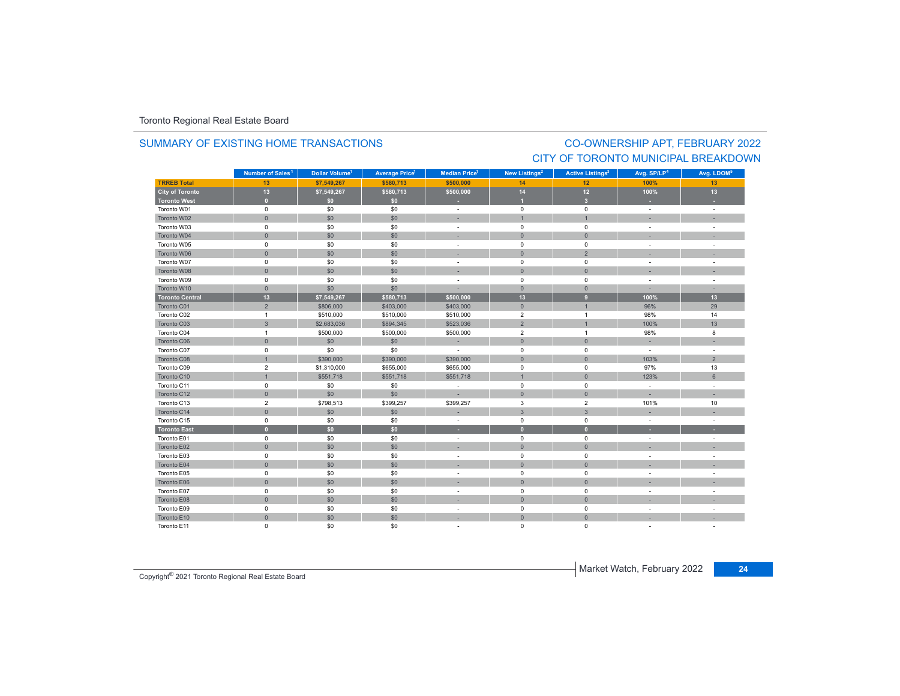### SUMMARY OF EXISTING HOME TRANSACTIONS

### CO-OWNERSHIP APT, FEBRUARY 2022 CITY OF TORONTO MUNICIPAL BREAKDOWN

|                        | Number of Sales <sup>1</sup> | Dollar Volume <sup>1</sup> | <b>Average Price<sup>1</sup></b> | Median Price <sup>1</sup> | New Listings <sup>2</sup> | <b>Active Listings<sup>3</sup></b> | Avg. SP/LP <sup>4</sup>  | Avg. LDOM <sup>5</sup> |
|------------------------|------------------------------|----------------------------|----------------------------------|---------------------------|---------------------------|------------------------------------|--------------------------|------------------------|
| <b>TRREB Total</b>     | 13                           | \$7,549,267                | \$580,713                        | \$500,000                 | 14                        | 12                                 | 100%                     | 13                     |
| <b>City of Toronto</b> | 13                           | \$7,549,267                | \$580,713                        | \$500,000                 | 14                        | 12                                 | 100%                     | 13                     |
| <b>Toronto West</b>    | $\bullet$                    | \$0                        | \$0                              |                           |                           | $\overline{\mathbf{3}}$            |                          |                        |
| Toronto W01            | $\mathsf 0$                  | \$0                        | \$0                              | $\sim$                    | $\mathbf 0$               | $\mathsf 0$                        | $\sim$                   | $\sim$                 |
| Toronto W02            | $\mathbf{0}$                 | \$0                        | \$0                              |                           | $\overline{1}$            | $\overline{1}$                     |                          |                        |
| Toronto W03            | $\mathbf 0$                  | \$0                        | \$0                              | $\sim$                    | $\mathbf 0$               | $\mathbf 0$                        | $\overline{\phantom{a}}$ |                        |
| Toronto W04            | $\mathsf{O}\xspace$          | \$0                        | \$0                              |                           | $\overline{0}$            | $\mathbf{0}$                       |                          |                        |
| Toronto W05            | $\mathsf 0$                  | \$0                        | \$0                              |                           | $\pmb{0}$                 | $\mathbf 0$                        | $\overline{\phantom{a}}$ |                        |
| Toronto W06            | $\mathsf{O}\xspace$          | \$0                        | \$0                              |                           | $\overline{0}$            | $\overline{2}$                     |                          |                        |
| Toronto W07            | $\mathbf 0$                  | \$0                        | \$0                              |                           | $\mathbf 0$               | $\mathbf 0$                        |                          |                        |
| Toronto W08            | $\mathbf{0}$                 | \$0                        | \$0                              |                           | $\mathbf{0}$              | $\mathbf{0}$                       |                          |                        |
| Toronto W09            | $\mathsf 0$                  | \$0                        | \$0                              |                           | $\mathbf 0$               | $\mathbf 0$                        | $\overline{a}$           |                        |
| Toronto W10            | $\mathbf{0}$                 | \$0                        | \$0                              |                           | $\overline{0}$            | $\overline{0}$                     |                          |                        |
| <b>Toronto Central</b> | 13                           | \$7,549,267                | \$580,713                        | \$500.000                 | 13                        | 9                                  | 100%                     | 13                     |
| Toronto C01            | $\overline{2}$               | \$806,000                  | \$403,000                        | \$403,000                 | $\mathbf{0}$              | $\overline{1}$                     | 96%                      | 29                     |
| Toronto C02            | $\overline{1}$               | \$510,000                  | \$510,000                        | \$510,000                 | $\overline{2}$            | $\overline{1}$                     | 98%                      | 14                     |
| Toronto C03            | $\mathbf{3}$                 | \$2,683,036                | \$894,345                        | \$523,036                 | $\overline{2}$            | $\mathbf{1}$                       | 100%                     | 13                     |
| Toronto C04            | $\mathbf{1}$                 | \$500,000                  | \$500,000                        | \$500,000                 | $\overline{2}$            | $\overline{1}$                     | 98%                      | 8                      |
| Toronto C06            | $\mathsf{O}\xspace$          | \$0                        | \$0                              | $\sim$                    | $\mathbf{0}$              | $\mathsf{O}\xspace$                |                          |                        |
| Toronto C07            | $\mathbf 0$                  | \$0                        | \$0                              | $\overline{a}$            | $\mathbf 0$               | $\mathbf 0$                        | ÷                        |                        |
| Toronto C08            | $\overline{1}$               | \$390,000                  | \$390,000                        | \$390,000                 | $\Omega$                  | $\Omega$                           | 103%                     | $\overline{2}$         |
| Toronto C09            | $\overline{c}$               | \$1,310,000                | \$655,000                        | \$655,000                 | 0                         | 0                                  | 97%                      | 13                     |
| Toronto C10            | $\overline{1}$               | \$551,718                  | \$551,718                        | \$551,718                 | $\overline{1}$            | $\mathbf{0}$                       | 123%                     | $\,$ 6 $\,$            |
| Toronto C11            | $\mathbf 0$                  | \$0                        | \$0                              | $\sim$                    | $\mathbf 0$               | $\mathbf 0$                        | $\sim$                   |                        |
| Toronto C12            | $\mathsf{O}\xspace$          | \$0                        | \$0                              |                           | $\mathbf 0$               | $\overline{0}$                     | ÷.                       |                        |
| Toronto C13            | $\overline{2}$               | \$798,513                  | \$399,257                        | \$399,257                 | 3                         | $\overline{2}$                     | 101%                     | 10                     |
| Toronto C14            | $\mathsf{O}\xspace$          | \$0                        | \$0                              |                           | $\mathbf{3}$              | $\mathbf{3}$                       |                          |                        |
| Toronto C15            | $\mathsf 0$                  | \$0                        | \$0                              |                           | $\mathsf 0$               | $\mathsf 0$                        | $\overline{\phantom{a}}$ |                        |
| <b>Toronto East</b>    | $\mathbf{0}$                 | \$0                        | \$0                              | ۰.                        | $\overline{0}$            | $\overline{0}$                     |                          |                        |
| Toronto E01            | $\mathbf 0$                  | \$0                        | \$0                              | $\sim$                    | $\mathbf 0$               | $\mathbf 0$                        | $\sim$                   |                        |
| Toronto E02            | $\mathbf{0}$                 | \$0                        | \$0                              |                           | $\mathbf{0}$              | $\mathbf{0}$                       |                          |                        |
| Toronto E03            | 0                            | \$0                        | \$0                              |                           | $\mathbf 0$               | 0                                  | $\overline{\phantom{a}}$ |                        |
| Toronto E04            | $\mathsf{O}\xspace$          | \$0                        | \$0                              |                           | $\mathsf{O}$              | $\overline{0}$                     |                          |                        |
| Toronto E05            | $\mathsf 0$                  | \$0                        | \$0                              |                           | $\pmb{0}$                 | $\mathsf 0$                        | $\overline{\phantom{a}}$ |                        |
| Toronto E06            | $\mathbf{0}$                 | \$0                        | \$0                              |                           | $\mathbf{0}$              | $\mathbf{0}$                       |                          |                        |
| Toronto E07            | $\mathbf 0$                  | \$0                        | \$0                              | $\sim$                    | $\mathbf 0$               | $\mathbf 0$                        | $\sim$                   |                        |
| Toronto E08            | $\mathsf{O}\xspace$          | \$0                        | \$0                              |                           | $\mathbf 0$               | $\mathbf{0}$                       |                          |                        |
| Toronto E09            | $\mathsf 0$                  | \$0                        | \$0                              | $\sim$                    | $\mathbf 0$               | $\mathbf 0$                        | $\sim$                   |                        |
| Toronto E10            | $\mathsf{O}\xspace$          | \$0                        | \$0                              |                           | $\overline{0}$            | $\mathbf{0}$                       |                          |                        |
| Toronto E11            | $\mathbf 0$                  | \$0                        | \$0                              |                           | $\mathbf 0$               | 0                                  |                          |                        |

Market Watch, February 2022 **<sup>24</sup>** Copyright® 2021 Toronto Regional Real Estate Board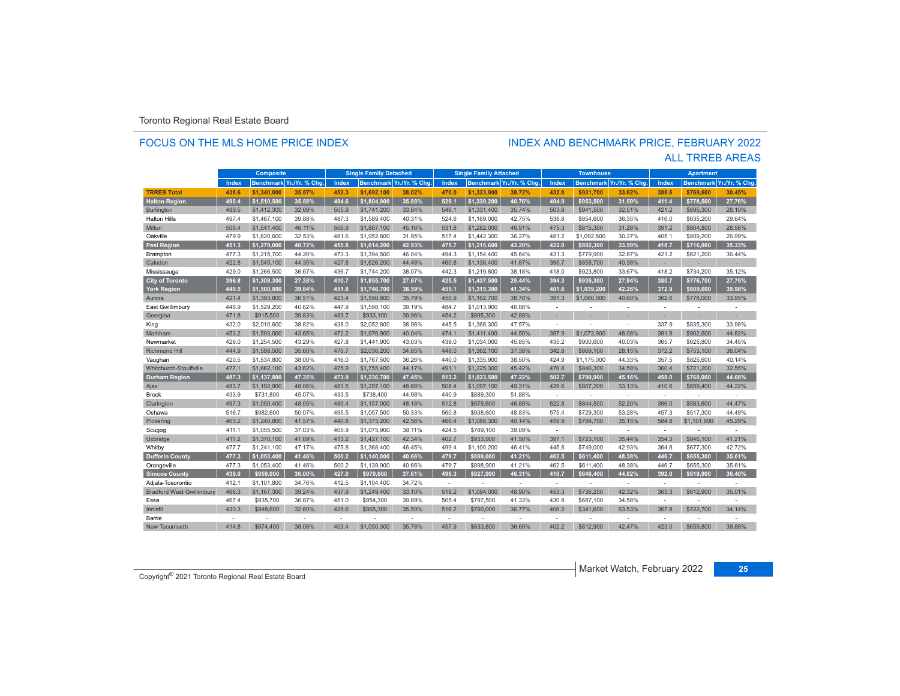### FOCUS ON THE MLS HOME PRICE INDEX

# INDEX AND BENCHMARK PRICE, FEBRUARY 2022

|                                  |        | <b>Composite</b> |               |       | <b>Single Family Detached</b> |                         |                | <b>Single Family Attached</b> |                          |                | <b>Townhouse</b> |                |                | <b>Apartment</b> |               |
|----------------------------------|--------|------------------|---------------|-------|-------------------------------|-------------------------|----------------|-------------------------------|--------------------------|----------------|------------------|----------------|----------------|------------------|---------------|
|                                  | Index  | <b>Benchmark</b> | Yr./Yr. % Chg | Index |                               | Benchmark Yr./Yr. % Chg | Index          |                               | Benchmark Yr./Yr. % Chg. | Index          | <b>Benchmark</b> | Yr./Yr. % Chg. | Index          | <b>Benchmark</b> | Yr./Yr. % Chg |
| <b>TRREB Total</b>               | 438.6  | \$1.340.000      | 35.87%        | 452.3 | \$1.692.100                   | 38.02%                  | 470.0          | \$1.323.900                   | 38.72%                   | 432.8          | \$931.700        | 33.62%         | 388.6          | \$769.600        | 30.45%        |
| <b>Halton Region</b>             | 490.4  | \$1,510,500      | 35.88%        | 494.6 | \$1.804.900                   | 35.88%                  | 529.1          | \$1.339.200                   | 40.76%                   | 494.9          | \$953.500        | 31.59%         | 411.4          | \$778.500        | 27.76%        |
| Burlington                       | 489.5  | \$1,412,300      | 32.69%        | 505.9 | \$1,741,200                   | 33.84%                  | 546.1          | \$1,331,400                   | 35.74%                   | 503.8          | \$941,500        | 32.51%         | 421.2          | \$695,300        | 28.10%        |
| <b>Halton Hills</b>              | 497.4  | \$1,467,100      | 39.88%        | 487.3 | \$1,589,400                   | 40.31%                  | 524.6          | \$1,169,000                   | 42.75%                   | 536.8          | \$854,600        | 36.35%         | 416.0          | \$635,200        | 29.64%        |
| Milton                           | 506.4  | \$1,541,400      | 46.11%        | 506.9 | \$1,867,100                   | 45.16%                  | 531.8          | \$1,282,000                   | 46.91%                   | 475.3          | \$815,300        | 31.26%         | 391.2          | \$804,800        | 28.56%        |
| Oakville                         | 479.9  | \$1,620,600      | 32.53%        | 481.6 | \$1,952,800                   | 31.95%                  | 517.4          | \$1,442,300                   | 36.27%                   | 481.2          | \$1,092,800      | 30.27%         | 405.1          | \$809,200        | 26.99%        |
| <b>Peel Region</b>               | 451.3  | \$1,279,000      | 40.72%        | 455.8 | \$1.614.200                   | 42.93%                  | 475.7          | \$1.215.600                   | 43.20%                   | 422.0          | \$892.300        | 33.59%         | 418.7          | \$716.000        | 35.33%        |
| Brampton                         | 477.3  | \$1,215,700      | 44.20%        | 473.3 | \$1,394,500                   | 46.04%                  | 494.3          | \$1,154,400                   | 45.64%                   | 431.3          | \$779,900        | 32.87%         | 421.2          | \$621.200        | 36.44%        |
| Caledon                          | 422.8  | \$1,545,100      | 44.35%        | 427.8 | \$1,626,200                   | 44.48%                  | 460.8          | \$1,138,400                   | 41.87%                   | 396.7          | \$858,700        | 40.38%         | ٠              | $\sim$           | н.            |
| Mississauga                      | 429.0  | \$1,266,500      | 36.67%        | 436.7 | \$1,744,200                   | 38.07%                  | 442.3          | \$1,219,800                   | 38.18%                   | 418.0          | \$923,800        | 33.67%         | 418.2          | \$734,200        | 35.12%        |
| <b>City of Toronto</b>           | 396.8  | \$1,308,300      | 27.38%        | 410.7 | \$1,855,700                   | 27.67%                  | 425.5          | \$1,437,500                   | 25.44%                   | 394.3          | \$935.300        | 27.94%         | 380.7          | \$776.700        | 27.75%        |
| York Region                      | 440.5  | \$1,500,800      | 39.84%        | 451.8 | \$1,746,700                   | 38.59%                  | 455.1          | \$1,315,300                   | 41.34%                   | 401.6          | \$1,039,200      | 42.26%         | 372.9          | \$809,600        | 39.98%        |
| Aurora                           | 421.4  | \$1,393,800      | 36.51%        | 423.4 | \$1,590,800                   | 35.79%                  | 450.9          | \$1,162,700                   | 38.70%                   | 391.3          | \$1,060,000      | 40.60%         | 362.6          | \$778,000        | 33.95%        |
| East Gwillimbury                 | 446.9  | \$1,529,200      | 40.62%        | 447.9 | \$1,598,100                   | 39.19%                  | 484.7          | \$1,013,900                   | 46.88%                   | <b>.</b>       | ۰                | ÷              | ÷              | $\sim$           | ۰             |
| Georgina                         | 471.8  | \$915,500        | 39.83%        | 483.7 | \$933,100                     | 39.96%                  | 454.2          | \$895.300                     | 42.88%                   |                |                  |                |                |                  |               |
| King                             | 432.0  | \$2,010,600      | 38.82%        | 438.0 | \$2,052,800                   | 38.96%                  | 445.5          | \$1,366,300                   | 47.57%                   | $\sim$         | ÷,               | ٠              | 337.9          | \$835,300        | 33.98%        |
| Markham                          | 453.2  | \$1,593,000      | 43.65%        | 472.2 | \$1,976,900                   | 40.04%                  | 474.1          | \$1,411,400                   | 44.50%                   | 397.9          | \$1,073,900      | 48.08%         | 391.9          | \$902,600        | 44.83%        |
| Newmarket                        | 426.0  | \$1,254,500      | 43.29%        | 427.8 | \$1,441,900                   | 43.03%                  | 439.0          | \$1,034,000                   | 45.85%                   | 435.2          | \$900,600        | 40.03%         | 365.7          | \$625,800        | 34.45%        |
| <b>Richmond Hill</b>             | 444.9  | \$1,598,500      | 35.60%        | 476.7 | \$2,036,200                   | 34.85%                  | 448.0          | \$1,362,100                   | 37.38%                   | 342.8          | \$869,100        | 28.15%         | 372.2          | \$753,100        | 36.04%        |
| Vaughan                          | 420.5  | \$1,534,800      | 38.00%        | 416.0 | \$1,767,500                   | 36.26%                  | 440.0          | \$1,335,900                   | 38.50%                   | 424.9          | \$1,175,000      | 44.33%         | 357.5          | \$825,600        | 40.14%        |
| Whitchurch-Stouffville           | 477.1  | \$1,662,100      | 43.62%        | 475.9 | \$1,755,400                   | 44.17%                  | 491.1          | \$1,225,300                   | 45.42%                   | 476.8          | \$846,300        | 34.58%         | 360.4          | \$721,200        | 32.55%        |
| <b>Durham Region</b>             | 487.3  | \$1,137,800      | 47.35%        | 473.9 | \$1,236,700                   | 47.45%                  | 513.2          | \$1,023,500                   | 47.22%                   | 502.7          | \$790,900        | 45.16%         | 458.0          | \$760.000        | 44.66%        |
| Ajax                             | 483.7  | \$1,192,900      | 48.06%        | 483.5 | \$1,297,100                   | 48.68%                  | 508.4          | \$1,097,100                   | 49.31%                   | 429.6          | \$807,200        | 33.13%         | 410.6          | \$659,400        | 44.22%        |
| <b>Brock</b>                     | 433.9  | \$731,800        | 45.07%        | 433.5 | \$738,400                     | 44.98%                  | 440.9          | \$889.300                     | 51.88%                   | $\sim$         | ۰                | $\sim$         | $\sim$         |                  |               |
| Clarington                       | 497.3  | \$1,050,400      | 48.05%        | 480.4 | \$1,157,000                   | 48.18%                  | 512.8          | \$979,600                     | 46.89%                   | 522.8          | \$844,500        | 52.20%         | 396.0          | \$583,600        | 44.47%        |
| Oshawa                           | 516.7  | \$982,600        | 50.07%        | 495.5 | \$1,057,500                   | 50.33%                  | 560.8          | \$938,600                     | 48.83%                   | 575.4          | \$729,300        | 53.28%         | 457.3          | \$517,300        | 44.49%        |
| Pickering                        | 465.2  | \$1,240,800      | 41.57%        | 440.8 | \$1,373,200                   | 42.56%                  | 466.4          | \$1,088,300                   | 40.14%                   | 459.9          | \$784.700        | 35.15%         | 584.8          | \$1,101,600      | 45.29%        |
| Scugog                           | 411.1  | \$1,055,500      | 37.03%        | 405.9 | \$1,075,900                   | 38.11%                  | 424.5          | \$789,100                     | 39.09%                   | $\sim$         | L,               | $\sim$         | $\sim$         |                  |               |
| Uxbridge                         | 411.2  | \$1,370,100      | 41.89%        | 413.2 | \$1,427,100                   | 42.34%                  | 402.7          | \$933,900                     | 41.50%                   | 397.1          | \$723,100        | 35.44%         | 354.3          | \$846,100        | 41.21%        |
| Whitby                           | 477.7  | \$1.241.100      | 47.17%        | 475.8 | \$1,368,400                   | 46.45%                  | 499.4          | \$1,100,200                   | 46.41%                   | 445.8          | \$749,000        | 42.93%         | 364.8          | \$677,300        | 42.72%        |
| <b>Dufferin County</b>           | 477.3  | \$1.053.400      | 41.46%        | 500.2 | \$1,140,000                   | 40.66%                  | 479.7          | \$899.000                     | 41.21%                   | 462.5          | \$611.400        | 48.38%         | 446.7          | \$655.300        | 35.61%        |
| Orangeville                      | 477.3  | \$1,053,400      | 41.46%        | 500.2 | \$1,139,900                   | 40.66%                  | 479.7          | \$898.900                     | 41.21%                   | 462.5          | \$611,400        | 48.38%         | 446.7          | \$655,300        | 35.61%        |
| <b>Simcoe County</b>             | 439.0  | \$959.000        | 36.00%        | 427.0 | \$979.600                     | 37.61%                  | 496.3          | \$927.000                     | 46.31%                   | 410.7          | \$648.400        | 44.82%         | 392.0          | \$619,900        | 36.40%        |
| Adjala-Tosorontio                | 412.1  | \$1,101,800      | 34.76%        | 412.5 | \$1,104,400                   | 34.72%                  | ÷              |                               | $\overline{a}$           | <b>.</b>       |                  | ÷              | $\sim$         |                  |               |
| <b>Bradford West Gwillimbury</b> | 466.3  | \$1,167,300      | 39.24%        | 437.9 | \$1,249,400                   | 33.10%                  | 519.2          | \$1,094,000                   | 48.90%                   | 453.3          | \$736,200        | 42.32%         | 363.3          | \$612,900        | 35.01%        |
| Essa                             | 467.4  | \$935,700        | 36.87%        | 451.0 | \$954,300                     | 39.89%                  | 505.4          | \$797,500                     | 41.33%                   | 430.8          | \$687,100        | 34.58%         | $\sim$         |                  |               |
| Innisfil                         | 430.3  | \$848,600        | 32.60%        | 425.6 | \$865,300                     | 35.50%                  | 516.7          | \$790,000                     | 36.77%                   | 406.2          | \$341,600        | 63.53%         | 367.8          | \$722,700        | 34.14%        |
| Barrie                           | $\sim$ |                  |               |       |                               |                         | $\overline{a}$ |                               |                          | $\overline{a}$ |                  | $\overline{a}$ | $\overline{a}$ |                  |               |
| <b>New Tecumseth</b>             | 414.8  | \$974,400        | 38.08%        | 403.4 | \$1,050,300                   | 35.78%                  | 457.9          | \$833,800                     | 36.69%                   | 402.2          | \$812,900        | 42.47%         | 423.0          | \$659,800        | 39.88%        |

ALL TRREB AREAS

Market Watch, February 2022 **<sup>25</sup>** Copyright® 2021 Toronto Regional Real Estate Board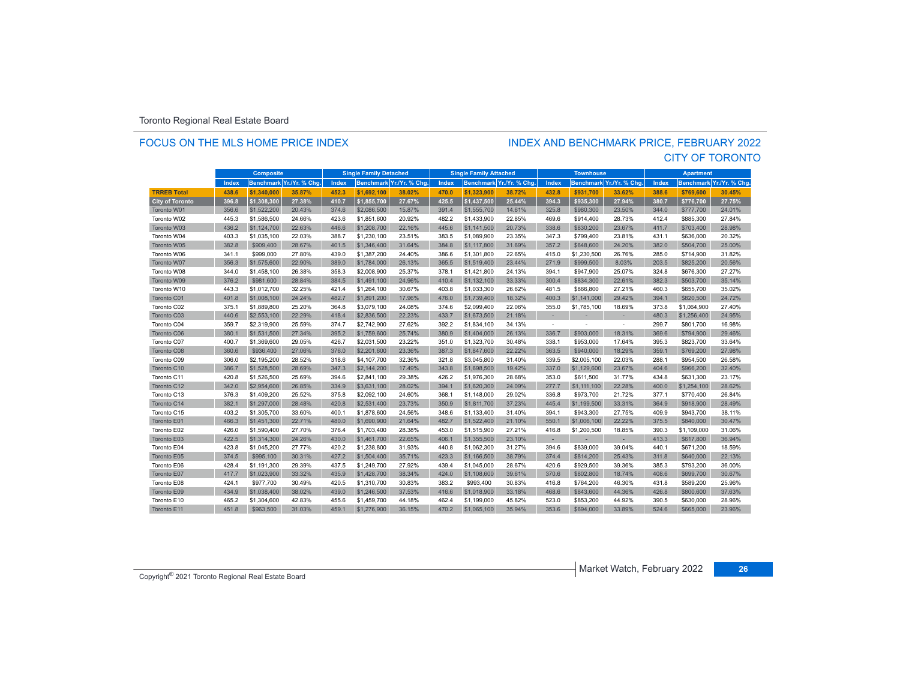### FOCUS ON THE MLS HOME PRICE INDEX

### CITY OF TORONTO INDEX AND BENCHMARK PRICE, FEBRUARY 2022

|                        | <b>Composite</b> |             |                         | <b>Single Family Detached</b> |             |                          | <b>Single Family Attached</b> |             |                          | <b>Townhouse</b> |             |                          | <b>Apartment</b> |                  |                |
|------------------------|------------------|-------------|-------------------------|-------------------------------|-------------|--------------------------|-------------------------------|-------------|--------------------------|------------------|-------------|--------------------------|------------------|------------------|----------------|
|                        | Index            |             | Benchmark Yr./Yr. % Chg | Index                         |             | Benchmark Yr./Yr. % Chg. | Index                         |             | Benchmark Yr./Yr. % Chg. | Index            |             | Benchmark Yr./Yr. % Chg. | Index            | <b>Benchmark</b> | Yr./Yr. % Chg. |
| <b>TRREB Total</b>     | 438.6            | \$1,340,000 | 35.87%                  | 452.3                         | \$1.692.100 | 38.02%                   | 470.0                         | \$1,323,900 | 38.72%                   | 432.8            | \$931.700   | 33.62%                   | 388.6            | \$769,600        | 30.45%         |
| <b>City of Toronto</b> | 396.8            | \$1,308,300 | 27.38%                  | 410.7                         | \$1,855,700 | 27.67%                   | 425.5                         | \$1,437,500 | 25.44%                   | 394.3            | \$935,300   | 27.94%                   | 380.7            | \$776,700        | 27.75%         |
| Toronto W01            | 356.6            | \$1,522,200 | 20.43%                  | 374.6                         | \$2,086,500 | 15.87%                   | 391.4                         | \$1,555,700 | 14.61%                   | 325.8            | \$980,300   | 23.50%                   | 344.0            | \$777,700        | 24.01%         |
| Toronto W02            | 445.3            | \$1,586,500 | 24.66%                  | 423.6                         | \$1,851,600 | 20.92%                   | 482.2                         | \$1,433,900 | 22.85%                   | 469.6            | \$914,400   | 28.73%                   | 412.4            | \$885,300        | 27.84%         |
| Toronto W03            | 436.2            | \$1,124,700 | 22.63%                  | 446.6                         | \$1,208,700 | 22.16%                   | 445.6                         | \$1,141,500 | 20.73%                   | 338.6            | \$830,200   | 23.67%                   | 411.7            | \$703,400        | 28.98%         |
| Toronto W04            | 403.3            | \$1,035,100 | 22.03%                  | 388.7                         | \$1,230,100 | 23.51%                   | 383.5                         | \$1,089,900 | 23.35%                   | 347.3            | \$799,400   | 23.81%                   | 431.1            | \$636,000        | 20.32%         |
| Toronto W05            | 382.8            | \$909,400   | 28.67%                  | 401.5                         | \$1,346,400 | 31.64%                   | 384.8                         | \$1,117,800 | 31.69%                   | 357.2            | \$648,600   | 24.20%                   | 382.0            | \$504,700        | 25.00%         |
| Toronto W06            | 341.1            | \$999,000   | 27.80%                  | 439.0                         | \$1,387,200 | 24.40%                   | 386.6                         | \$1,301,800 | 22.65%                   | 415.0            | \$1,230,500 | 26.76%                   | 285.0            | \$714,900        | 31.82%         |
| Toronto W07            | 356.3            | \$1,575,600 | 22.90%                  | 389.0                         | \$1,784,000 | 26.13%                   | 365.5                         | \$1,519,400 | 23.44%                   | 271.9            | \$999,500   | 8.03%                    | 203.5            | \$825,200        | 20.56%         |
| Toronto W08            | 344.0            | \$1,458,100 | 26.38%                  | 358.3                         | \$2,008,900 | 25.37%                   | 378.1                         | \$1,421,800 | 24.13%                   | 394.1            | \$947,900   | 25.07%                   | 324.8            | \$676,300        | 27.27%         |
| Toronto W09            | 376.2            | \$981,600   | 28.84%                  | 384.5                         | \$1,491,100 | 24.96%                   | 410.4                         | \$1,132,100 | 33.33%                   | 300.4            | \$834,300   | 22.61%                   | 382.3            | \$503,700        | 35.14%         |
| Toronto W10            | 443.3            | \$1,012,700 | 32.25%                  | 421.4                         | \$1,264,100 | 30.67%                   | 403.8                         | \$1,033,300 | 26.62%                   | 481.5            | \$866,800   | 27.21%                   | 460.3            | \$655,700        | 35.02%         |
| Toronto C01            | 401.8            | \$1,008,100 | 24.24%                  | 482.7                         | \$1,891,200 | 17.96%                   | 476.0                         | \$1,739,400 | 18.32%                   | 400.3            | \$1,141,000 | 29.42%                   | 394.1            | \$820,500        | 24.72%         |
| Toronto C02            | 375.1            | \$1,889,800 | 25.20%                  | 364.8                         | \$3,079,100 | 24.08%                   | 374.6                         | \$2,099,400 | 22.06%                   | 355.0            | \$1,785,100 | 18.69%                   | 373.8            | \$1,064,900      | 27.40%         |
| Toronto C03            | 440.6            | \$2,553,100 | 22.29%                  | 418.4                         | \$2,836,500 | 22.23%                   | 433.7                         | \$1,673,500 | 21.18%                   | ×.               |             |                          | 480.3            | \$1,256,400      | 24.95%         |
| Toronto C04            | 359.7            | \$2,319,900 | 25.59%                  | 374.7                         | \$2,742,900 | 27.62%                   | 392.2                         | \$1,834,100 | 34.13%                   | $\sim$           |             | $\sim$                   | 299.7            | \$801,700        | 16.98%         |
| Toronto C06            | 380.1            | \$1,531,500 | 27.34%                  | 395.2                         | \$1,759,600 | 25.74%                   | 380.9                         | \$1,404,000 | 26.13%                   | 336.7            | \$903,000   | 18.31%                   | 369.6            | \$794,900        | 29.46%         |
| Toronto C07            | 400.7            | \$1,369,600 | 29.05%                  | 426.7                         | \$2,031.500 | 23.22%                   | 351.0                         | \$1,323,700 | 30.48%                   | 338.1            | \$953,000   | 17.64%                   | 395.3            | \$823,700        | 33.64%         |
| Toronto C08            | 360.6            | \$936,400   | 27.06%                  | 376.0                         | \$2,201,600 | 23.36%                   | 387.3                         | \$1,847,600 | 22.22%                   | 363.5            | \$940,000   | 18.29%                   | 359.1            | \$769,200        | 27.98%         |
| Toronto C09            | 306.0            | \$2,195,200 | 28.52%                  | 318.6                         | \$4,107,700 | 32.36%                   | 321.8                         | \$3,045,800 | 31.40%                   | 339.5            | \$2,005,100 | 22.03%                   | 288.1            | \$954,500        | 26.58%         |
| Toronto C10            | 386.7            | \$1,528,500 | 28.69%                  | 347.3                         | \$2,144,200 | 17.49%                   | 343.8                         | \$1,698,500 | 19.42%                   | 337.0            | \$1,129,600 | 23.67%                   | 404.6            | \$966,200        | 32.40%         |
| Toronto C11            | 420.8            | \$1,526,500 | 25.69%                  | 394.6                         | \$2,841,100 | 29.38%                   | 426.2                         | \$1,976,300 | 28.68%                   | 353.0            | \$611,500   | 31.77%                   | 434.8            | \$631,300        | 23.17%         |
| Toronto C12            | 342.0            | \$2,954,600 | 26.85%                  | 334.9                         | \$3,631,100 | 28.02%                   | 394.1                         | \$1,620,300 | 24.09%                   | 277.7            | \$1,111,100 | 22.28%                   | 400.0            | \$1,254,100      | 28.62%         |
| Toronto C13            | 376.3            | \$1,409,200 | 25.52%                  | 375.8                         | \$2,092,100 | 24.60%                   | 368.1                         | \$1,148,000 | 29.02%                   | 336.8            | \$973,700   | 21.72%                   | 377.1            | \$770,400        | 26.84%         |
| Toronto C14            | 382.1            | \$1,297,000 | 28.48%                  | 420.8                         | \$2,531,400 | 23.73%                   | 350.9                         | \$1,811,700 | 37.23%                   | 445.4            | \$1,199,500 | 33.31%                   | 364.9            | \$918,900        | 28.49%         |
| Toronto C15            | 403.2            | \$1,305,700 | 33.60%                  | 400.1                         | \$1,878,600 | 24.56%                   | 348.6                         | \$1,133,400 | 31.40%                   | 394.1            | \$943,300   | 27.75%                   | 409.9            | \$943,700        | 38.11%         |
| Toronto E01            | 466.3            | \$1,451,300 | 22.71%                  | 480.0                         | \$1,690,900 | 21.64%                   | 482.7                         | \$1,522,400 | 21.10%                   | 550.1            | \$1,006,100 | 22.22%                   | 375.5            | \$840,000        | 30.47%         |
| Toronto E02            | 426.0            | \$1,590,400 | 27.70%                  | 376.4                         | \$1,703,400 | 28.38%                   | 453.0                         | \$1,515,900 | 27.21%                   | 416.8            | \$1,200,500 | 18.85%                   | 390.3            | \$1,109,000      | 31.06%         |
| Toronto E03            | 422.5            | \$1,314,300 | 24.26%                  | 430.0                         | \$1,461,700 | 22.65%                   | 406.1                         | \$1,355,500 | 23.10%                   | $\sim$           | ×.          | $\sim$                   | 413.3            | \$617,800        | 36.94%         |
| Toronto E04            | 423.8            | \$1,045,200 | 27.77%                  | 420.2                         | \$1,238,800 | 31.93%                   | 440.8                         | \$1,062,300 | 31.27%                   | 394.6            | \$839,000   | 39.04%                   | 440.1            | \$671,200        | 18.59%         |
| Toronto E05            | 374.5            | \$995,100   | 30.31%                  | 427.2                         | \$1,504,400 | 35.71%                   | 423.3                         | \$1,166,500 | 38.79%                   | 374.4            | \$814,200   | 25.43%                   | 311.8            | \$640,000        | 22.13%         |
| Toronto E06            | 428.4            | \$1,191,300 | 29.39%                  | 437.5                         | \$1,249,700 | 27.92%                   | 439.4                         | \$1,045,000 | 28.67%                   | 420.6            | \$929,500   | 39.36%                   | 385.3            | \$793,200        | 36.00%         |
| Toronto E07            | 417.7            | \$1,023,900 | 33.32%                  | 435.9                         | \$1,428,700 | 38.34%                   | 424.0                         | \$1,108,600 | 39.61%                   | 370.6            | \$802,800   | 18.74%                   | 408.6            | \$699,700        | 30.67%         |
| Toronto E08            | 424.1            | \$977,700   | 30.49%                  | 420.5                         | \$1,310,700 | 30.83%                   | 383.2                         | \$993,400   | 30.83%                   | 416.8            | \$764,200   | 46.30%                   | 431.8            | \$589,200        | 25.96%         |
| Toronto E09            | 434.9            | \$1,038,400 | 38.02%                  | 439.0                         | \$1,246,500 | 37.53%                   | 416.6                         | \$1,018,900 | 33.18%                   | 468.6            | \$843,600   | 44.36%                   | 426.8            | \$800,600        | 37.63%         |
| Toronto E10            | 465.2            | \$1,304,600 | 42.83%                  | 455.6                         | \$1,459,700 | 44.18%                   | 462.4                         | \$1,199,000 | 45.82%                   | 523.0            | \$853,200   | 44.92%                   | 390.5            | \$630,000        | 28.96%         |
| Toronto E11            | 451.8            | \$963,500   | 31.03%                  | 459.1                         | \$1,276,900 | 36.15%                   | 470.2                         | \$1,065,100 | 35.94%                   | 353.6            | \$694,000   | 33.89%                   | 524.6            | \$665,000        | 23.96%         |